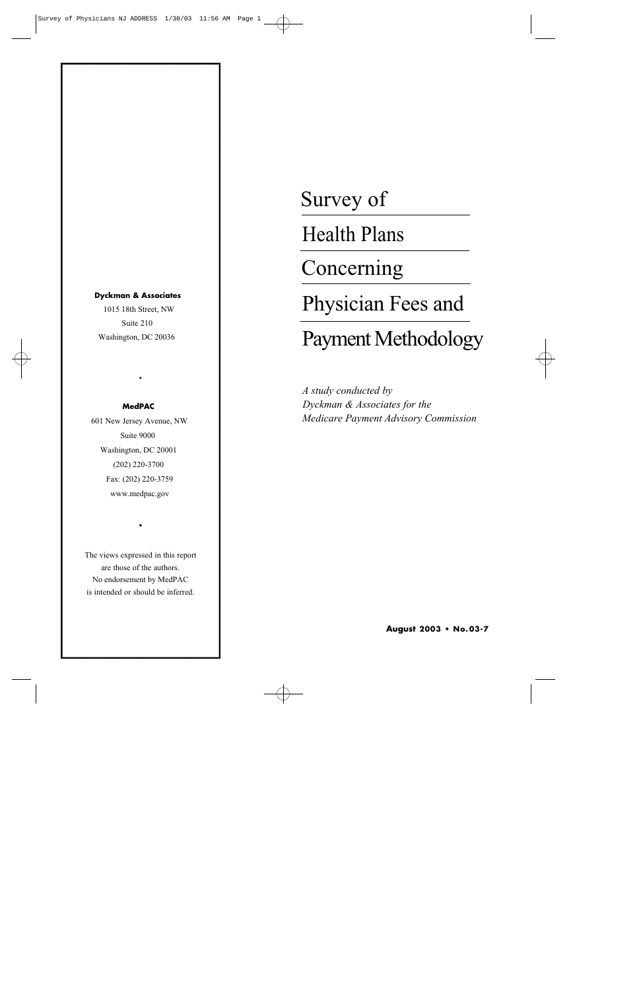#### **Dyckman & Associates**

1015 18th Street, NW Suite 210 Washington, DC 20036

#### **MedPAC**

•

601 New Jersey Avenue, NW Suite 9000 Washington, DC 20001 (202) 220-3700 Fax: (202) 220-3759 www.medpac.gov

The views expressed in this report are those of the authors. No endorsement by MedPAC is intended or should be inferred.

•

# Survey of

Health Plans

Concerning

Physician Fees and

# Payment Methodology

*A study conducted by Dyckman & Associates for the Medicare Payment Advisory Commission*

**August 2003 • No.0 3 - 7**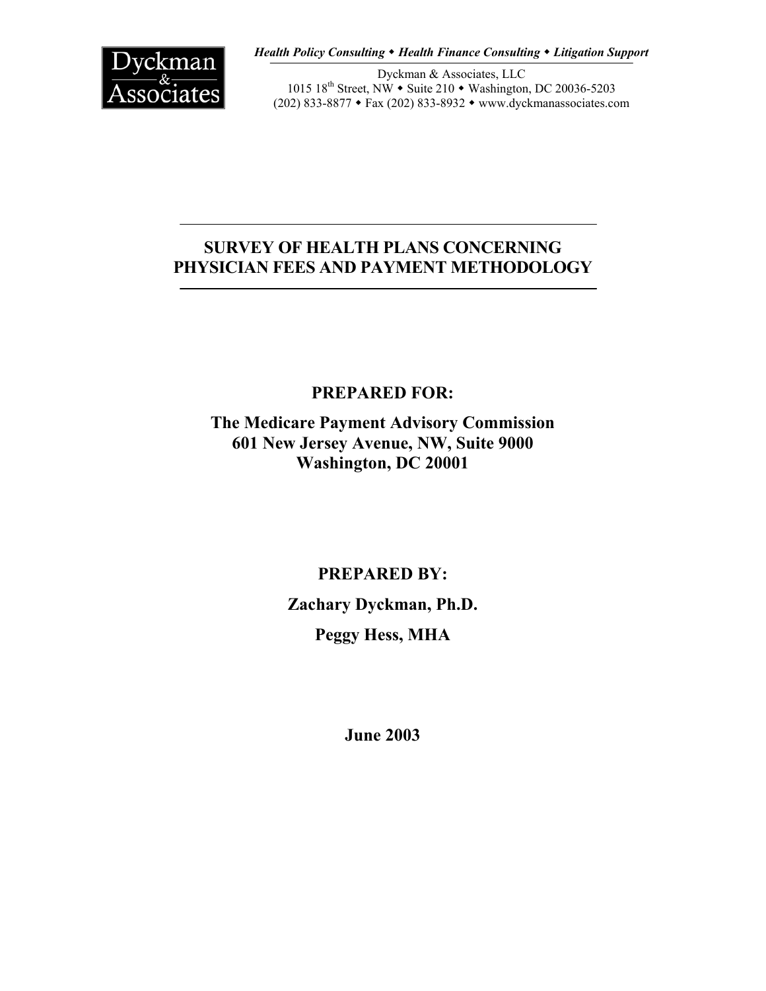

*Health Policy Consulting Health Finance Consulting Litigation Support*

Dyckman & Associates, LLC 1015 18<sup>th</sup> Street, NW • Suite 210 • Washington, DC 20036-5203 (202) 833-8877 Fax (202) 833-8932 www.dyckmanassociates.com

# **SURVEY OF HEALTH PLANS CONCERNING PHYSICIAN FEES AND PAYMENT METHODOLOGY**

# **PREPARED FOR:**

**The Medicare Payment Advisory Commission 601 New Jersey Avenue, NW, Suite 9000 Washington, DC 20001** 

> **PREPARED BY: Zachary Dyckman, Ph.D. Peggy Hess, MHA**

> > **June 2003**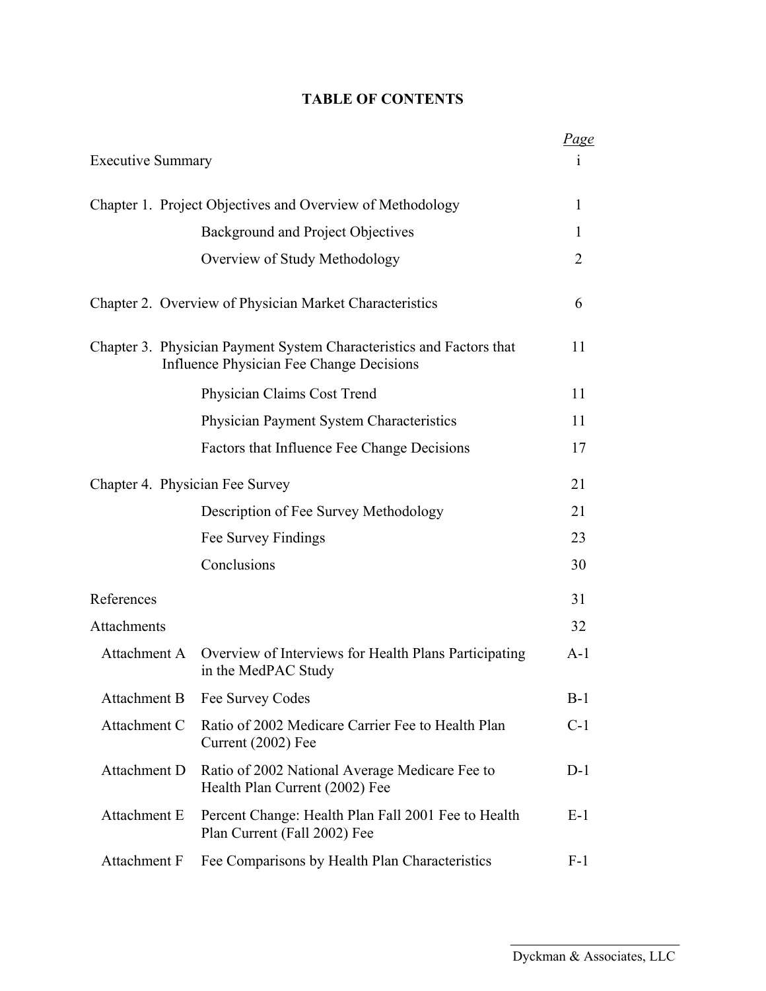## **TABLE OF CONTENTS**

|                                 |                                                                                                                  | <u>Page</u>    |
|---------------------------------|------------------------------------------------------------------------------------------------------------------|----------------|
| <b>Executive Summary</b>        |                                                                                                                  | 1              |
|                                 | Chapter 1. Project Objectives and Overview of Methodology                                                        | $\mathbf{1}$   |
|                                 | Background and Project Objectives                                                                                | 1              |
|                                 | Overview of Study Methodology                                                                                    | $\overline{2}$ |
|                                 | Chapter 2. Overview of Physician Market Characteristics                                                          | 6              |
|                                 | Chapter 3. Physician Payment System Characteristics and Factors that<br>Influence Physician Fee Change Decisions | 11             |
|                                 | Physician Claims Cost Trend                                                                                      | 11             |
|                                 | Physician Payment System Characteristics                                                                         | 11             |
|                                 | Factors that Influence Fee Change Decisions                                                                      | 17             |
| Chapter 4. Physician Fee Survey |                                                                                                                  | 21             |
|                                 | Description of Fee Survey Methodology                                                                            | 21             |
|                                 | Fee Survey Findings                                                                                              | 23             |
|                                 | Conclusions                                                                                                      | 30             |
| References                      |                                                                                                                  | 31             |
| Attachments                     |                                                                                                                  | 32             |
|                                 | Attachment A Overview of Interviews for Health Plans Participating<br>in the MedPAC Study                        | $A-1$          |
| Attachment B                    | Fee Survey Codes                                                                                                 | B-1            |
| Attachment C                    | Ratio of 2002 Medicare Carrier Fee to Health Plan<br>Current (2002) Fee                                          | $C-1$          |
| Attachment D                    | Ratio of 2002 National Average Medicare Fee to<br>Health Plan Current (2002) Fee                                 | $D-1$          |
| Attachment E                    | Percent Change: Health Plan Fall 2001 Fee to Health<br>Plan Current (Fall 2002) Fee                              |                |
| Attachment F                    | Fee Comparisons by Health Plan Characteristics                                                                   | $F-1$          |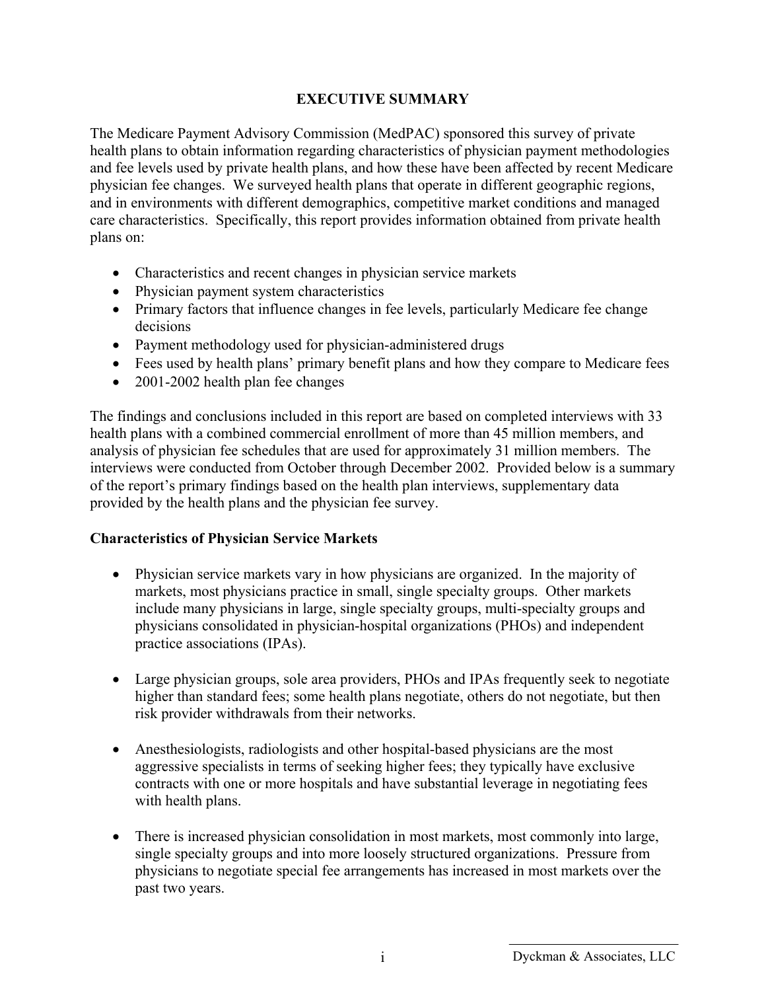#### **EXECUTIVE SUMMARY**

The Medicare Payment Advisory Commission (MedPAC) sponsored this survey of private health plans to obtain information regarding characteristics of physician payment methodologies and fee levels used by private health plans, and how these have been affected by recent Medicare physician fee changes. We surveyed health plans that operate in different geographic regions, and in environments with different demographics, competitive market conditions and managed care characteristics. Specifically, this report provides information obtained from private health plans on:

- Characteristics and recent changes in physician service markets
- Physician payment system characteristics
- Primary factors that influence changes in fee levels, particularly Medicare fee change decisions
- Payment methodology used for physician-administered drugs
- Fees used by health plans' primary benefit plans and how they compare to Medicare fees
- 2001-2002 health plan fee changes

The findings and conclusions included in this report are based on completed interviews with 33 health plans with a combined commercial enrollment of more than 45 million members, and analysis of physician fee schedules that are used for approximately 31 million members. The interviews were conducted from October through December 2002. Provided below is a summary of the report's primary findings based on the health plan interviews, supplementary data provided by the health plans and the physician fee survey.

#### **Characteristics of Physician Service Markets**

- Physician service markets vary in how physicians are organized. In the majority of markets, most physicians practice in small, single specialty groups. Other markets include many physicians in large, single specialty groups, multi-specialty groups and physicians consolidated in physician-hospital organizations (PHOs) and independent practice associations (IPAs).
- Large physician groups, sole area providers, PHOs and IPAs frequently seek to negotiate higher than standard fees; some health plans negotiate, others do not negotiate, but then risk provider withdrawals from their networks.
- Anesthesiologists, radiologists and other hospital-based physicians are the most aggressive specialists in terms of seeking higher fees; they typically have exclusive contracts with one or more hospitals and have substantial leverage in negotiating fees with health plans.
- There is increased physician consolidation in most markets, most commonly into large, single specialty groups and into more loosely structured organizations. Pressure from physicians to negotiate special fee arrangements has increased in most markets over the past two years.

i Dyckman & Associates, LLC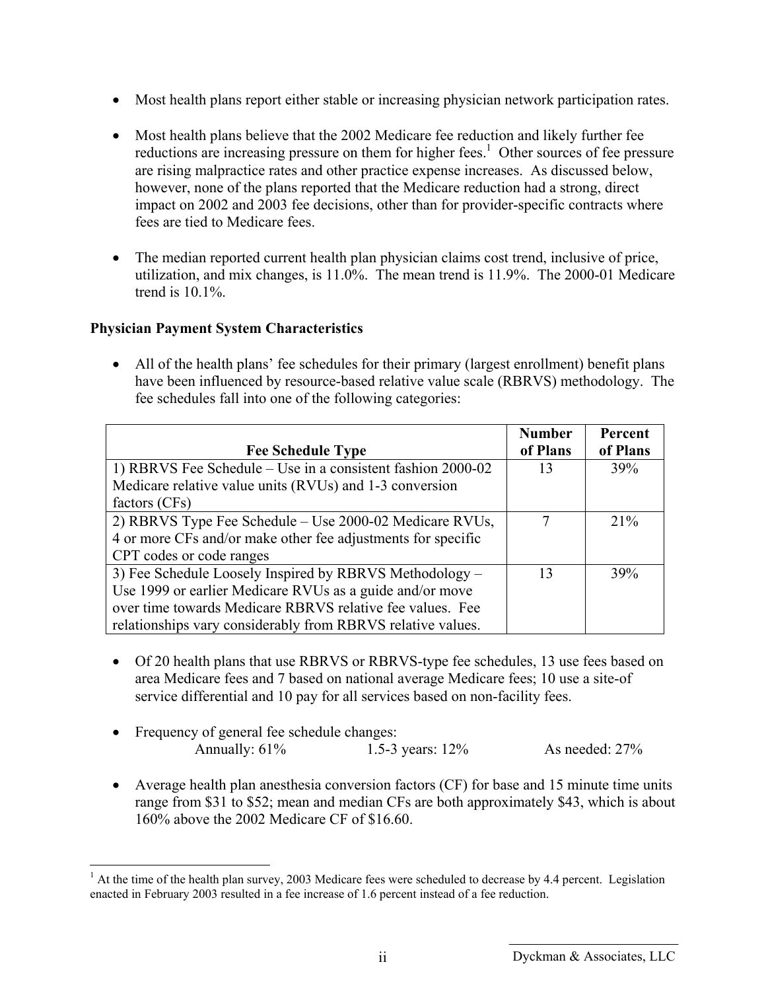- Most health plans report either stable or increasing physician network participation rates.
- Most health plans believe that the 2002 Medicare fee reduction and likely further fee reductions are increasing pressure on them for higher fees.<sup>1</sup> Other sources of fee pressure are rising malpractice rates and other practice expense increases. As discussed below, however, none of the plans reported that the Medicare reduction had a strong, direct impact on 2002 and 2003 fee decisions, other than for provider-specific contracts where fees are tied to Medicare fees.
- The median reported current health plan physician claims cost trend, inclusive of price, utilization, and mix changes, is 11.0%. The mean trend is 11.9%. The 2000-01 Medicare trend is 10.1%.

#### **Physician Payment System Characteristics**

1

• All of the health plans' fee schedules for their primary (largest enrollment) benefit plans have been influenced by resource-based relative value scale (RBRVS) methodology. The fee schedules fall into one of the following categories:

| <b>Fee Schedule Type</b>                                     | <b>Number</b><br>of Plans | Percent<br>of Plans |
|--------------------------------------------------------------|---------------------------|---------------------|
| 1) RBRVS Fee Schedule – Use in a consistent fashion 2000-02  | 13                        | 39%                 |
| Medicare relative value units (RVUs) and 1-3 conversion      |                           |                     |
| factors (CFs)                                                |                           |                     |
| 2) RBRVS Type Fee Schedule – Use 2000-02 Medicare RVUs,      |                           | 21%                 |
| 4 or more CFs and/or make other fee adjustments for specific |                           |                     |
| CPT codes or code ranges                                     |                           |                     |
| 3) Fee Schedule Loosely Inspired by RBRVS Methodology –      | 13                        | 39%                 |
| Use 1999 or earlier Medicare RVUs as a guide and/or move     |                           |                     |
| over time towards Medicare RBRVS relative fee values. Fee    |                           |                     |
| relationships vary considerably from RBRVS relative values.  |                           |                     |

- Of 20 health plans that use RBRVS or RBRVS-type fee schedules, 13 use fees based on area Medicare fees and 7 based on national average Medicare fees; 10 use a site-of service differential and 10 pay for all services based on non-facility fees.
- Frequency of general fee schedule changes: Annually: 61% 1.5-3 years: 12% As needed: 27%
- Average health plan anesthesia conversion factors (CF) for base and 15 minute time units range from \$31 to \$52; mean and median CFs are both approximately \$43, which is about 160% above the 2002 Medicare CF of \$16.60.

 $<sup>1</sup>$  At the time of the health plan survey, 2003 Medicare fees were scheduled to decrease by 4.4 percent. Legislation</sup> enacted in February 2003 resulted in a fee increase of 1.6 percent instead of a fee reduction.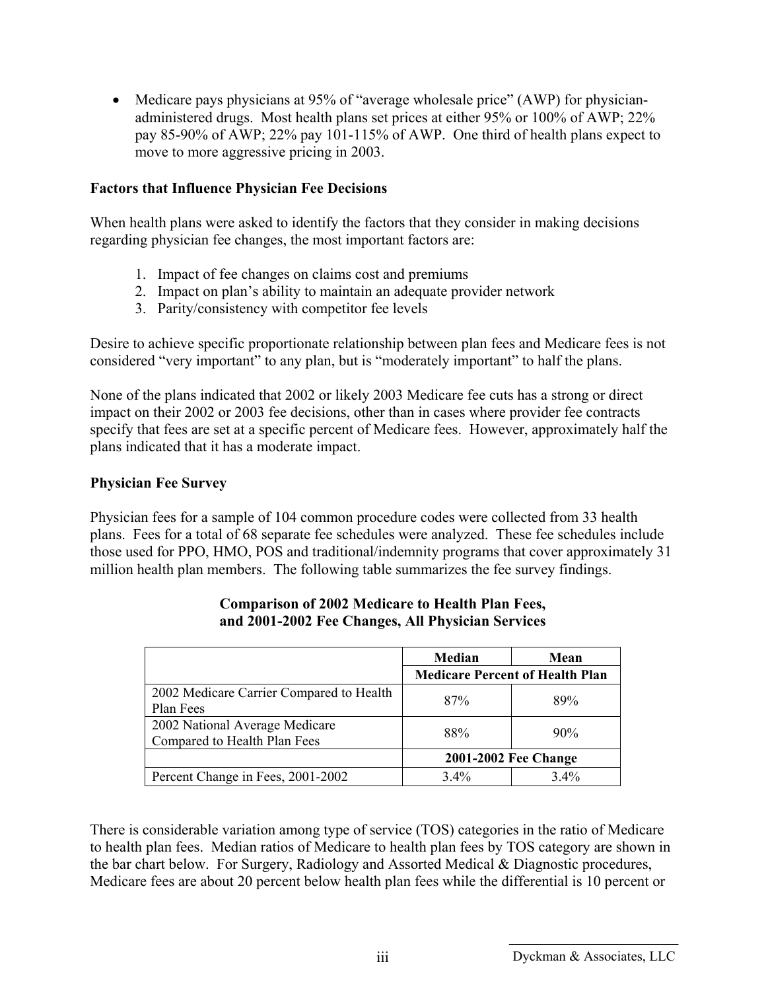• Medicare pays physicians at 95% of "average wholesale price" (AWP) for physicianadministered drugs. Most health plans set prices at either 95% or 100% of AWP; 22% pay 85-90% of AWP; 22% pay 101-115% of AWP. One third of health plans expect to move to more aggressive pricing in 2003.

#### **Factors that Influence Physician Fee Decisions**

When health plans were asked to identify the factors that they consider in making decisions regarding physician fee changes, the most important factors are:

- 1. Impact of fee changes on claims cost and premiums
- 2. Impact on plan's ability to maintain an adequate provider network
- 3. Parity/consistency with competitor fee levels

Desire to achieve specific proportionate relationship between plan fees and Medicare fees is not considered "very important" to any plan, but is "moderately important" to half the plans.

None of the plans indicated that 2002 or likely 2003 Medicare fee cuts has a strong or direct impact on their 2002 or 2003 fee decisions, other than in cases where provider fee contracts specify that fees are set at a specific percent of Medicare fees. However, approximately half the plans indicated that it has a moderate impact.

#### **Physician Fee Survey**

Physician fees for a sample of 104 common procedure codes were collected from 33 health plans. Fees for a total of 68 separate fee schedules were analyzed. These fee schedules include those used for PPO, HMO, POS and traditional/indemnity programs that cover approximately 31 million health plan members. The following table summarizes the fee survey findings.

|                                          | Median                                 | Mean   |
|------------------------------------------|----------------------------------------|--------|
|                                          | <b>Medicare Percent of Health Plan</b> |        |
| 2002 Medicare Carrier Compared to Health | 87%                                    | 89%    |
| Plan Fees                                |                                        |        |
| 2002 National Average Medicare           | 88%                                    | $90\%$ |
| Compared to Health Plan Fees             |                                        |        |
|                                          | 2001-2002 Fee Change                   |        |
| Percent Change in Fees, 2001-2002        | $3.4\%$                                | 3.4%   |

#### **Comparison of 2002 Medicare to Health Plan Fees, and 2001-2002 Fee Changes, All Physician Services**

There is considerable variation among type of service (TOS) categories in the ratio of Medicare to health plan fees. Median ratios of Medicare to health plan fees by TOS category are shown in the bar chart below. For Surgery, Radiology and Assorted Medical & Diagnostic procedures, Medicare fees are about 20 percent below health plan fees while the differential is 10 percent or

iii Dyckman & Associates, LLC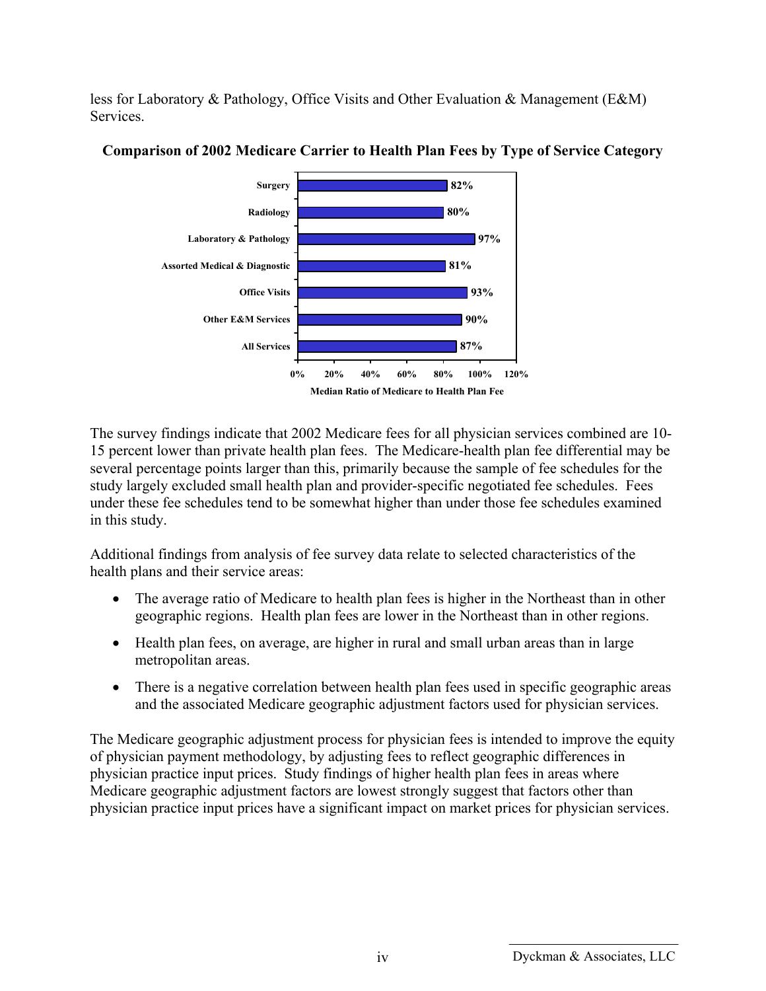less for Laboratory & Pathology, Office Visits and Other Evaluation & Management (E&M) **Services** 



#### **Comparison of 2002 Medicare Carrier to Health Plan Fees by Type of Service Category**

The survey findings indicate that 2002 Medicare fees for all physician services combined are 10- 15 percent lower than private health plan fees. The Medicare-health plan fee differential may be several percentage points larger than this, primarily because the sample of fee schedules for the study largely excluded small health plan and provider-specific negotiated fee schedules. Fees under these fee schedules tend to be somewhat higher than under those fee schedules examined in this study.

Additional findings from analysis of fee survey data relate to selected characteristics of the health plans and their service areas:

- The average ratio of Medicare to health plan fees is higher in the Northeast than in other geographic regions. Health plan fees are lower in the Northeast than in other regions.
- Health plan fees, on average, are higher in rural and small urban areas than in large metropolitan areas.
- There is a negative correlation between health plan fees used in specific geographic areas and the associated Medicare geographic adjustment factors used for physician services.

The Medicare geographic adjustment process for physician fees is intended to improve the equity of physician payment methodology, by adjusting fees to reflect geographic differences in physician practice input prices. Study findings of higher health plan fees in areas where Medicare geographic adjustment factors are lowest strongly suggest that factors other than physician practice input prices have a significant impact on market prices for physician services.

iv Dyckman & Associates, LLC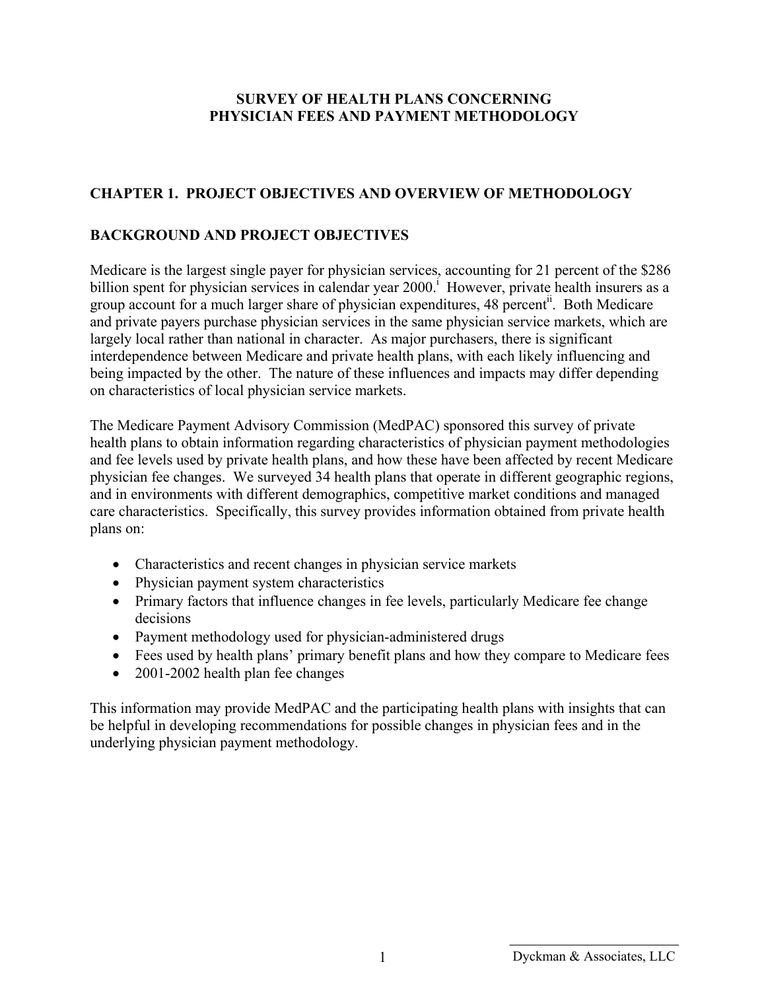#### **SURVEY OF HEALTH PLANS CONCERNING PHYSICIAN FEES AND PAYMENT METHODOLOGY**

## **CHAPTER 1. PROJECT OBJECTIVES AND OVERVIEW OF METHODOLOGY**

### **BACKGROUND AND PROJECT OBJECTIVES**

Medicare is the largest single payer for physician services, accounting for 21 percent of the \$286 billion spent for physician services in calendar year  $2000$ . However, private health insurers as a group account for a much larger share of physician expenditures, 48 percent<sup>ii</sup>. Both Medicare and private payers purchase physician services in the same physician service markets, which are largely local rather than national in character. As major purchasers, there is significant interdependence between Medicare and private health plans, with each likely influencing and being impacted by the other. The nature of these influences and impacts may differ depending on characteristics of local physician service markets.

The Medicare Payment Advisory Commission (MedPAC) sponsored this survey of private health plans to obtain information regarding characteristics of physician payment methodologies and fee levels used by private health plans, and how these have been affected by recent Medicare physician fee changes. We surveyed 34 health plans that operate in different geographic regions, and in environments with different demographics, competitive market conditions and managed care characteristics. Specifically, this survey provides information obtained from private health plans on:

- Characteristics and recent changes in physician service markets
- Physician payment system characteristics
- Primary factors that influence changes in fee levels, particularly Medicare fee change decisions
- Payment methodology used for physician-administered drugs
- Fees used by health plans' primary benefit plans and how they compare to Medicare fees
- 2001-2002 health plan fee changes

This information may provide MedPAC and the participating health plans with insights that can be helpful in developing recommendations for possible changes in physician fees and in the underlying physician payment methodology.

Dyckman & Associates, LLC 1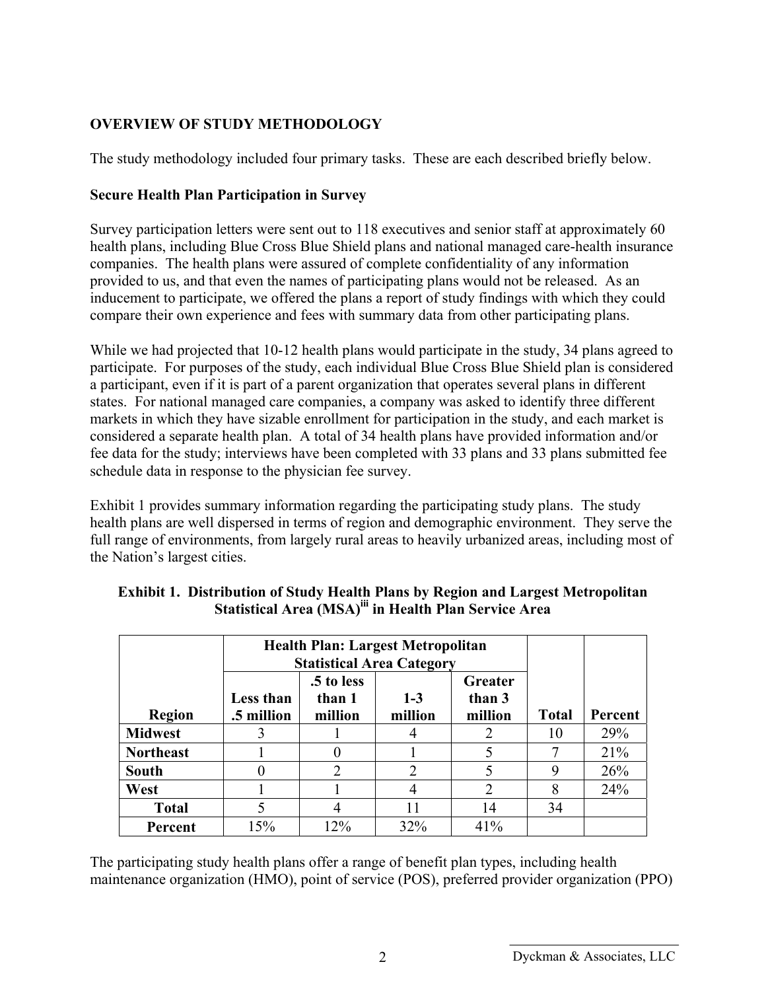## **OVERVIEW OF STUDY METHODOLOGY**

The study methodology included four primary tasks. These are each described briefly below.

#### **Secure Health Plan Participation in Survey**

Survey participation letters were sent out to 118 executives and senior staff at approximately 60 health plans, including Blue Cross Blue Shield plans and national managed care-health insurance companies. The health plans were assured of complete confidentiality of any information provided to us, and that even the names of participating plans would not be released. As an inducement to participate, we offered the plans a report of study findings with which they could compare their own experience and fees with summary data from other participating plans.

While we had projected that 10-12 health plans would participate in the study, 34 plans agreed to participate. For purposes of the study, each individual Blue Cross Blue Shield plan is considered a participant, even if it is part of a parent organization that operates several plans in different states. For national managed care companies, a company was asked to identify three different markets in which they have sizable enrollment for participation in the study, and each market is considered a separate health plan. A total of 34 health plans have provided information and/or fee data for the study; interviews have been completed with 33 plans and 33 plans submitted fee schedule data in response to the physician fee survey.

Exhibit 1 provides summary information regarding the participating study plans. The study health plans are well dispersed in terms of region and demographic environment. They serve the full range of environments, from largely rural areas to heavily urbanized areas, including most of the Nation's largest cities.

|                  | <b>Health Plan: Largest Metropolitan</b><br><b>Statistical Area Category</b> |                                 |                    |                              |              |         |
|------------------|------------------------------------------------------------------------------|---------------------------------|--------------------|------------------------------|--------------|---------|
| <b>Region</b>    | Less than<br>.5 million                                                      | .5 to less<br>than 1<br>million | $1 - 3$<br>million | Greater<br>than 3<br>million | <b>Total</b> | Percent |
| <b>Midwest</b>   | 3                                                                            |                                 |                    | $\overline{2}$               | 10           | 29%     |
| <b>Northeast</b> |                                                                              |                                 |                    |                              |              | 21%     |
| <b>South</b>     |                                                                              | $\overline{2}$                  | ∍                  |                              | 9            | 26%     |
| West             |                                                                              |                                 |                    | $\overline{2}$               | 8            | 24%     |
| <b>Total</b>     |                                                                              |                                 |                    | 14                           | 34           |         |
| Percent          | 15%                                                                          | 12%                             | 32%                | 41%                          |              |         |

#### **Exhibit 1. Distribution of Study Health Plans by Region and Largest Metropolitan Statistical Area (MSA)iii in Health Plan Service Area**

The participating study health plans offer a range of benefit plan types, including health maintenance organization (HMO), point of service (POS), preferred provider organization (PPO)

<sup>2</sup> Dyckman & Associates, LLC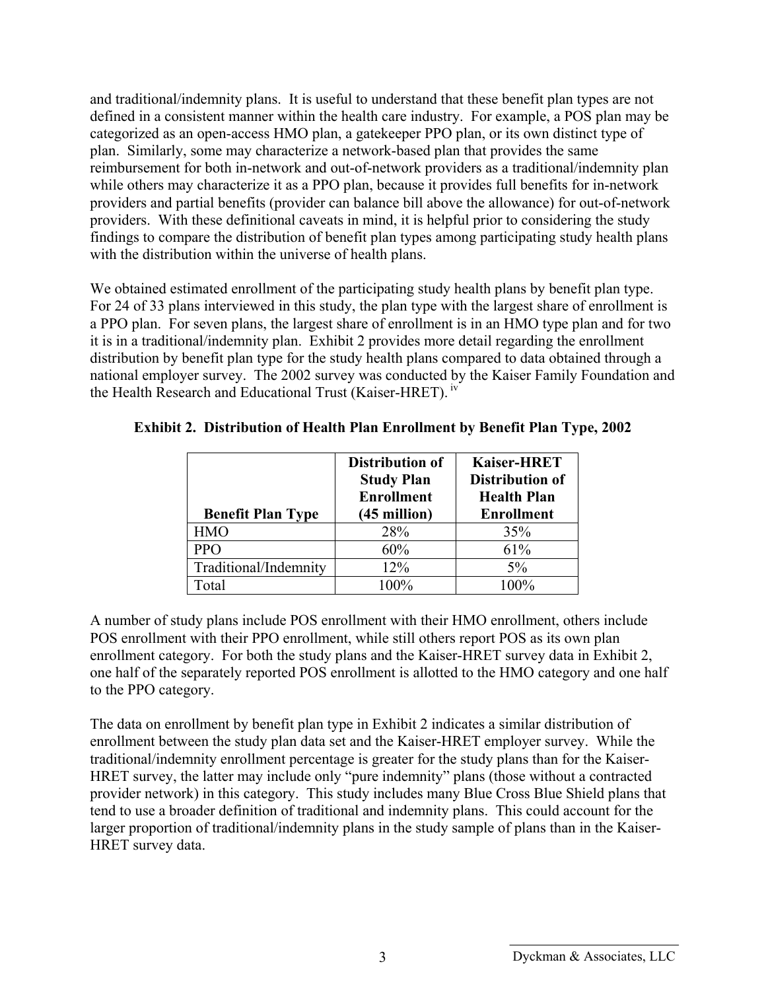and traditional/indemnity plans. It is useful to understand that these benefit plan types are not defined in a consistent manner within the health care industry. For example, a POS plan may be categorized as an open-access HMO plan, a gatekeeper PPO plan, or its own distinct type of plan. Similarly, some may characterize a network-based plan that provides the same reimbursement for both in-network and out-of-network providers as a traditional/indemnity plan while others may characterize it as a PPO plan, because it provides full benefits for in-network providers and partial benefits (provider can balance bill above the allowance) for out-of-network providers. With these definitional caveats in mind, it is helpful prior to considering the study findings to compare the distribution of benefit plan types among participating study health plans with the distribution within the universe of health plans.

We obtained estimated enrollment of the participating study health plans by benefit plan type. For 24 of 33 plans interviewed in this study, the plan type with the largest share of enrollment is a PPO plan. For seven plans, the largest share of enrollment is in an HMO type plan and for two it is in a traditional/indemnity plan. Exhibit 2 provides more detail regarding the enrollment distribution by benefit plan type for the study health plans compared to data obtained through a national employer survey. The 2002 survey was conducted by the Kaiser Family Foundation and the Health Research and Educational Trust (Kaiser-HRET). iv

| <b>Benefit Plan Type</b> | Distribution of<br><b>Study Plan</b><br><b>Enrollment</b><br>$(45$ million) | <b>Kaiser-HRET</b><br>Distribution of<br><b>Health Plan</b><br><b>Enrollment</b> |
|--------------------------|-----------------------------------------------------------------------------|----------------------------------------------------------------------------------|
| <b>HMO</b>               | 28%                                                                         | 35%                                                                              |
| <b>PPO</b>               | 60%                                                                         | 61%                                                                              |
| Traditional/Indemnity    | 12%                                                                         | $5\%$                                                                            |
| `otal                    | $100\%$                                                                     | $100\%$                                                                          |

#### **Exhibit 2. Distribution of Health Plan Enrollment by Benefit Plan Type, 2002**

A number of study plans include POS enrollment with their HMO enrollment, others include POS enrollment with their PPO enrollment, while still others report POS as its own plan enrollment category. For both the study plans and the Kaiser-HRET survey data in Exhibit 2, one half of the separately reported POS enrollment is allotted to the HMO category and one half to the PPO category.

The data on enrollment by benefit plan type in Exhibit 2 indicates a similar distribution of enrollment between the study plan data set and the Kaiser-HRET employer survey. While the traditional/indemnity enrollment percentage is greater for the study plans than for the Kaiser-HRET survey, the latter may include only "pure indemnity" plans (those without a contracted provider network) in this category. This study includes many Blue Cross Blue Shield plans that tend to use a broader definition of traditional and indemnity plans. This could account for the larger proportion of traditional/indemnity plans in the study sample of plans than in the Kaiser-HRET survey data.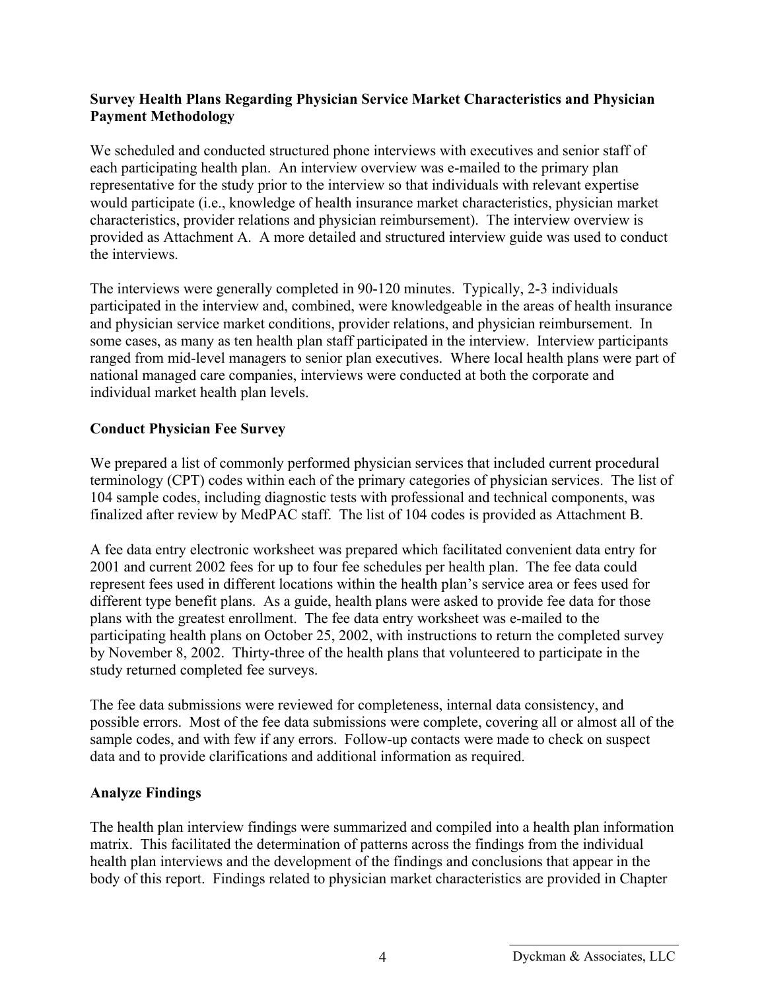#### **Survey Health Plans Regarding Physician Service Market Characteristics and Physician Payment Methodology**

We scheduled and conducted structured phone interviews with executives and senior staff of each participating health plan. An interview overview was e-mailed to the primary plan representative for the study prior to the interview so that individuals with relevant expertise would participate (i.e., knowledge of health insurance market characteristics, physician market characteristics, provider relations and physician reimbursement). The interview overview is provided as Attachment A. A more detailed and structured interview guide was used to conduct the interviews.

The interviews were generally completed in 90-120 minutes. Typically, 2-3 individuals participated in the interview and, combined, were knowledgeable in the areas of health insurance and physician service market conditions, provider relations, and physician reimbursement. In some cases, as many as ten health plan staff participated in the interview. Interview participants ranged from mid-level managers to senior plan executives. Where local health plans were part of national managed care companies, interviews were conducted at both the corporate and individual market health plan levels.

#### **Conduct Physician Fee Survey**

We prepared a list of commonly performed physician services that included current procedural terminology (CPT) codes within each of the primary categories of physician services. The list of 104 sample codes, including diagnostic tests with professional and technical components, was finalized after review by MedPAC staff. The list of 104 codes is provided as Attachment B.

A fee data entry electronic worksheet was prepared which facilitated convenient data entry for 2001 and current 2002 fees for up to four fee schedules per health plan. The fee data could represent fees used in different locations within the health plan's service area or fees used for different type benefit plans. As a guide, health plans were asked to provide fee data for those plans with the greatest enrollment. The fee data entry worksheet was e-mailed to the participating health plans on October 25, 2002, with instructions to return the completed survey by November 8, 2002. Thirty-three of the health plans that volunteered to participate in the study returned completed fee surveys.

The fee data submissions were reviewed for completeness, internal data consistency, and possible errors. Most of the fee data submissions were complete, covering all or almost all of the sample codes, and with few if any errors. Follow-up contacts were made to check on suspect data and to provide clarifications and additional information as required.

#### **Analyze Findings**

The health plan interview findings were summarized and compiled into a health plan information matrix. This facilitated the determination of patterns across the findings from the individual health plan interviews and the development of the findings and conclusions that appear in the body of this report. Findings related to physician market characteristics are provided in Chapter

Dyckman & Associates, LLC 4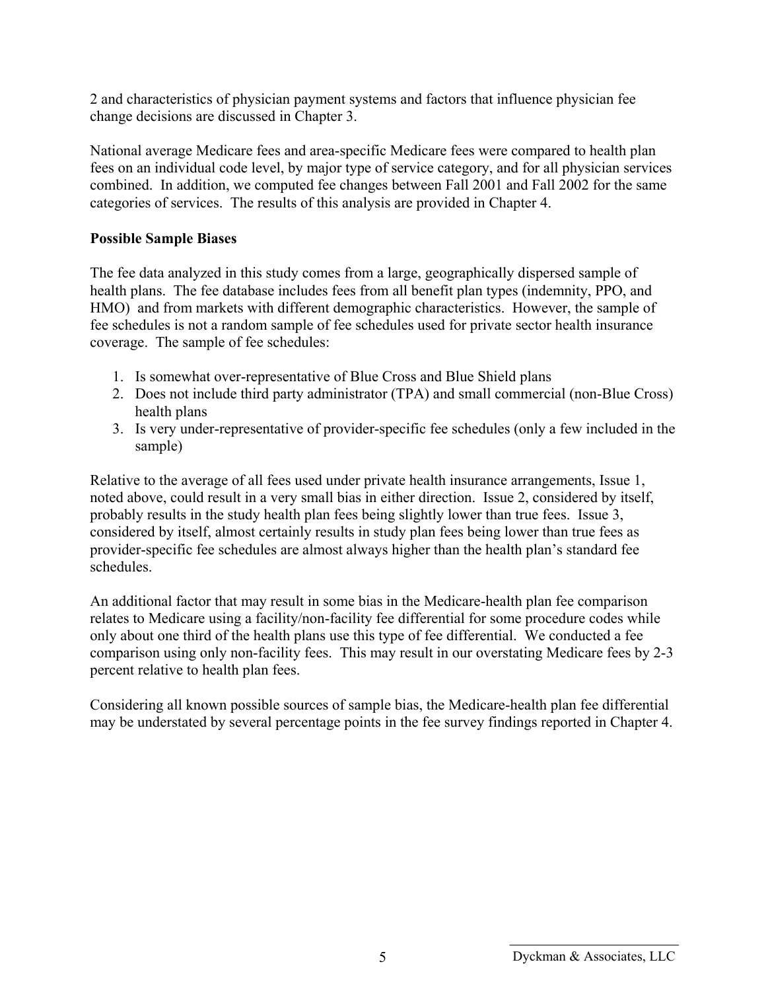2 and characteristics of physician payment systems and factors that influence physician fee change decisions are discussed in Chapter 3.

National average Medicare fees and area-specific Medicare fees were compared to health plan fees on an individual code level, by major type of service category, and for all physician services combined. In addition, we computed fee changes between Fall 2001 and Fall 2002 for the same categories of services. The results of this analysis are provided in Chapter 4.

#### **Possible Sample Biases**

The fee data analyzed in this study comes from a large, geographically dispersed sample of health plans. The fee database includes fees from all benefit plan types (indemnity, PPO, and HMO) and from markets with different demographic characteristics. However, the sample of fee schedules is not a random sample of fee schedules used for private sector health insurance coverage. The sample of fee schedules:

- 1. Is somewhat over-representative of Blue Cross and Blue Shield plans
- 2. Does not include third party administrator (TPA) and small commercial (non-Blue Cross) health plans
- 3. Is very under-representative of provider-specific fee schedules (only a few included in the sample)

Relative to the average of all fees used under private health insurance arrangements, Issue 1, noted above, could result in a very small bias in either direction. Issue 2, considered by itself, probably results in the study health plan fees being slightly lower than true fees. Issue 3, considered by itself, almost certainly results in study plan fees being lower than true fees as provider-specific fee schedules are almost always higher than the health plan's standard fee schedules.

An additional factor that may result in some bias in the Medicare-health plan fee comparison relates to Medicare using a facility/non-facility fee differential for some procedure codes while only about one third of the health plans use this type of fee differential. We conducted a fee comparison using only non-facility fees. This may result in our overstating Medicare fees by 2-3 percent relative to health plan fees.

Considering all known possible sources of sample bias, the Medicare-health plan fee differential may be understated by several percentage points in the fee survey findings reported in Chapter 4.

<sup>5</sup> Dyckman & Associates, LLC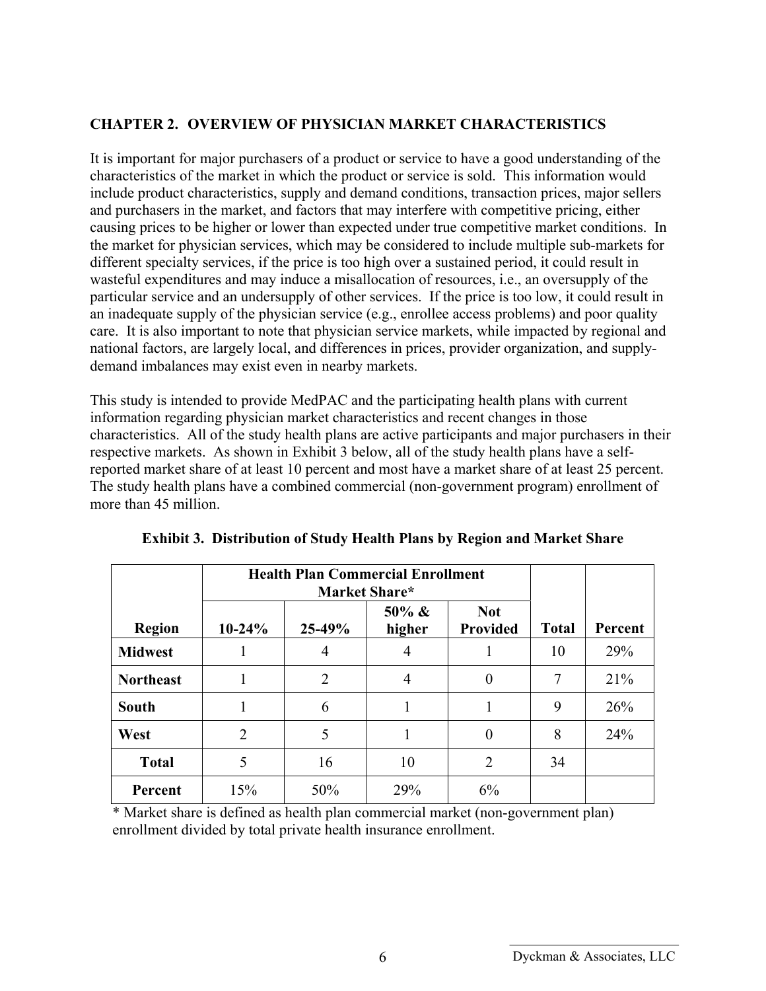#### **CHAPTER 2. OVERVIEW OF PHYSICIAN MARKET CHARACTERISTICS**

It is important for major purchasers of a product or service to have a good understanding of the characteristics of the market in which the product or service is sold. This information would include product characteristics, supply and demand conditions, transaction prices, major sellers and purchasers in the market, and factors that may interfere with competitive pricing, either causing prices to be higher or lower than expected under true competitive market conditions. In the market for physician services, which may be considered to include multiple sub-markets for different specialty services, if the price is too high over a sustained period, it could result in wasteful expenditures and may induce a misallocation of resources, i.e., an oversupply of the particular service and an undersupply of other services. If the price is too low, it could result in an inadequate supply of the physician service (e.g., enrollee access problems) and poor quality care. It is also important to note that physician service markets, while impacted by regional and national factors, are largely local, and differences in prices, provider organization, and supplydemand imbalances may exist even in nearby markets.

This study is intended to provide MedPAC and the participating health plans with current information regarding physician market characteristics and recent changes in those characteristics. All of the study health plans are active participants and major purchasers in their respective markets. As shown in Exhibit 3 below, all of the study health plans have a selfreported market share of at least 10 percent and most have a market share of at least 25 percent. The study health plans have a combined commercial (non-government program) enrollment of more than 45 million.

|                  | <b>Health Plan Commercial Enrollment</b><br>Market Share* |                |                     |                               |              |         |
|------------------|-----------------------------------------------------------|----------------|---------------------|-------------------------------|--------------|---------|
| <b>Region</b>    | $10-24%$                                                  | 25-49%         | $50\% \&$<br>higher | <b>Not</b><br><b>Provided</b> | <b>Total</b> | Percent |
| <b>Midwest</b>   |                                                           | 4              | 4                   |                               | 10           | 29%     |
| <b>Northeast</b> |                                                           | $\overline{2}$ | 4                   | $\theta$                      | 7            | 21%     |
| <b>South</b>     |                                                           | 6              |                     |                               | 9            | 26%     |
| West             | $\overline{2}$                                            | 5              |                     | $\theta$                      | 8            | 24%     |
| <b>Total</b>     | 5                                                         | 16             | 10                  | $\overline{2}$                | 34           |         |
| Percent          | 15%                                                       | 50%            | 29%                 | 6%                            |              |         |

| <b>Exhibit 3. Distribution of Study Health Plans by Region and Market Share</b> |  |  |  |
|---------------------------------------------------------------------------------|--|--|--|
|                                                                                 |  |  |  |

\* Market share is defined as health plan commercial market (non-government plan) enrollment divided by total private health insurance enrollment.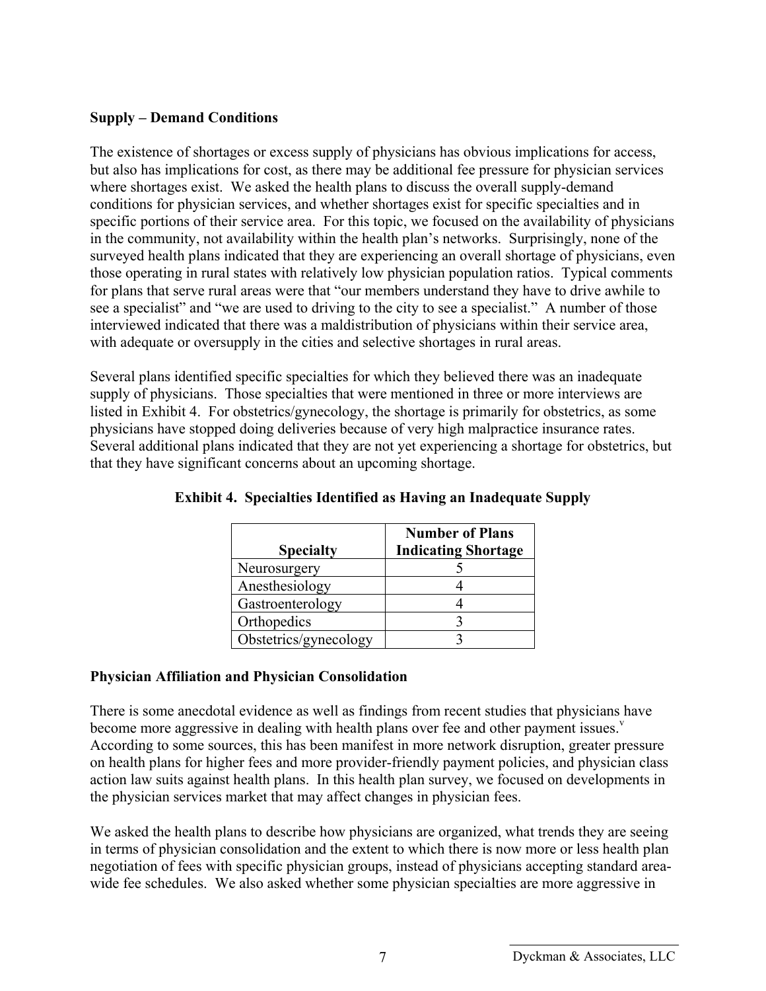#### **Supply – Demand Conditions**

The existence of shortages or excess supply of physicians has obvious implications for access, but also has implications for cost, as there may be additional fee pressure for physician services where shortages exist. We asked the health plans to discuss the overall supply-demand conditions for physician services, and whether shortages exist for specific specialties and in specific portions of their service area. For this topic, we focused on the availability of physicians in the community, not availability within the health plan's networks. Surprisingly, none of the surveyed health plans indicated that they are experiencing an overall shortage of physicians, even those operating in rural states with relatively low physician population ratios. Typical comments for plans that serve rural areas were that "our members understand they have to drive awhile to see a specialist" and "we are used to driving to the city to see a specialist." A number of those interviewed indicated that there was a maldistribution of physicians within their service area, with adequate or oversupply in the cities and selective shortages in rural areas.

Several plans identified specific specialties for which they believed there was an inadequate supply of physicians. Those specialties that were mentioned in three or more interviews are listed in Exhibit 4. For obstetrics/gynecology, the shortage is primarily for obstetrics, as some physicians have stopped doing deliveries because of very high malpractice insurance rates. Several additional plans indicated that they are not yet experiencing a shortage for obstetrics, but that they have significant concerns about an upcoming shortage.

| <b>Specialty</b>      | <b>Number of Plans</b><br><b>Indicating Shortage</b> |
|-----------------------|------------------------------------------------------|
| Neurosurgery          |                                                      |
| Anesthesiology        |                                                      |
| Gastroenterology      |                                                      |
| Orthopedics           |                                                      |
| Obstetrics/gynecology |                                                      |

**Exhibit 4. Specialties Identified as Having an Inadequate Supply** 

### **Physician Affiliation and Physician Consolidation**

There is some anecdotal evidence as well as findings from recent studies that physicians have become more aggressive in dealing with health plans over fee and other payment issues. $v$ According to some sources, this has been manifest in more network disruption, greater pressure on health plans for higher fees and more provider-friendly payment policies, and physician class action law suits against health plans. In this health plan survey, we focused on developments in the physician services market that may affect changes in physician fees.

We asked the health plans to describe how physicians are organized, what trends they are seeing in terms of physician consolidation and the extent to which there is now more or less health plan negotiation of fees with specific physician groups, instead of physicians accepting standard areawide fee schedules. We also asked whether some physician specialties are more aggressive in

Dyckman & Associates, LLC 7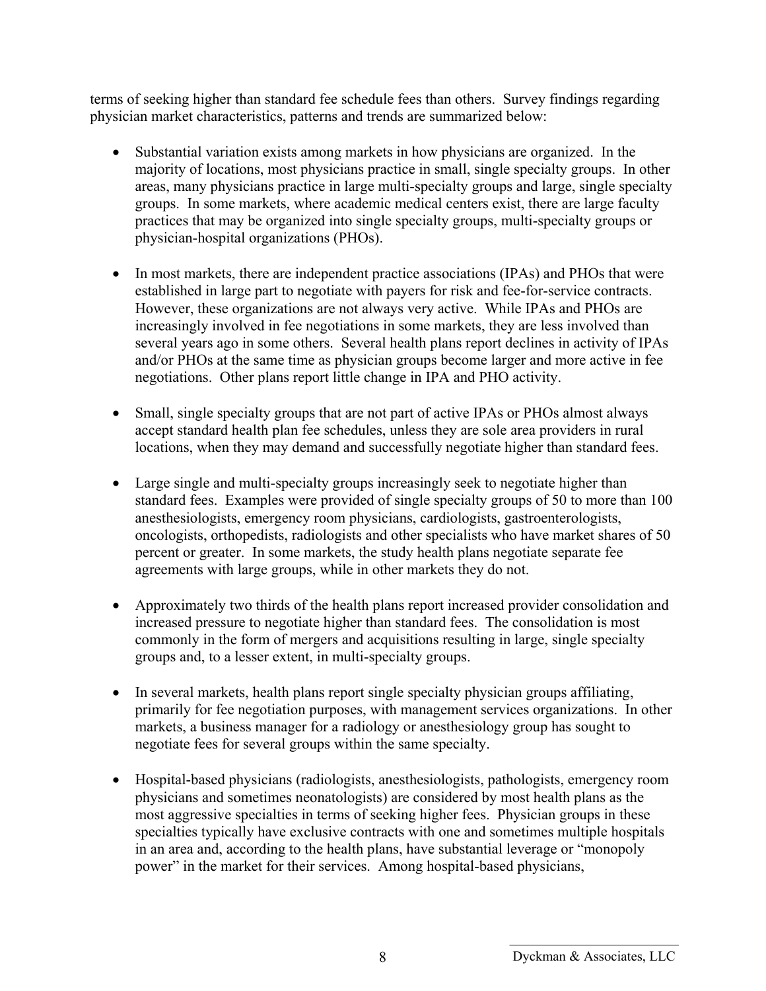terms of seeking higher than standard fee schedule fees than others. Survey findings regarding physician market characteristics, patterns and trends are summarized below:

- Substantial variation exists among markets in how physicians are organized. In the majority of locations, most physicians practice in small, single specialty groups. In other areas, many physicians practice in large multi-specialty groups and large, single specialty groups. In some markets, where academic medical centers exist, there are large faculty practices that may be organized into single specialty groups, multi-specialty groups or physician-hospital organizations (PHOs).
- In most markets, there are independent practice associations (IPAs) and PHOs that were established in large part to negotiate with payers for risk and fee-for-service contracts. However, these organizations are not always very active. While IPAs and PHOs are increasingly involved in fee negotiations in some markets, they are less involved than several years ago in some others. Several health plans report declines in activity of IPAs and/or PHOs at the same time as physician groups become larger and more active in fee negotiations. Other plans report little change in IPA and PHO activity.
- Small, single specialty groups that are not part of active IPAs or PHOs almost always accept standard health plan fee schedules, unless they are sole area providers in rural locations, when they may demand and successfully negotiate higher than standard fees.
- Large single and multi-specialty groups increasingly seek to negotiate higher than standard fees. Examples were provided of single specialty groups of 50 to more than 100 anesthesiologists, emergency room physicians, cardiologists, gastroenterologists, oncologists, orthopedists, radiologists and other specialists who have market shares of 50 percent or greater. In some markets, the study health plans negotiate separate fee agreements with large groups, while in other markets they do not.
- Approximately two thirds of the health plans report increased provider consolidation and increased pressure to negotiate higher than standard fees. The consolidation is most commonly in the form of mergers and acquisitions resulting in large, single specialty groups and, to a lesser extent, in multi-specialty groups.
- In several markets, health plans report single specialty physician groups affiliating, primarily for fee negotiation purposes, with management services organizations. In other markets, a business manager for a radiology or anesthesiology group has sought to negotiate fees for several groups within the same specialty.
- Hospital-based physicians (radiologists, anesthesiologists, pathologists, emergency room physicians and sometimes neonatologists) are considered by most health plans as the most aggressive specialties in terms of seeking higher fees. Physician groups in these specialties typically have exclusive contracts with one and sometimes multiple hospitals in an area and, according to the health plans, have substantial leverage or "monopoly power" in the market for their services. Among hospital-based physicians,

<sup>8</sup> Dyckman & Associates, LLC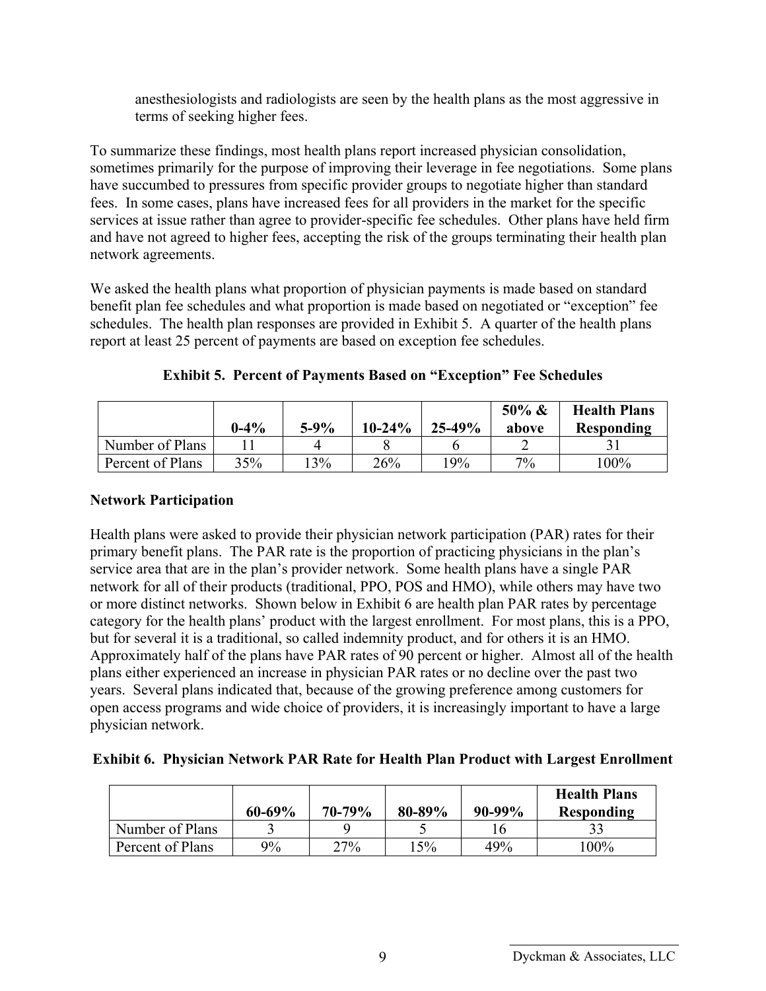anesthesiologists and radiologists are seen by the health plans as the most aggressive in terms of seeking higher fees.

To summarize these findings, most health plans report increased physician consolidation, sometimes primarily for the purpose of improving their leverage in fee negotiations. Some plans have succumbed to pressures from specific provider groups to negotiate higher than standard fees. In some cases, plans have increased fees for all providers in the market for the specific services at issue rather than agree to provider-specific fee schedules. Other plans have held firm and have not agreed to higher fees, accepting the risk of the groups terminating their health plan network agreements.

We asked the health plans what proportion of physician payments is made based on standard benefit plan fee schedules and what proportion is made based on negotiated or "exception" fee schedules. The health plan responses are provided in Exhibit 5. A quarter of the health plans report at least 25 percent of payments are based on exception fee schedules.

|                  | $0 - 4\%$ | $5-9%$ | $10 - 24\%$ | $25 - 49%$ | $50\% \&$<br>above | <b>Health Plans</b><br><b>Responding</b> |
|------------------|-----------|--------|-------------|------------|--------------------|------------------------------------------|
| Number of Plans  |           |        |             |            |                    |                                          |
| Percent of Plans | 35%       | 13%    | 26%         | 19%        | 7%                 | 100%                                     |

**Exhibit 5. Percent of Payments Based on "Exception" Fee Schedules** 

## **Network Participation**

Health plans were asked to provide their physician network participation (PAR) rates for their primary benefit plans. The PAR rate is the proportion of practicing physicians in the plan's service area that are in the plan's provider network. Some health plans have a single PAR network for all of their products (traditional, PPO, POS and HMO), while others may have two or more distinct networks. Shown below in Exhibit 6 are health plan PAR rates by percentage category for the health plans' product with the largest enrollment. For most plans, this is a PPO, but for several it is a traditional, so called indemnity product, and for others it is an HMO. Approximately half of the plans have PAR rates of 90 percent or higher. Almost all of the health plans either experienced an increase in physician PAR rates or no decline over the past two years. Several plans indicated that, because of the growing preference among customers for open access programs and wide choice of providers, it is increasingly important to have a large physician network.

**Exhibit 6. Physician Network PAR Rate for Health Plan Product with Largest Enrollment** 

|                  | $60 - 69\%$ | $70 - 79\%$ | 80-89% | $90 - 99\%$ | <b>Health Plans</b><br><b>Responding</b> |
|------------------|-------------|-------------|--------|-------------|------------------------------------------|
| Number of Plans  |             |             |        |             |                                          |
| Percent of Plans | 9%          | 27%         | 15%    | 49%         | $100\%$                                  |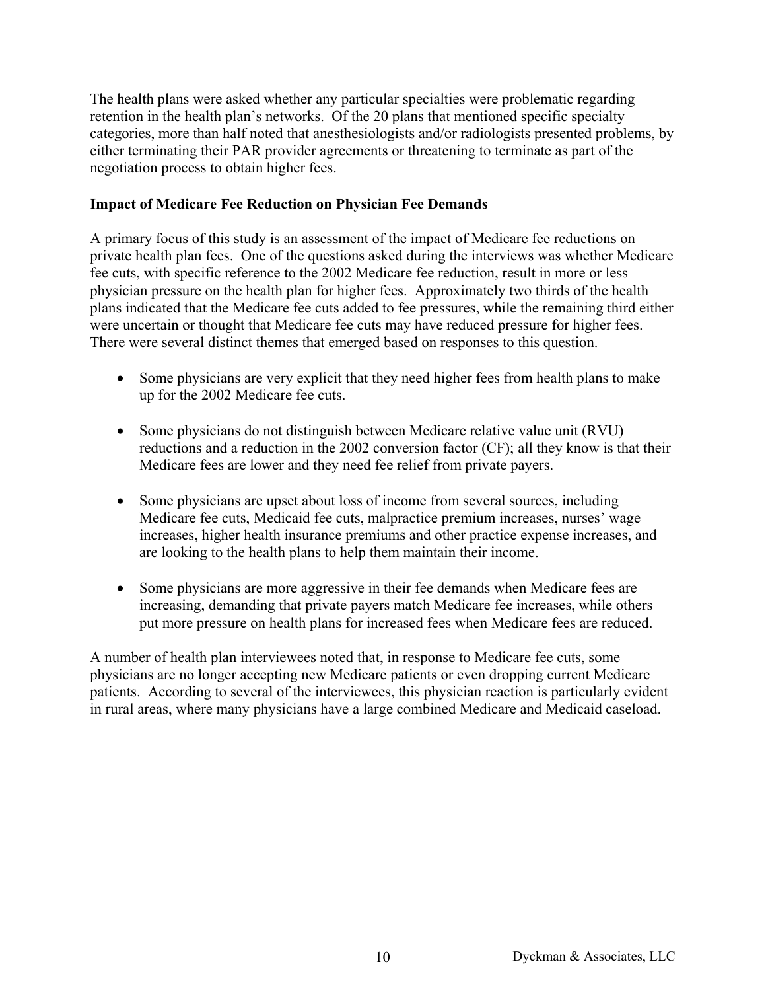The health plans were asked whether any particular specialties were problematic regarding retention in the health plan's networks. Of the 20 plans that mentioned specific specialty categories, more than half noted that anesthesiologists and/or radiologists presented problems, by either terminating their PAR provider agreements or threatening to terminate as part of the negotiation process to obtain higher fees.

#### **Impact of Medicare Fee Reduction on Physician Fee Demands**

A primary focus of this study is an assessment of the impact of Medicare fee reductions on private health plan fees. One of the questions asked during the interviews was whether Medicare fee cuts, with specific reference to the 2002 Medicare fee reduction, result in more or less physician pressure on the health plan for higher fees. Approximately two thirds of the health plans indicated that the Medicare fee cuts added to fee pressures, while the remaining third either were uncertain or thought that Medicare fee cuts may have reduced pressure for higher fees. There were several distinct themes that emerged based on responses to this question.

- Some physicians are very explicit that they need higher fees from health plans to make up for the 2002 Medicare fee cuts.
- Some physicians do not distinguish between Medicare relative value unit (RVU) reductions and a reduction in the 2002 conversion factor (CF); all they know is that their Medicare fees are lower and they need fee relief from private payers.
- Some physicians are upset about loss of income from several sources, including Medicare fee cuts, Medicaid fee cuts, malpractice premium increases, nurses' wage increases, higher health insurance premiums and other practice expense increases, and are looking to the health plans to help them maintain their income.
- Some physicians are more aggressive in their fee demands when Medicare fees are increasing, demanding that private payers match Medicare fee increases, while others put more pressure on health plans for increased fees when Medicare fees are reduced.

A number of health plan interviewees noted that, in response to Medicare fee cuts, some physicians are no longer accepting new Medicare patients or even dropping current Medicare patients. According to several of the interviewees, this physician reaction is particularly evident in rural areas, where many physicians have a large combined Medicare and Medicaid caseload.

<sup>10</sup> Dyckman & Associates, LLC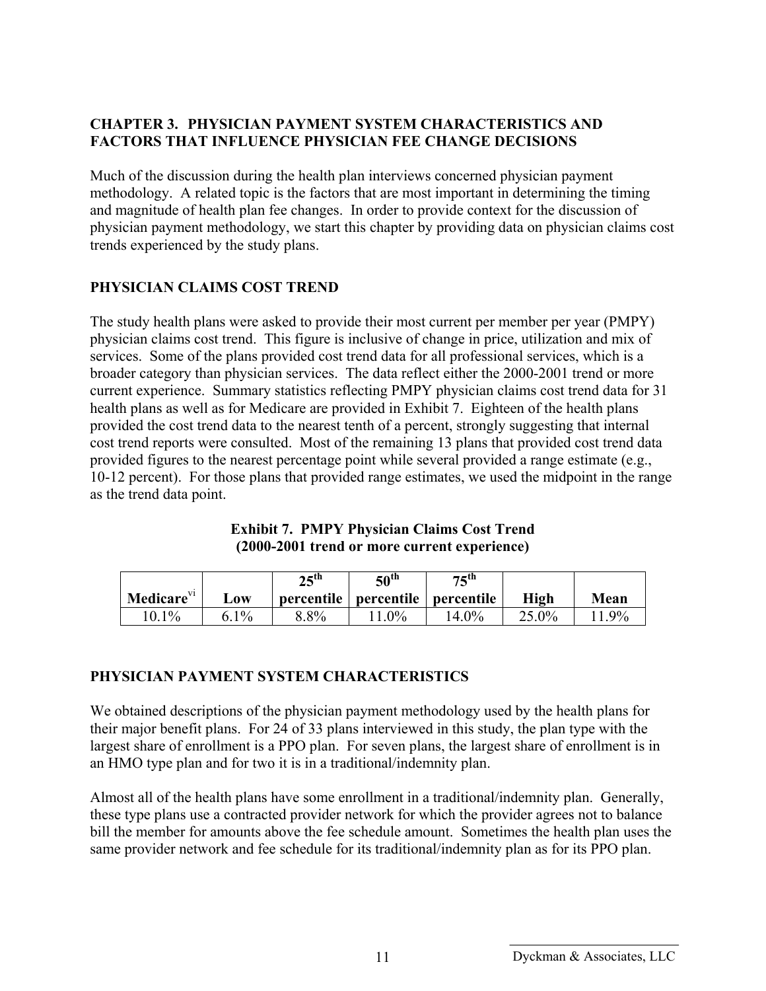#### **CHAPTER 3. PHYSICIAN PAYMENT SYSTEM CHARACTERISTICS AND FACTORS THAT INFLUENCE PHYSICIAN FEE CHANGE DECISIONS**

Much of the discussion during the health plan interviews concerned physician payment methodology. A related topic is the factors that are most important in determining the timing and magnitude of health plan fee changes. In order to provide context for the discussion of physician payment methodology, we start this chapter by providing data on physician claims cost trends experienced by the study plans.

#### **PHYSICIAN CLAIMS COST TREND**

The study health plans were asked to provide their most current per member per year (PMPY) physician claims cost trend. This figure is inclusive of change in price, utilization and mix of services. Some of the plans provided cost trend data for all professional services, which is a broader category than physician services. The data reflect either the 2000-2001 trend or more current experience. Summary statistics reflecting PMPY physician claims cost trend data for 31 health plans as well as for Medicare are provided in Exhibit 7. Eighteen of the health plans provided the cost trend data to the nearest tenth of a percent, strongly suggesting that internal cost trend reports were consulted. Most of the remaining 13 plans that provided cost trend data provided figures to the nearest percentage point while several provided a range estimate (e.g., 10-12 percent). For those plans that provided range estimates, we used the midpoint in the range as the trend data point.

| Medicare <sup>VI</sup> | $\mathbf{L}\mathbf{0}\mathbf{W}$ | $25^{\text{th}}$ | $50^{\text{th}}$<br>percentile   percentile   percentile | $75^\text{th}$ | <b>High</b> | Mean  |
|------------------------|----------------------------------|------------------|----------------------------------------------------------|----------------|-------------|-------|
| $10.1\%$               | $1\%$<br>6 <sub>1</sub>          | 8.8%             | $0\%$                                                    | $4.0\%$        | $25.0\%$    | $9\%$ |

#### **Exhibit 7. PMPY Physician Claims Cost Trend (2000-2001 trend or more current experience)**

#### **PHYSICIAN PAYMENT SYSTEM CHARACTERISTICS**

We obtained descriptions of the physician payment methodology used by the health plans for their major benefit plans. For 24 of 33 plans interviewed in this study, the plan type with the largest share of enrollment is a PPO plan. For seven plans, the largest share of enrollment is in an HMO type plan and for two it is in a traditional/indemnity plan.

Almost all of the health plans have some enrollment in a traditional/indemnity plan. Generally, these type plans use a contracted provider network for which the provider agrees not to balance bill the member for amounts above the fee schedule amount. Sometimes the health plan uses the same provider network and fee schedule for its traditional/indemnity plan as for its PPO plan.

<sup>11</sup> Dyckman & Associates, LLC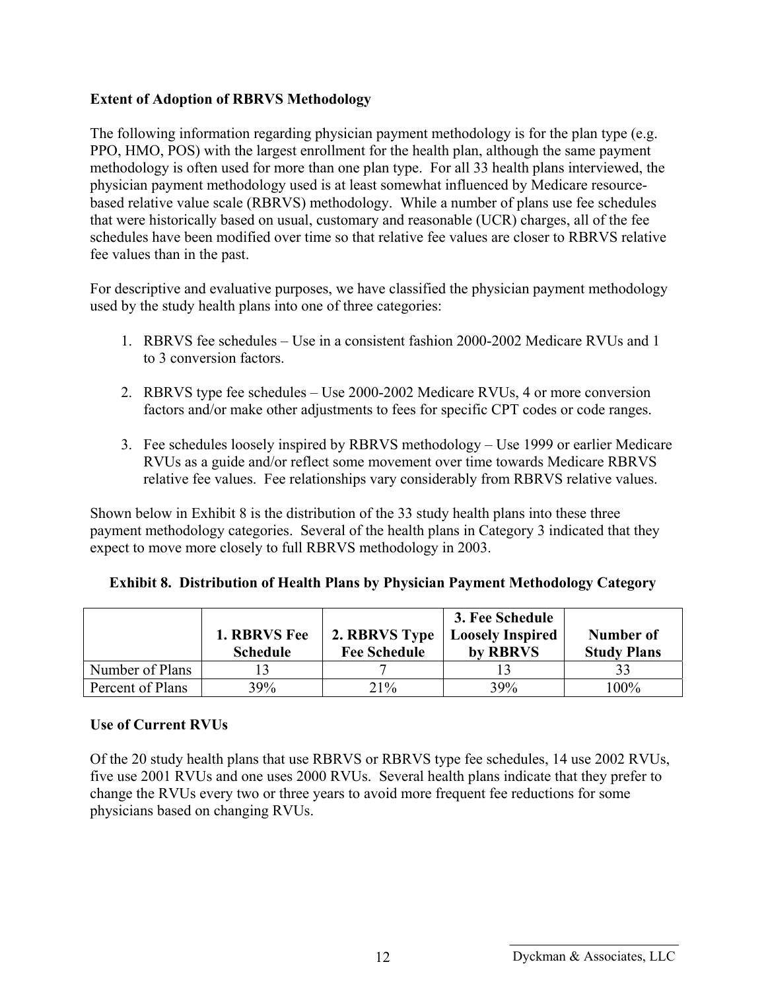#### **Extent of Adoption of RBRVS Methodology**

The following information regarding physician payment methodology is for the plan type (e.g. PPO, HMO, POS) with the largest enrollment for the health plan, although the same payment methodology is often used for more than one plan type. For all 33 health plans interviewed, the physician payment methodology used is at least somewhat influenced by Medicare resourcebased relative value scale (RBRVS) methodology. While a number of plans use fee schedules that were historically based on usual, customary and reasonable (UCR) charges, all of the fee schedules have been modified over time so that relative fee values are closer to RBRVS relative fee values than in the past.

For descriptive and evaluative purposes, we have classified the physician payment methodology used by the study health plans into one of three categories:

- 1. RBRVS fee schedules Use in a consistent fashion 2000-2002 Medicare RVUs and 1 to 3 conversion factors.
- 2. RBRVS type fee schedules Use 2000-2002 Medicare RVUs, 4 or more conversion factors and/or make other adjustments to fees for specific CPT codes or code ranges.
- 3. Fee schedules loosely inspired by RBRVS methodology Use 1999 or earlier Medicare RVUs as a guide and/or reflect some movement over time towards Medicare RBRVS relative fee values. Fee relationships vary considerably from RBRVS relative values.

Shown below in Exhibit 8 is the distribution of the 33 study health plans into these three payment methodology categories. Several of the health plans in Category 3 indicated that they expect to move more closely to full RBRVS methodology in 2003.

|                  | <b>1. RBRVS Fee</b><br><b>Schedule</b> | 2. RBRVS Type<br><b>Fee Schedule</b> | 3. Fee Schedule<br><b>Loosely Inspired</b><br>by RBRVS | Number of<br><b>Study Plans</b> |
|------------------|----------------------------------------|--------------------------------------|--------------------------------------------------------|---------------------------------|
| Number of Plans  |                                        |                                      |                                                        |                                 |
| Percent of Plans | 39%                                    | 21%                                  | 39%                                                    | 100%                            |

### **Exhibit 8. Distribution of Health Plans by Physician Payment Methodology Category**

#### **Use of Current RVUs**

Of the 20 study health plans that use RBRVS or RBRVS type fee schedules, 14 use 2002 RVUs, five use 2001 RVUs and one uses 2000 RVUs. Several health plans indicate that they prefer to change the RVUs every two or three years to avoid more frequent fee reductions for some physicians based on changing RVUs.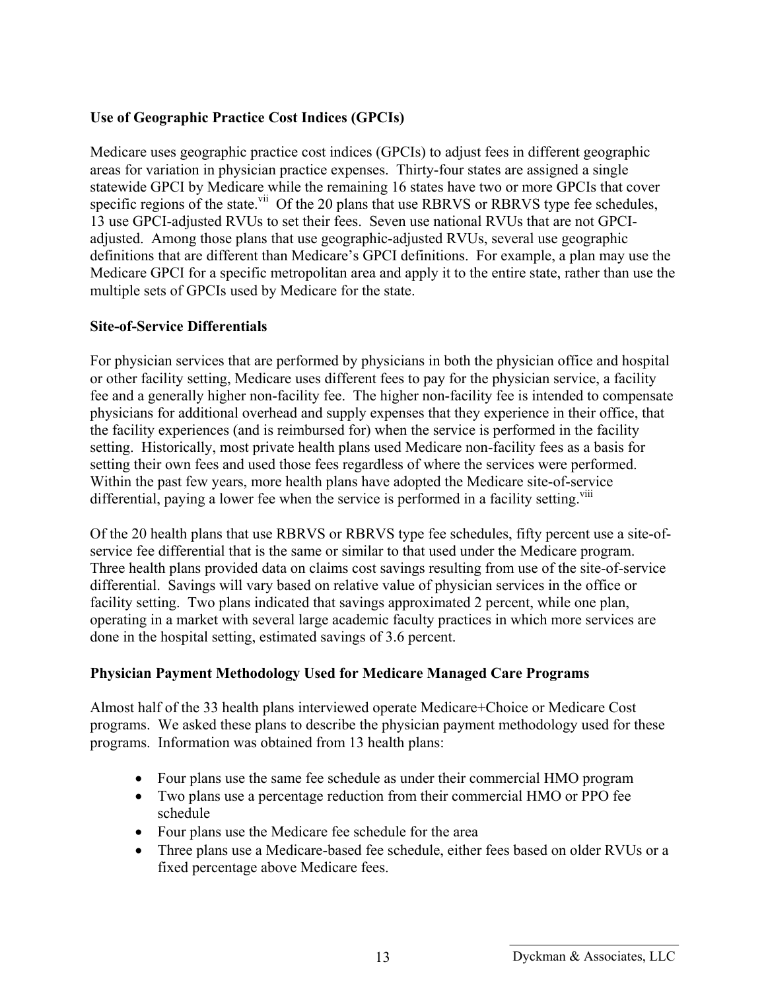#### **Use of Geographic Practice Cost Indices (GPCIs)**

Medicare uses geographic practice cost indices (GPCIs) to adjust fees in different geographic areas for variation in physician practice expenses. Thirty-four states are assigned a single statewide GPCI by Medicare while the remaining 16 states have two or more GPCIs that cover specific regions of the state.<sup>vii</sup> Of the 20 plans that use RBRVS or RBRVS type fee schedules, 13 use GPCI-adjusted RVUs to set their fees. Seven use national RVUs that are not GPCIadjusted. Among those plans that use geographic-adjusted RVUs, several use geographic definitions that are different than Medicare's GPCI definitions. For example, a plan may use the Medicare GPCI for a specific metropolitan area and apply it to the entire state, rather than use the multiple sets of GPCIs used by Medicare for the state.

#### **Site-of-Service Differentials**

For physician services that are performed by physicians in both the physician office and hospital or other facility setting, Medicare uses different fees to pay for the physician service, a facility fee and a generally higher non-facility fee. The higher non-facility fee is intended to compensate physicians for additional overhead and supply expenses that they experience in their office, that the facility experiences (and is reimbursed for) when the service is performed in the facility setting. Historically, most private health plans used Medicare non-facility fees as a basis for setting their own fees and used those fees regardless of where the services were performed. Within the past few years, more health plans have adopted the Medicare site-of-service differential, paying a lower fee when the service is performed in a facility setting.<sup>viii</sup>

Of the 20 health plans that use RBRVS or RBRVS type fee schedules, fifty percent use a site-ofservice fee differential that is the same or similar to that used under the Medicare program. Three health plans provided data on claims cost savings resulting from use of the site-of-service differential. Savings will vary based on relative value of physician services in the office or facility setting. Two plans indicated that savings approximated 2 percent, while one plan, operating in a market with several large academic faculty practices in which more services are done in the hospital setting, estimated savings of 3.6 percent.

#### **Physician Payment Methodology Used for Medicare Managed Care Programs**

Almost half of the 33 health plans interviewed operate Medicare+Choice or Medicare Cost programs. We asked these plans to describe the physician payment methodology used for these programs. Information was obtained from 13 health plans:

- Four plans use the same fee schedule as under their commercial HMO program
- Two plans use a percentage reduction from their commercial HMO or PPO fee schedule
- Four plans use the Medicare fee schedule for the area
- Three plans use a Medicare-based fee schedule, either fees based on older RVUs or a fixed percentage above Medicare fees.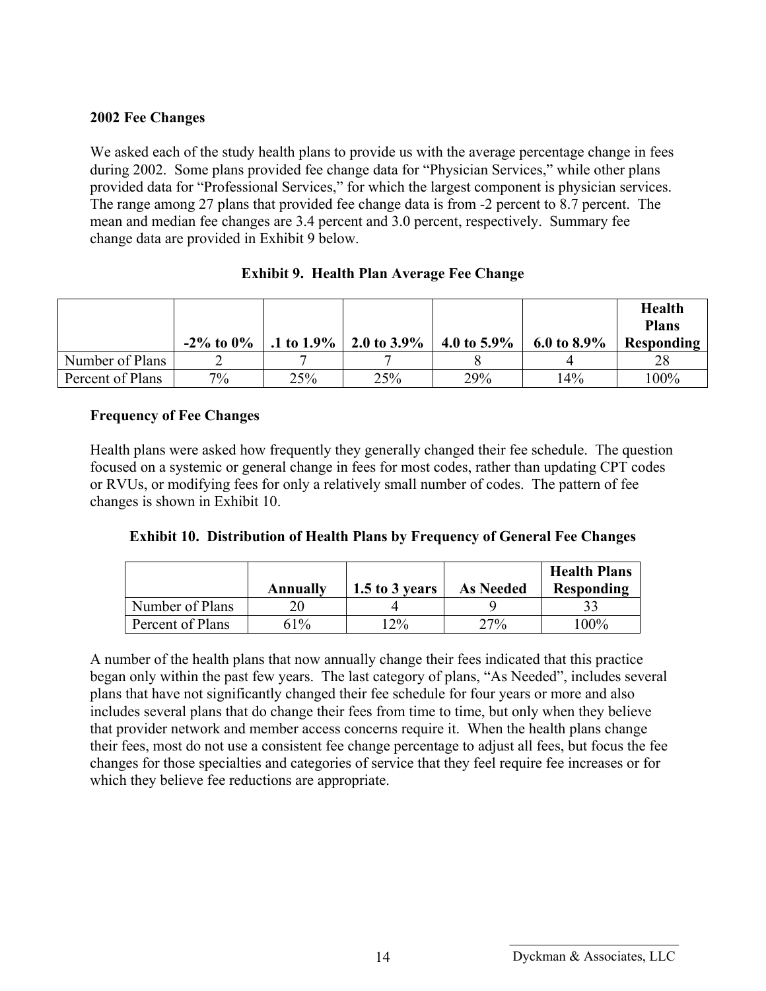#### **2002 Fee Changes**

We asked each of the study health plans to provide us with the average percentage change in fees during 2002. Some plans provided fee change data for "Physician Services," while other plans provided data for "Professional Services," for which the largest component is physician services. The range among 27 plans that provided fee change data is from -2 percent to 8.7 percent. The mean and median fee changes are 3.4 percent and 3.0 percent, respectively. Summary fee change data are provided in Exhibit 9 below.

|                  | $-2\%$ to $0\%$ |     | .1 to 1.9%   2.0 to 3.9% | 4.0 to 5.9% | 6.0 to $8.9\%$ | <b>Health</b><br><b>Plans</b><br>Responding |
|------------------|-----------------|-----|--------------------------|-------------|----------------|---------------------------------------------|
| Number of Plans  |                 |     |                          |             |                | 28                                          |
| Percent of Plans | $7\%$           | 25% | 25%                      | 29%         | 14%            | 100%                                        |

#### **Exhibit 9. Health Plan Average Fee Change**

#### **Frequency of Fee Changes**

Health plans were asked how frequently they generally changed their fee schedule. The question focused on a systemic or general change in fees for most codes, rather than updating CPT codes or RVUs, or modifying fees for only a relatively small number of codes. The pattern of fee changes is shown in Exhibit 10.

|                  | Annuallv | 1.5 to 3 years | <b>As Needed</b> | <b>Health Plans</b><br><b>Responding</b> |
|------------------|----------|----------------|------------------|------------------------------------------|
| Number of Plans  |          |                |                  |                                          |
| Percent of Plans | 61%      | $12\%$         | 27%              | $100\%$                                  |

A number of the health plans that now annually change their fees indicated that this practice began only within the past few years. The last category of plans, "As Needed", includes several plans that have not significantly changed their fee schedule for four years or more and also includes several plans that do change their fees from time to time, but only when they believe that provider network and member access concerns require it. When the health plans change their fees, most do not use a consistent fee change percentage to adjust all fees, but focus the fee changes for those specialties and categories of service that they feel require fee increases or for which they believe fee reductions are appropriate.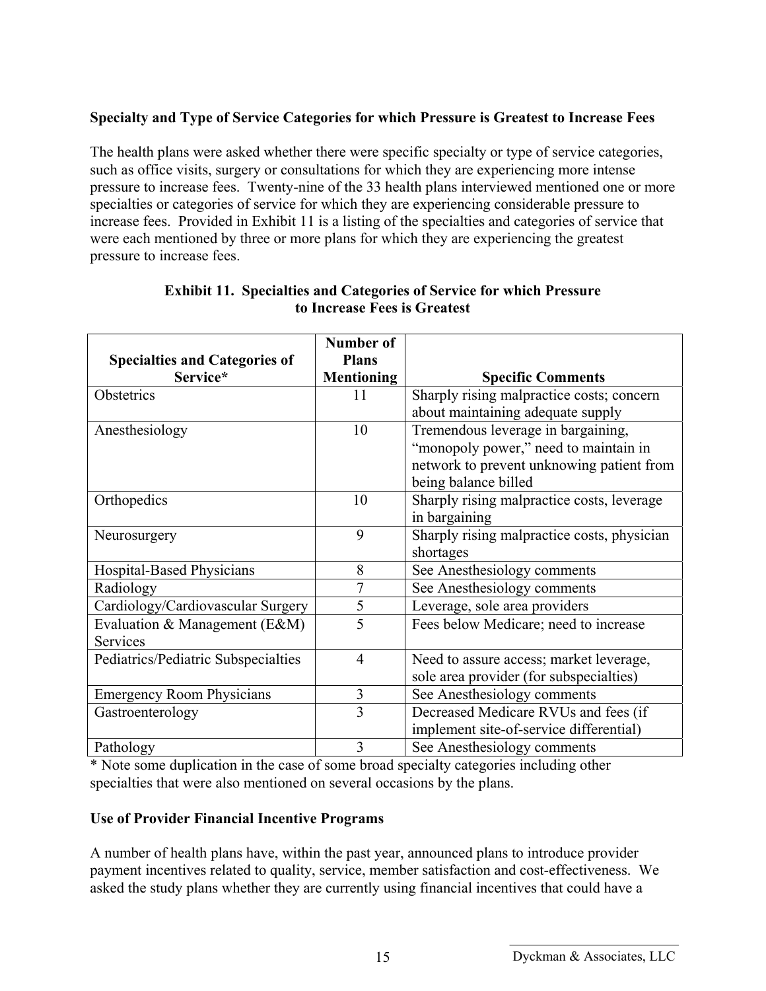## **Specialty and Type of Service Categories for which Pressure is Greatest to Increase Fees**

The health plans were asked whether there were specific specialty or type of service categories, such as office visits, surgery or consultations for which they are experiencing more intense pressure to increase fees. Twenty-nine of the 33 health plans interviewed mentioned one or more specialties or categories of service for which they are experiencing considerable pressure to increase fees. Provided in Exhibit 11 is a listing of the specialties and categories of service that were each mentioned by three or more plans for which they are experiencing the greatest pressure to increase fees.

|                                                  | <b>Number of</b>                  |                                                                                                                                                  |
|--------------------------------------------------|-----------------------------------|--------------------------------------------------------------------------------------------------------------------------------------------------|
| <b>Specialties and Categories of</b><br>Service* | <b>Plans</b><br><b>Mentioning</b> | <b>Specific Comments</b>                                                                                                                         |
| Obstetrics                                       | 11                                | Sharply rising malpractice costs; concern<br>about maintaining adequate supply                                                                   |
| Anesthesiology                                   | 10                                | Tremendous leverage in bargaining,<br>"monopoly power," need to maintain in<br>network to prevent unknowing patient from<br>being balance billed |
| Orthopedics                                      | 10                                | Sharply rising malpractice costs, leverage<br>in bargaining                                                                                      |
| Neurosurgery                                     | 9                                 | Sharply rising malpractice costs, physician<br>shortages                                                                                         |
| Hospital-Based Physicians                        | 8                                 | See Anesthesiology comments                                                                                                                      |
| Radiology                                        | 7                                 | See Anesthesiology comments                                                                                                                      |
| Cardiology/Cardiovascular Surgery                | 5                                 | Leverage, sole area providers                                                                                                                    |
| Evaluation & Management (E&M)<br>Services        | 5                                 | Fees below Medicare; need to increase                                                                                                            |
| Pediatrics/Pediatric Subspecialties              | $\overline{4}$                    | Need to assure access; market leverage,<br>sole area provider (for subspecialties)                                                               |
| <b>Emergency Room Physicians</b>                 | 3                                 | See Anesthesiology comments                                                                                                                      |
| Gastroenterology                                 | 3                                 | Decreased Medicare RVUs and fees (if<br>implement site-of-service differential)                                                                  |
| Pathology                                        | 3                                 | See Anesthesiology comments                                                                                                                      |

#### **Exhibit 11. Specialties and Categories of Service for which Pressure to Increase Fees is Greatest**

\* Note some duplication in the case of some broad specialty categories including other specialties that were also mentioned on several occasions by the plans.

#### **Use of Provider Financial Incentive Programs**

A number of health plans have, within the past year, announced plans to introduce provider payment incentives related to quality, service, member satisfaction and cost-effectiveness. We asked the study plans whether they are currently using financial incentives that could have a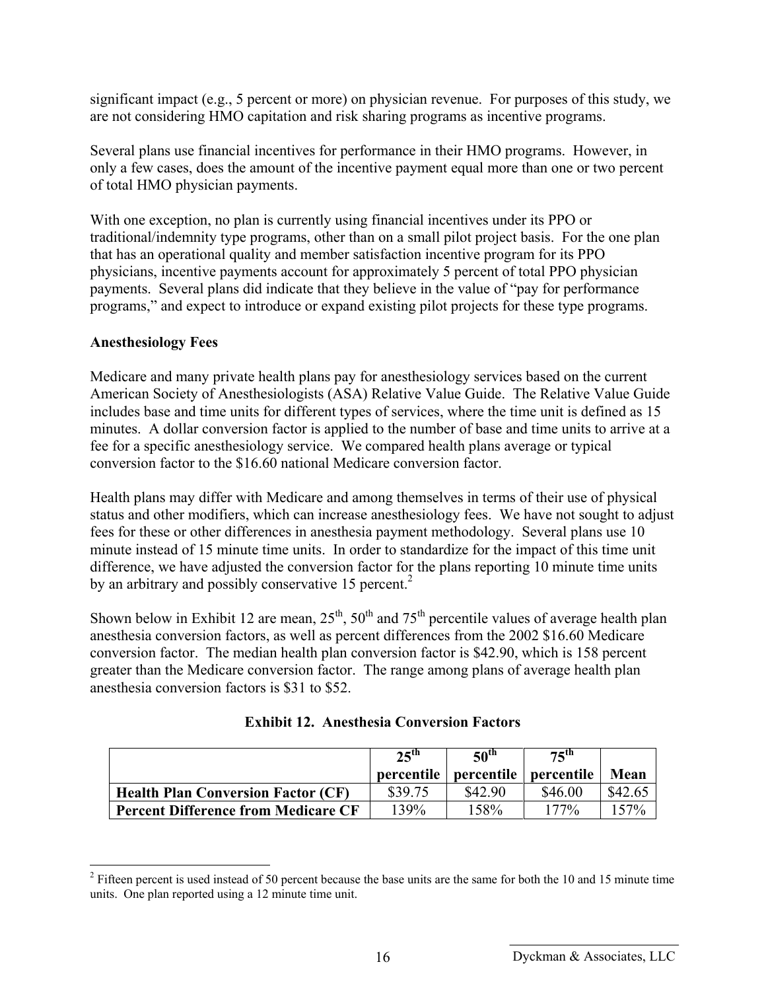significant impact (e.g., 5 percent or more) on physician revenue. For purposes of this study, we are not considering HMO capitation and risk sharing programs as incentive programs.

Several plans use financial incentives for performance in their HMO programs. However, in only a few cases, does the amount of the incentive payment equal more than one or two percent of total HMO physician payments.

With one exception, no plan is currently using financial incentives under its PPO or traditional/indemnity type programs, other than on a small pilot project basis. For the one plan that has an operational quality and member satisfaction incentive program for its PPO physicians, incentive payments account for approximately 5 percent of total PPO physician payments. Several plans did indicate that they believe in the value of "pay for performance programs," and expect to introduce or expand existing pilot projects for these type programs.

#### **Anesthesiology Fees**

 $\overline{a}$ 

Medicare and many private health plans pay for anesthesiology services based on the current American Society of Anesthesiologists (ASA) Relative Value Guide. The Relative Value Guide includes base and time units for different types of services, where the time unit is defined as 15 minutes. A dollar conversion factor is applied to the number of base and time units to arrive at a fee for a specific anesthesiology service. We compared health plans average or typical conversion factor to the \$16.60 national Medicare conversion factor.

Health plans may differ with Medicare and among themselves in terms of their use of physical status and other modifiers, which can increase anesthesiology fees. We have not sought to adjust fees for these or other differences in anesthesia payment methodology. Several plans use 10 minute instead of 15 minute time units. In order to standardize for the impact of this time unit difference, we have adjusted the conversion factor for the plans reporting 10 minute time units by an arbitrary and possibly conservative 15 percent.<sup>2</sup>

Shown below in Exhibit 12 are mean,  $25<sup>th</sup>$ ,  $50<sup>th</sup>$  and  $75<sup>th</sup>$  percentile values of average health plan anesthesia conversion factors, as well as percent differences from the 2002 \$16.60 Medicare conversion factor. The median health plan conversion factor is \$42.90, which is 158 percent greater than the Medicare conversion factor. The range among plans of average health plan anesthesia conversion factors is \$31 to \$52.

|                                            | $25$ <sup>th</sup> | 50 <sup>th</sup>        | $75^\text{th}$ |         |
|--------------------------------------------|--------------------|-------------------------|----------------|---------|
|                                            | percentile         | percentile   percentile |                | Mean    |
| <b>Health Plan Conversion Factor (CF)</b>  | \$39.75            | \$42.90                 | \$46.00        | \$42.62 |
| <b>Percent Difference from Medicare CF</b> | 139%               | 158%                    | 177%           | $57\%$  |

| <b>Exhibit 12. Anesthesia Conversion Factors</b> |  |  |  |
|--------------------------------------------------|--|--|--|
|--------------------------------------------------|--|--|--|

 $2^2$  Fifteen percent is used instead of 50 percent because the base units are the same for both the 10 and 15 minute time units. One plan reported using a 12 minute time unit.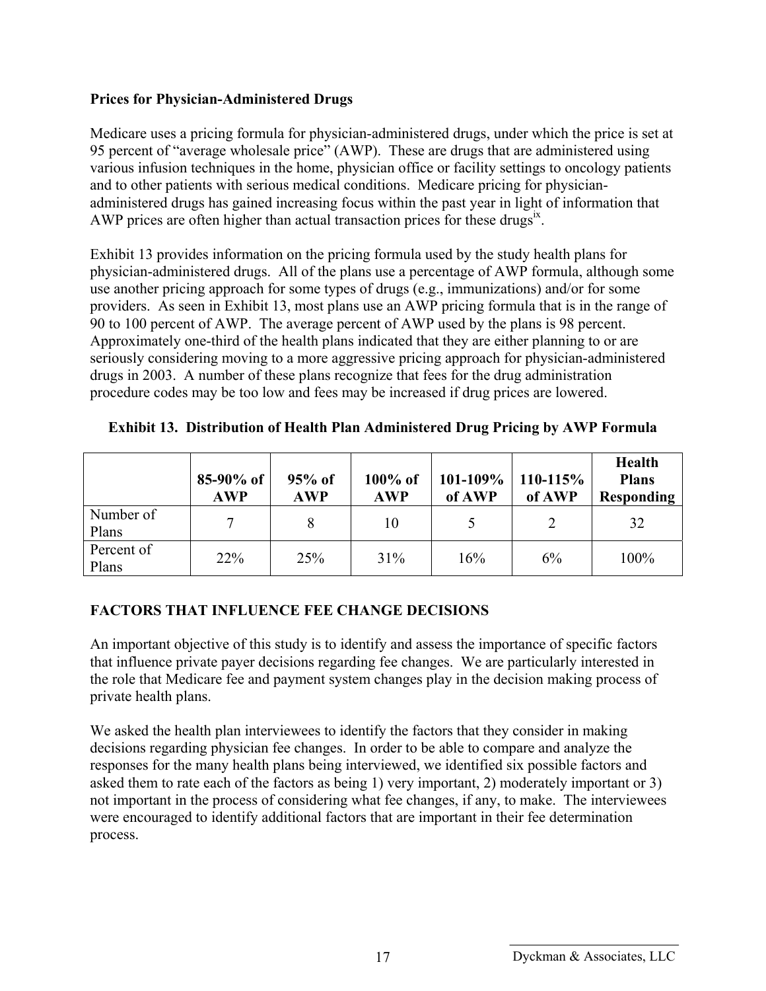#### **Prices for Physician-Administered Drugs**

Medicare uses a pricing formula for physician-administered drugs, under which the price is set at 95 percent of "average wholesale price" (AWP). These are drugs that are administered using various infusion techniques in the home, physician office or facility settings to oncology patients and to other patients with serious medical conditions. Medicare pricing for physicianadministered drugs has gained increasing focus within the past year in light of information that AWP prices are often higher than actual transaction prices for these drugs $x$ .

Exhibit 13 provides information on the pricing formula used by the study health plans for physician-administered drugs. All of the plans use a percentage of AWP formula, although some use another pricing approach for some types of drugs (e.g., immunizations) and/or for some providers. As seen in Exhibit 13, most plans use an AWP pricing formula that is in the range of 90 to 100 percent of AWP. The average percent of AWP used by the plans is 98 percent. Approximately one-third of the health plans indicated that they are either planning to or are seriously considering moving to a more aggressive pricing approach for physician-administered drugs in 2003. A number of these plans recognize that fees for the drug administration procedure codes may be too low and fees may be increased if drug prices are lowered.

|                     | $85-90\%$ of<br><b>AWP</b> | $95%$ of<br><b>AWP</b> | $100\%$ of<br><b>AWP</b> | 101-109%<br>of AWP | $110 - 115%$<br>of AWP | <b>Health</b><br><b>Plans</b><br><b>Responding</b> |
|---------------------|----------------------------|------------------------|--------------------------|--------------------|------------------------|----------------------------------------------------|
| Number of<br>Plans  |                            | 8                      | 10                       |                    | $\overline{2}$         | 32                                                 |
| Percent of<br>Plans | 22%                        | 25%                    | 31%                      | 16%                | 6%                     | 100%                                               |

#### **Exhibit 13. Distribution of Health Plan Administered Drug Pricing by AWP Formula**

### **FACTORS THAT INFLUENCE FEE CHANGE DECISIONS**

An important objective of this study is to identify and assess the importance of specific factors that influence private payer decisions regarding fee changes. We are particularly interested in the role that Medicare fee and payment system changes play in the decision making process of private health plans.

We asked the health plan interviewees to identify the factors that they consider in making decisions regarding physician fee changes. In order to be able to compare and analyze the responses for the many health plans being interviewed, we identified six possible factors and asked them to rate each of the factors as being 1) very important, 2) moderately important or 3) not important in the process of considering what fee changes, if any, to make. The interviewees were encouraged to identify additional factors that are important in their fee determination process.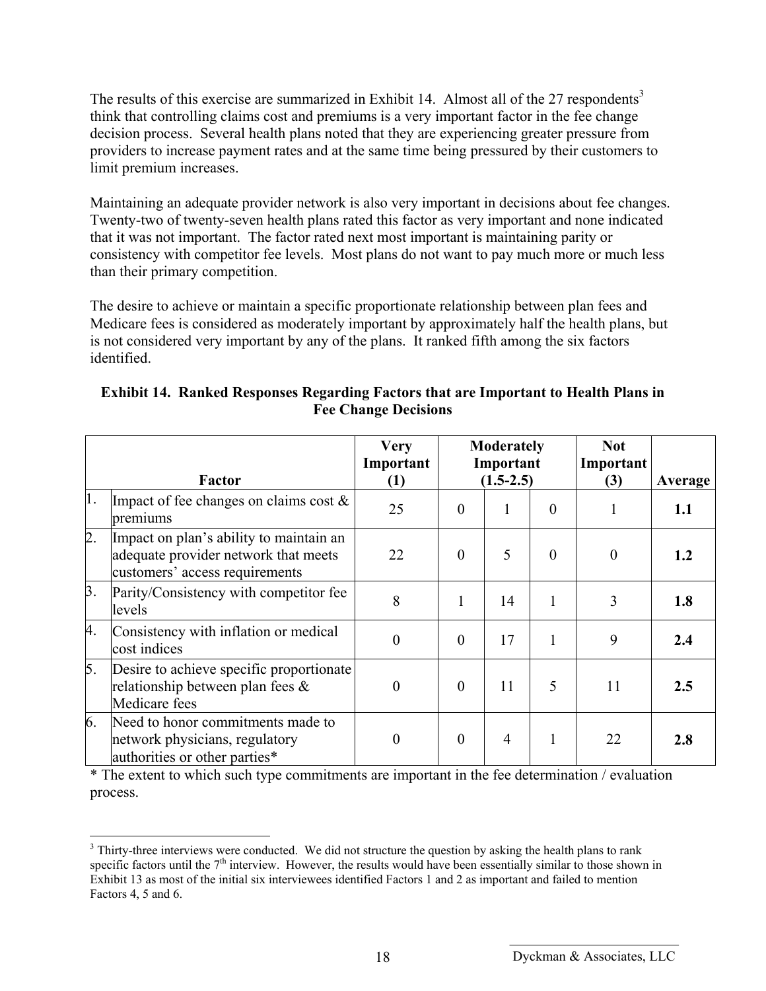The results of this exercise are summarized in Exhibit 14. Almost all of the 27 respondents<sup>3</sup> think that controlling claims cost and premiums is a very important factor in the fee change decision process. Several health plans noted that they are experiencing greater pressure from providers to increase payment rates and at the same time being pressured by their customers to limit premium increases.

Maintaining an adequate provider network is also very important in decisions about fee changes. Twenty-two of twenty-seven health plans rated this factor as very important and none indicated that it was not important. The factor rated next most important is maintaining parity or consistency with competitor fee levels. Most plans do not want to pay much more or much less than their primary competition.

The desire to achieve or maintain a specific proportionate relationship between plan fees and Medicare fees is considered as moderately important by approximately half the health plans, but is not considered very important by any of the plans. It ranked fifth among the six factors identified.

| Factor |                                                                                                                   | <b>Very</b><br>Important<br>(1) |          | <b>Moderately</b><br>Important<br>$(1.5-2.5)$ |                | <b>Not</b><br>Important<br>(3) | Average |
|--------|-------------------------------------------------------------------------------------------------------------------|---------------------------------|----------|-----------------------------------------------|----------------|--------------------------------|---------|
| 1.     | Impact of fee changes on claims cost $\&$<br>premiums                                                             | 25                              | $\Omega$ | 1                                             | $\overline{0}$ |                                | 1.1     |
| 2.     | Impact on plan's ability to maintain an<br>adequate provider network that meets<br>customers' access requirements | 22                              | $\Omega$ | 5                                             | $\theta$       | $\Omega$                       | 1.2     |
| 3.     | Parity/Consistency with competitor fee<br>levels                                                                  | 8                               |          | 14                                            |                | 3                              | 1.8     |
| 4.     | Consistency with inflation or medical<br>cost indices                                                             | $\theta$                        | $\theta$ | 17                                            |                | 9                              | 2.4     |
| 5.     | Desire to achieve specific proportionate<br>relationship between plan fees $\&$<br>Medicare fees                  | $\theta$                        | $\Omega$ | 11                                            | 5              | 11                             | 2.5     |
| 6.     | Need to honor commitments made to<br>network physicians, regulatory<br>authorities or other parties*              | $\theta$                        | $\theta$ | $\overline{4}$                                |                | 22                             | 2.8     |

#### **Exhibit 14. Ranked Responses Regarding Factors that are Important to Health Plans in Fee Change Decisions**

\* The extent to which such type commitments are important in the fee determination / evaluation process.

 $\overline{a}$  $3$  Thirty-three interviews were conducted. We did not structure the question by asking the health plans to rank specific factors until the 7<sup>th</sup> interview. However, the results would have been essentially similar to those shown in Exhibit 13 as most of the initial six interviewees identified Factors 1 and 2 as important and failed to mention Factors 4, 5 and 6.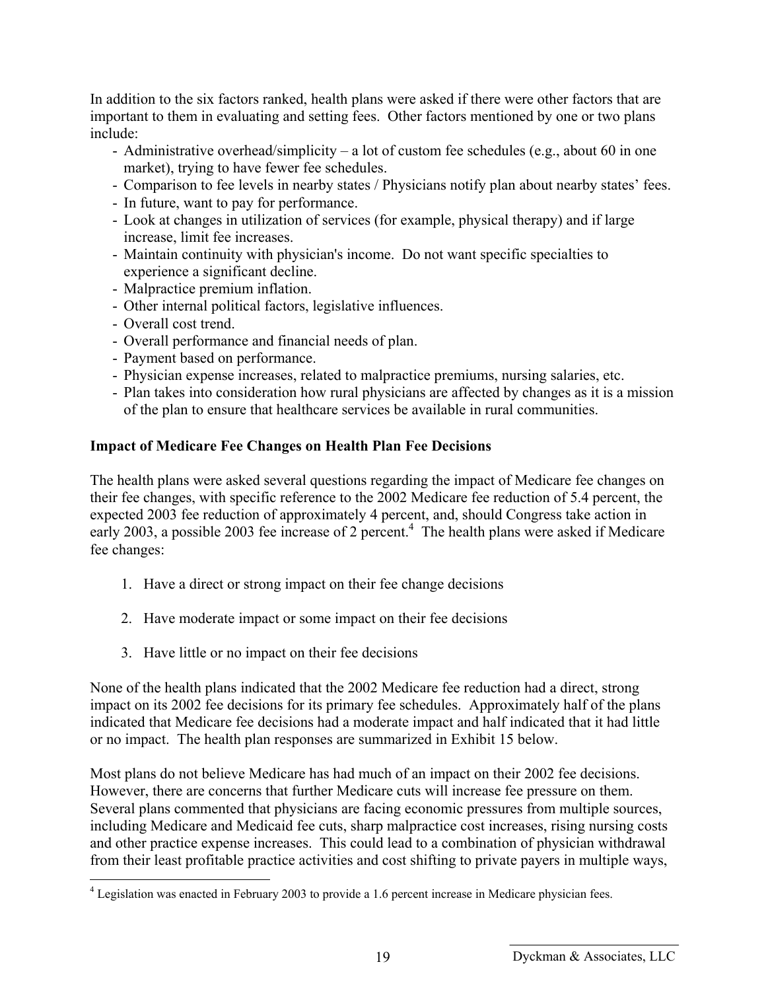In addition to the six factors ranked, health plans were asked if there were other factors that are important to them in evaluating and setting fees. Other factors mentioned by one or two plans include:

- Administrative overhead/simplicity a lot of custom fee schedules (e.g., about 60 in one market), trying to have fewer fee schedules.
- Comparison to fee levels in nearby states / Physicians notify plan about nearby states' fees.
- In future, want to pay for performance.
- Look at changes in utilization of services (for example, physical therapy) and if large increase, limit fee increases.
- Maintain continuity with physician's income. Do not want specific specialties to experience a significant decline.
- Malpractice premium inflation.
- Other internal political factors, legislative influences.
- Overall cost trend.

 $\overline{a}$ 

- Overall performance and financial needs of plan.
- Payment based on performance.
- Physician expense increases, related to malpractice premiums, nursing salaries, etc.
- Plan takes into consideration how rural physicians are affected by changes as it is a mission of the plan to ensure that healthcare services be available in rural communities.

#### **Impact of Medicare Fee Changes on Health Plan Fee Decisions**

The health plans were asked several questions regarding the impact of Medicare fee changes on their fee changes, with specific reference to the 2002 Medicare fee reduction of 5.4 percent, the expected 2003 fee reduction of approximately 4 percent, and, should Congress take action in early 2003, a possible 2003 fee increase of 2 percent.<sup>4</sup> The health plans were asked if Medicare fee changes:

- 1. Have a direct or strong impact on their fee change decisions
- 2. Have moderate impact or some impact on their fee decisions
- 3. Have little or no impact on their fee decisions

None of the health plans indicated that the 2002 Medicare fee reduction had a direct, strong impact on its 2002 fee decisions for its primary fee schedules. Approximately half of the plans indicated that Medicare fee decisions had a moderate impact and half indicated that it had little or no impact. The health plan responses are summarized in Exhibit 15 below.

Most plans do not believe Medicare has had much of an impact on their 2002 fee decisions. However, there are concerns that further Medicare cuts will increase fee pressure on them. Several plans commented that physicians are facing economic pressures from multiple sources, including Medicare and Medicaid fee cuts, sharp malpractice cost increases, rising nursing costs and other practice expense increases. This could lead to a combination of physician withdrawal from their least profitable practice activities and cost shifting to private payers in multiple ways,

 $4$  Legislation was enacted in February 2003 to provide a 1.6 percent increase in Medicare physician fees.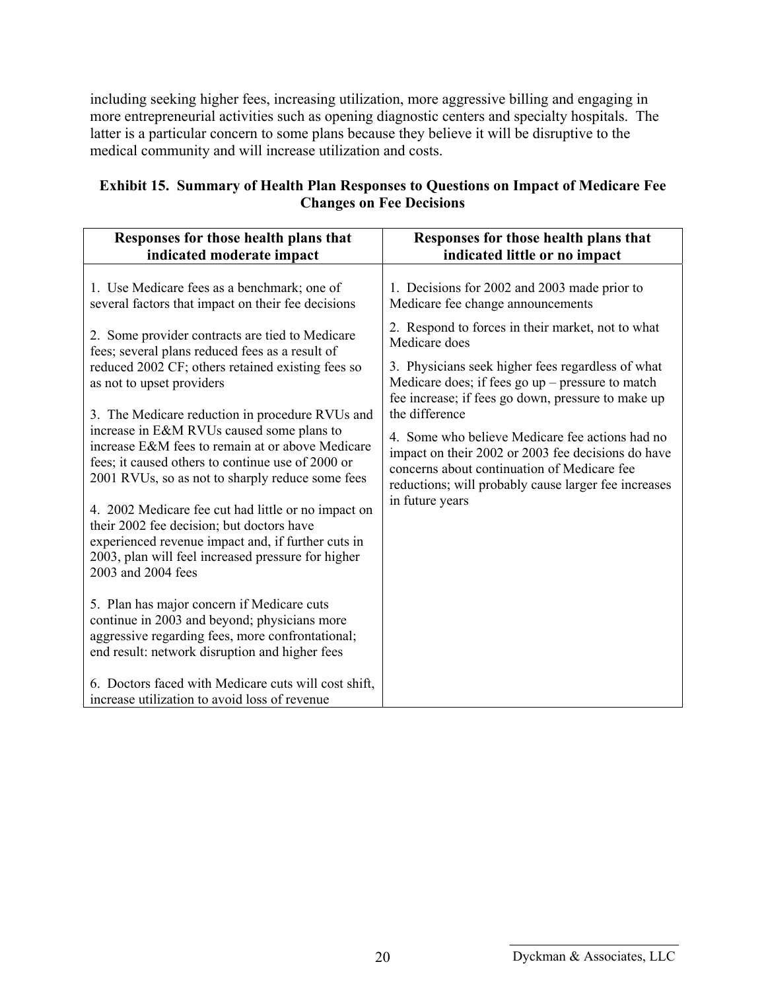including seeking higher fees, increasing utilization, more aggressive billing and engaging in more entrepreneurial activities such as opening diagnostic centers and specialty hospitals. The latter is a particular concern to some plans because they believe it will be disruptive to the medical community and will increase utilization and costs.

#### **Exhibit 15. Summary of Health Plan Responses to Questions on Impact of Medicare Fee Changes on Fee Decisions**

| Responses for those health plans that                                                                                                                                                                                              | Responses for those health plans that                                                                                                                         |
|------------------------------------------------------------------------------------------------------------------------------------------------------------------------------------------------------------------------------------|---------------------------------------------------------------------------------------------------------------------------------------------------------------|
| indicated moderate impact                                                                                                                                                                                                          | indicated little or no impact                                                                                                                                 |
| 1. Use Medicare fees as a benchmark; one of                                                                                                                                                                                        | 1. Decisions for 2002 and 2003 made prior to                                                                                                                  |
| several factors that impact on their fee decisions                                                                                                                                                                                 | Medicare fee change announcements                                                                                                                             |
| 2. Some provider contracts are tied to Medicare                                                                                                                                                                                    | 2. Respond to forces in their market, not to what                                                                                                             |
| fees; several plans reduced fees as a result of                                                                                                                                                                                    | Medicare does                                                                                                                                                 |
| reduced 2002 CF; others retained existing fees so<br>as not to upset providers                                                                                                                                                     | 3. Physicians seek higher fees regardless of what<br>Medicare does; if fees go $up$ – pressure to match<br>fee increase; if fees go down, pressure to make up |
| 3. The Medicare reduction in procedure RVUs and                                                                                                                                                                                    | the difference                                                                                                                                                |
| increase in E&M RVUs caused some plans to                                                                                                                                                                                          | 4. Some who believe Medicare fee actions had no                                                                                                               |
| increase E&M fees to remain at or above Medicare                                                                                                                                                                                   | impact on their 2002 or 2003 fee decisions do have                                                                                                            |
| fees; it caused others to continue use of 2000 or                                                                                                                                                                                  | concerns about continuation of Medicare fee                                                                                                                   |
| 2001 RVUs, so as not to sharply reduce some fees                                                                                                                                                                                   | reductions; will probably cause larger fee increases                                                                                                          |
| 4. 2002 Medicare fee cut had little or no impact on<br>their 2002 fee decision; but doctors have<br>experienced revenue impact and, if further cuts in<br>2003, plan will feel increased pressure for higher<br>2003 and 2004 fees | in future years                                                                                                                                               |
| 5. Plan has major concern if Medicare cuts<br>continue in 2003 and beyond; physicians more<br>aggressive regarding fees, more confrontational;<br>end result: network disruption and higher fees                                   |                                                                                                                                                               |
| 6. Doctors faced with Medicare cuts will cost shift,<br>increase utilization to avoid loss of revenue                                                                                                                              |                                                                                                                                                               |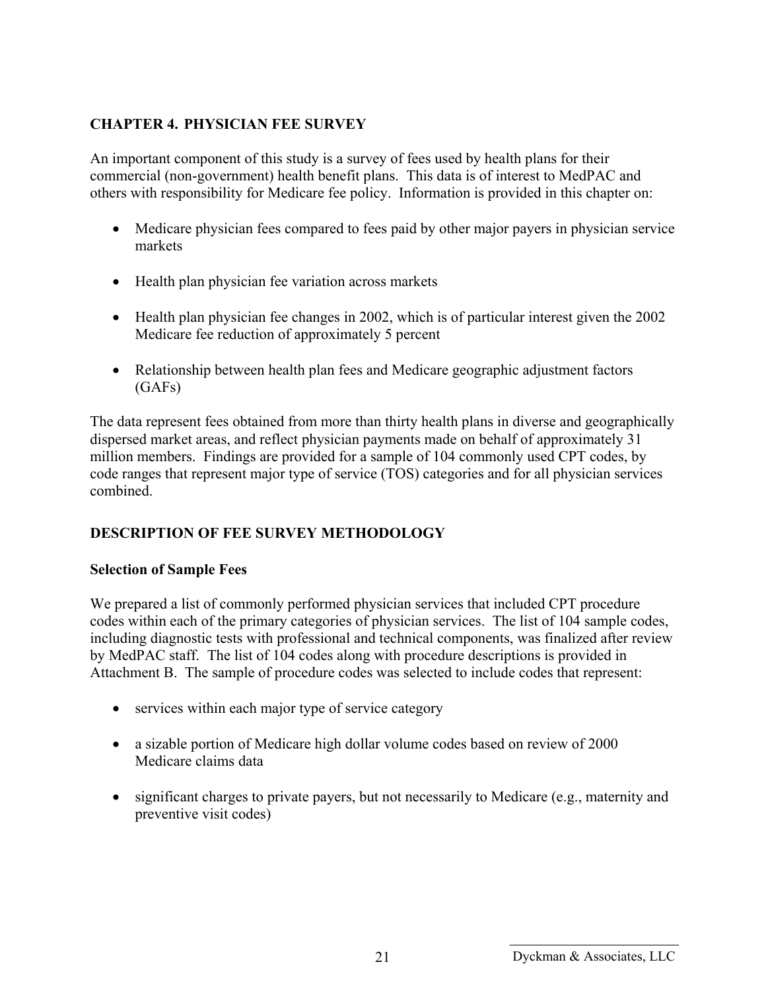### **CHAPTER 4. PHYSICIAN FEE SURVEY**

An important component of this study is a survey of fees used by health plans for their commercial (non-government) health benefit plans. This data is of interest to MedPAC and others with responsibility for Medicare fee policy. Information is provided in this chapter on:

- Medicare physician fees compared to fees paid by other major payers in physician service markets
- Health plan physician fee variation across markets
- Health plan physician fee changes in 2002, which is of particular interest given the 2002 Medicare fee reduction of approximately 5 percent
- Relationship between health plan fees and Medicare geographic adjustment factors (GAFs)

The data represent fees obtained from more than thirty health plans in diverse and geographically dispersed market areas, and reflect physician payments made on behalf of approximately 31 million members. Findings are provided for a sample of 104 commonly used CPT codes, by code ranges that represent major type of service (TOS) categories and for all physician services combined.

## **DESCRIPTION OF FEE SURVEY METHODOLOGY**

#### **Selection of Sample Fees**

We prepared a list of commonly performed physician services that included CPT procedure codes within each of the primary categories of physician services. The list of 104 sample codes, including diagnostic tests with professional and technical components, was finalized after review by MedPAC staff. The list of 104 codes along with procedure descriptions is provided in Attachment B. The sample of procedure codes was selected to include codes that represent:

- services within each major type of service category
- a sizable portion of Medicare high dollar volume codes based on review of 2000 Medicare claims data
- significant charges to private payers, but not necessarily to Medicare (e.g., maternity and preventive visit codes)

<sup>21</sup> Dyckman & Associates, LLC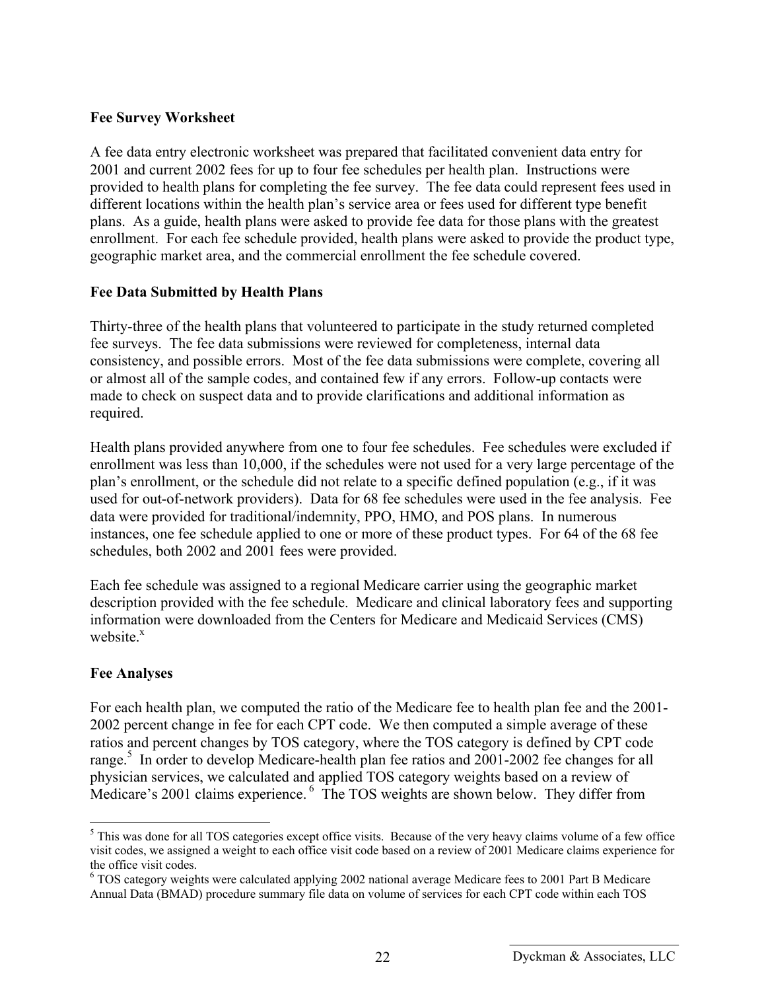#### **Fee Survey Worksheet**

A fee data entry electronic worksheet was prepared that facilitated convenient data entry for 2001 and current 2002 fees for up to four fee schedules per health plan. Instructions were provided to health plans for completing the fee survey. The fee data could represent fees used in different locations within the health plan's service area or fees used for different type benefit plans. As a guide, health plans were asked to provide fee data for those plans with the greatest enrollment. For each fee schedule provided, health plans were asked to provide the product type, geographic market area, and the commercial enrollment the fee schedule covered.

#### **Fee Data Submitted by Health Plans**

Thirty-three of the health plans that volunteered to participate in the study returned completed fee surveys. The fee data submissions were reviewed for completeness, internal data consistency, and possible errors. Most of the fee data submissions were complete, covering all or almost all of the sample codes, and contained few if any errors. Follow-up contacts were made to check on suspect data and to provide clarifications and additional information as required.

Health plans provided anywhere from one to four fee schedules. Fee schedules were excluded if enrollment was less than 10,000, if the schedules were not used for a very large percentage of the plan's enrollment, or the schedule did not relate to a specific defined population (e.g., if it was used for out-of-network providers). Data for 68 fee schedules were used in the fee analysis. Fee data were provided for traditional/indemnity, PPO, HMO, and POS plans. In numerous instances, one fee schedule applied to one or more of these product types. For 64 of the 68 fee schedules, both 2002 and 2001 fees were provided.

Each fee schedule was assigned to a regional Medicare carrier using the geographic market description provided with the fee schedule. Medicare and clinical laboratory fees and supporting information were downloaded from the Centers for Medicare and Medicaid Services (CMS) website $x$ 

#### **Fee Analyses**

 $\overline{a}$ 

For each health plan, we computed the ratio of the Medicare fee to health plan fee and the 2001- 2002 percent change in fee for each CPT code. We then computed a simple average of these ratios and percent changes by TOS category, where the TOS category is defined by CPT code range.<sup>5</sup> In order to develop Medicare-health plan fee ratios and 2001-2002 fee changes for all physician services, we calculated and applied TOS category weights based on a review of Medicare's 2001 claims experience. <sup>6</sup> The TOS weights are shown below. They differ from

<sup>&</sup>lt;sup>5</sup> This was done for all TOS categories except office visits. Because of the very heavy claims volume of a few office visit codes, we assigned a weight to each office visit code based on a review of 2001 Medicare claims experience for the office visit codes.

<sup>&</sup>lt;sup>6</sup> TOS category weights were calculated applying 2002 national average Medicare fees to 2001 Part B Medicare Annual Data (BMAD) procedure summary file data on volume of services for each CPT code within each TOS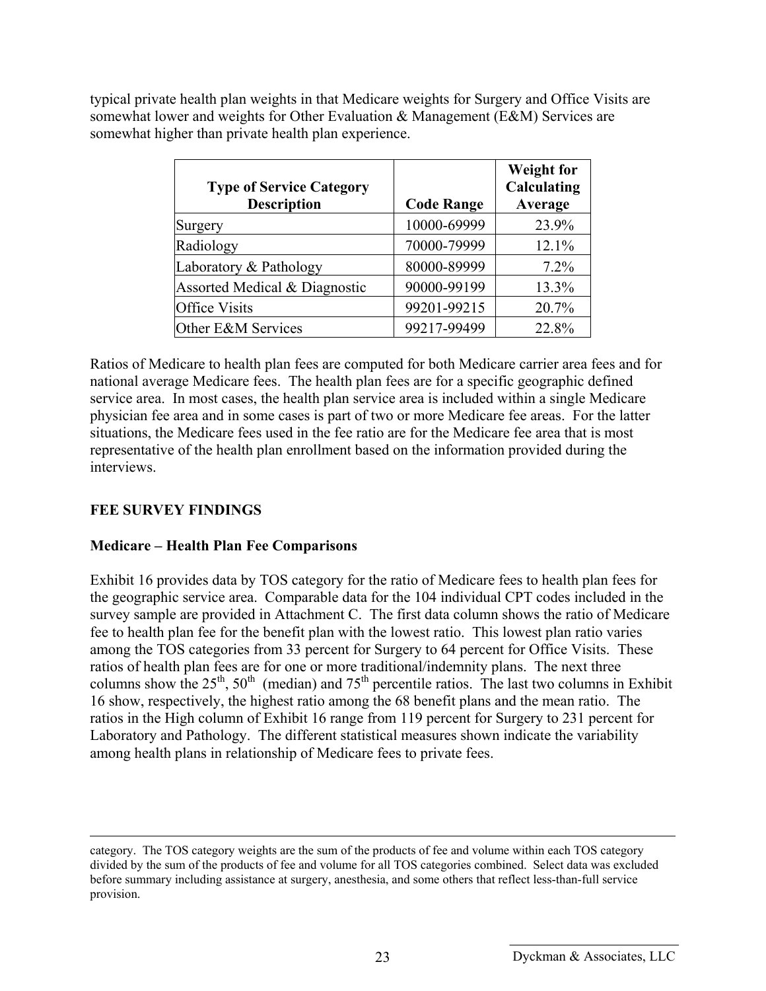typical private health plan weights in that Medicare weights for Surgery and Office Visits are somewhat lower and weights for Other Evaluation & Management (E&M) Services are somewhat higher than private health plan experience.

| <b>Type of Service Category</b><br><b>Description</b> | <b>Code Range</b> | <b>Weight for</b><br>Calculating<br>Average |
|-------------------------------------------------------|-------------------|---------------------------------------------|
| Surgery                                               | 10000-69999       | 23.9%                                       |
| Radiology                                             | 70000-79999       | 12.1%                                       |
| Laboratory & Pathology                                | 80000-89999       | 7.2%                                        |
| Assorted Medical & Diagnostic                         | 90000-99199       | 13.3%                                       |
| <b>Office Visits</b>                                  | 99201-99215       | 20.7%                                       |
| Other E&M Services                                    | 99217-99499       | 22.8%                                       |

Ratios of Medicare to health plan fees are computed for both Medicare carrier area fees and for national average Medicare fees. The health plan fees are for a specific geographic defined service area. In most cases, the health plan service area is included within a single Medicare physician fee area and in some cases is part of two or more Medicare fee areas. For the latter situations, the Medicare fees used in the fee ratio are for the Medicare fee area that is most representative of the health plan enrollment based on the information provided during the interviews.

### **FEE SURVEY FINDINGS**

### **Medicare – Health Plan Fee Comparisons**

Exhibit 16 provides data by TOS category for the ratio of Medicare fees to health plan fees for the geographic service area. Comparable data for the 104 individual CPT codes included in the survey sample are provided in Attachment C. The first data column shows the ratio of Medicare fee to health plan fee for the benefit plan with the lowest ratio. This lowest plan ratio varies among the TOS categories from 33 percent for Surgery to 64 percent for Office Visits. These ratios of health plan fees are for one or more traditional/indemnity plans. The next three columns show the  $25<sup>th</sup>$ ,  $50<sup>th</sup>$  (median) and  $75<sup>th</sup>$  percentile ratios. The last two columns in Exhibit 16 show, respectively, the highest ratio among the 68 benefit plans and the mean ratio. The ratios in the High column of Exhibit 16 range from 119 percent for Surgery to 231 percent for Laboratory and Pathology. The different statistical measures shown indicate the variability among health plans in relationship of Medicare fees to private fees.

category. The TOS category weights are the sum of the products of fee and volume within each TOS category divided by the sum of the products of fee and volume for all TOS categories combined. Select data was excluded before summary including assistance at surgery, anesthesia, and some others that reflect less-than-full service provision.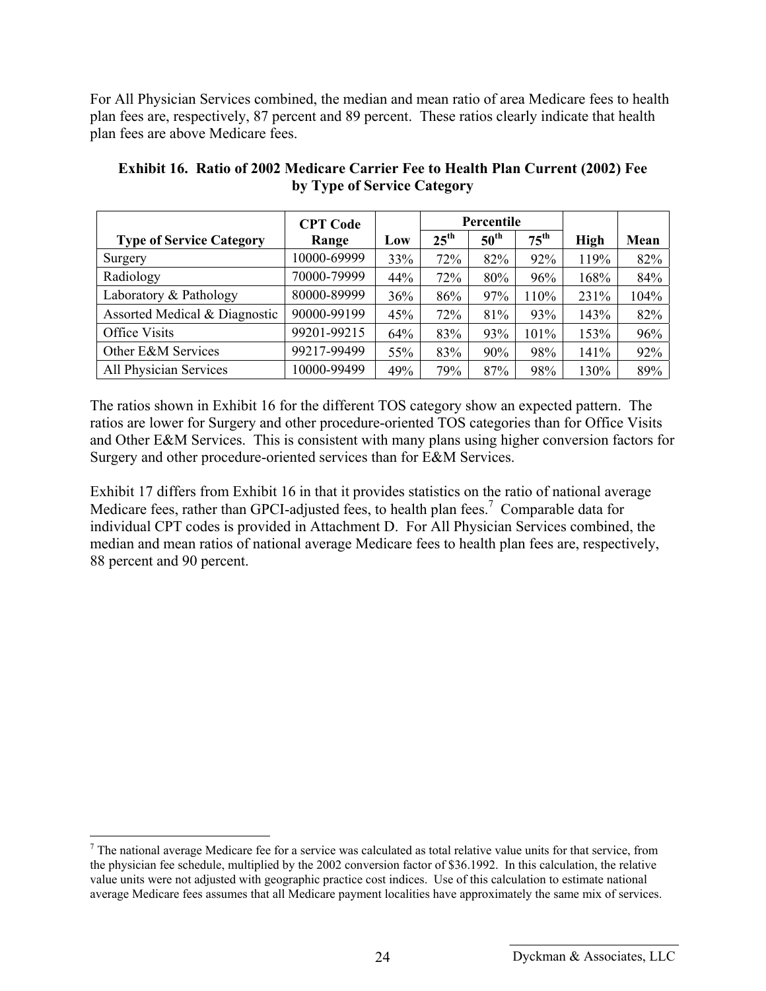For All Physician Services combined, the median and mean ratio of area Medicare fees to health plan fees are, respectively, 87 percent and 89 percent. These ratios clearly indicate that health plan fees are above Medicare fees.

|                                 | <b>CPT</b> Code | Percentile |                  |                  |                  |             |      |
|---------------------------------|-----------------|------------|------------------|------------------|------------------|-------------|------|
| <b>Type of Service Category</b> | Range           | Low        | $25^{\text{th}}$ | $50^{\text{th}}$ | $75^{\text{th}}$ | <b>High</b> | Mean |
| Surgery                         | 10000-69999     | 33%        | 72%              | 82%              | 92%              | 119%        | 82%  |
| Radiology                       | 70000-79999     | 44%        | 72%              | 80%              | 96%              | 168%        | 84%  |
| Laboratory & Pathology          | 80000-89999     | 36%        | 86%              | 97%              | 110%             | 231%        | 104% |
| Assorted Medical & Diagnostic   | 90000-99199     | 45%        | 72%              | 81%              | 93%              | 143%        | 82%  |
| Office Visits                   | 99201-99215     | 64%        | 83%              | 93%              | 101%             | 153%        | 96%  |
| Other E&M Services              | 99217-99499     | 55%        | 83%              | 90%              | 98%              | 141%        | 92%  |
| All Physician Services          | 10000-99499     | 49%        | 79%              | 87%              | 98%              | 130%        | 89%  |

**Exhibit 16. Ratio of 2002 Medicare Carrier Fee to Health Plan Current (2002) Fee by Type of Service Category** 

The ratios shown in Exhibit 16 for the different TOS category show an expected pattern. The ratios are lower for Surgery and other procedure-oriented TOS categories than for Office Visits and Other E&M Services. This is consistent with many plans using higher conversion factors for Surgery and other procedure-oriented services than for E&M Services.

Exhibit 17 differs from Exhibit 16 in that it provides statistics on the ratio of national average Medicare fees, rather than GPCI-adjusted fees, to health plan fees.<sup>7</sup> Comparable data for individual CPT codes is provided in Attachment D. For All Physician Services combined, the median and mean ratios of national average Medicare fees to health plan fees are, respectively, 88 percent and 90 percent.

 $\overline{a}$ 

 $<sup>7</sup>$  The national average Medicare fee for a service was calculated as total relative value units for that service, from</sup> the physician fee schedule, multiplied by the 2002 conversion factor of \$36.1992. In this calculation, the relative value units were not adjusted with geographic practice cost indices. Use of this calculation to estimate national average Medicare fees assumes that all Medicare payment localities have approximately the same mix of services.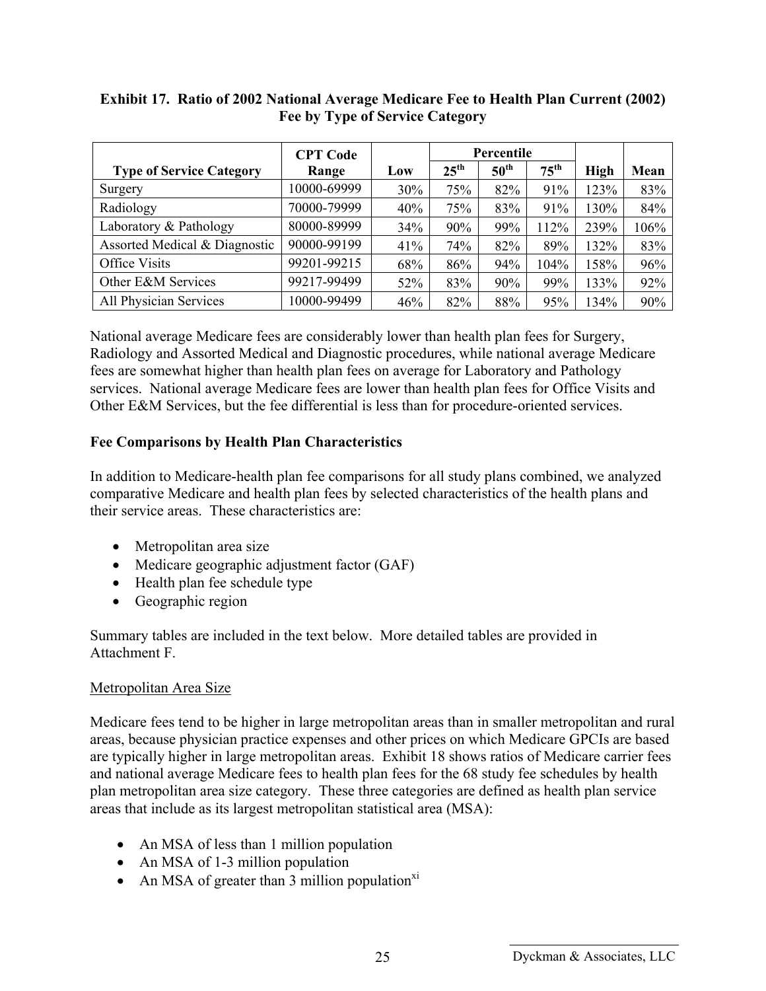#### **Exhibit 17. Ratio of 2002 National Average Medicare Fee to Health Plan Current (2002) Fee by Type of Service Category**

|                                 | <b>CPT Code</b> |     | Percentile       |                  |                  |             |      |
|---------------------------------|-----------------|-----|------------------|------------------|------------------|-------------|------|
| <b>Type of Service Category</b> | Range           | Low | $25^{\text{th}}$ | $50^{\text{th}}$ | $75^{\text{th}}$ | <b>High</b> | Mean |
| Surgery                         | 10000-69999     | 30% | 75%              | 82%              | 91%              | 123%        | 83%  |
| Radiology                       | 70000-79999     | 40% | 75%              | 83%              | 91%              | 130%        | 84%  |
| Laboratory & Pathology          | 80000-89999     | 34% | 90%              | 99%              | 112%             | 239%        | 106% |
| Assorted Medical & Diagnostic   | 90000-99199     | 41% | 74%              | 82%              | 89%              | 132%        | 83%  |
| Office Visits                   | 99201-99215     | 68% | 86%              | 94%              | 104%             | 158%        | 96%  |
| Other E&M Services              | 99217-99499     | 52% | 83%              | 90%              | 99%              | 133%        | 92%  |
| All Physician Services          | 10000-99499     | 46% | 82%              | 88%              | 95%              | 134%        | 90%  |

National average Medicare fees are considerably lower than health plan fees for Surgery, Radiology and Assorted Medical and Diagnostic procedures, while national average Medicare fees are somewhat higher than health plan fees on average for Laboratory and Pathology services. National average Medicare fees are lower than health plan fees for Office Visits and Other E&M Services, but the fee differential is less than for procedure-oriented services.

#### **Fee Comparisons by Health Plan Characteristics**

In addition to Medicare-health plan fee comparisons for all study plans combined, we analyzed comparative Medicare and health plan fees by selected characteristics of the health plans and their service areas. These characteristics are:

- Metropolitan area size
- Medicare geographic adjustment factor (GAF)
- Health plan fee schedule type
- Geographic region

Summary tables are included in the text below. More detailed tables are provided in Attachment F.

#### Metropolitan Area Size

Medicare fees tend to be higher in large metropolitan areas than in smaller metropolitan and rural areas, because physician practice expenses and other prices on which Medicare GPCIs are based are typically higher in large metropolitan areas. Exhibit 18 shows ratios of Medicare carrier fees and national average Medicare fees to health plan fees for the 68 study fee schedules by health plan metropolitan area size category. These three categories are defined as health plan service areas that include as its largest metropolitan statistical area (MSA):

- An MSA of less than 1 million population
- An MSA of 1-3 million population
- An MSA of greater than 3 million population $x_i$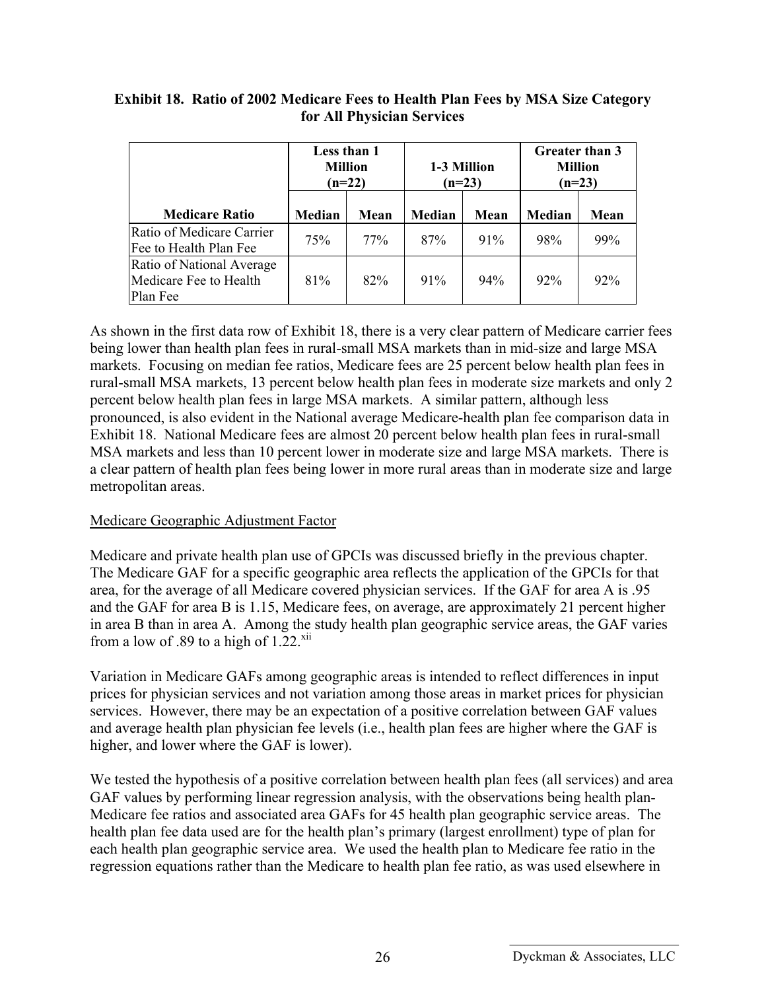|                                                                 | Less than 1<br><b>Million</b><br>$(n=22)$ |      |        | 1-3 Million<br>$(n=23)$ | Greater than 3<br><b>Million</b><br>$(n=23)$ |        |  |
|-----------------------------------------------------------------|-------------------------------------------|------|--------|-------------------------|----------------------------------------------|--------|--|
| <b>Medicare Ratio</b>                                           | <b>Median</b>                             | Mean | Median | Mean                    | <b>Median</b>                                | Mean   |  |
| Ratio of Medicare Carrier<br>Fee to Health Plan Fee             | 75%                                       | 77%  | 87%    | 91%                     | 98%                                          | 99%    |  |
| Ratio of National Average<br>Medicare Fee to Health<br>Plan Fee | 81%                                       | 82%  | 91%    | 94%                     | 92%                                          | $92\%$ |  |

#### **Exhibit 18. Ratio of 2002 Medicare Fees to Health Plan Fees by MSA Size Category for All Physician Services**

As shown in the first data row of Exhibit 18, there is a very clear pattern of Medicare carrier fees being lower than health plan fees in rural-small MSA markets than in mid-size and large MSA markets. Focusing on median fee ratios, Medicare fees are 25 percent below health plan fees in rural-small MSA markets, 13 percent below health plan fees in moderate size markets and only 2 percent below health plan fees in large MSA markets. A similar pattern, although less pronounced, is also evident in the National average Medicare-health plan fee comparison data in Exhibit 18. National Medicare fees are almost 20 percent below health plan fees in rural-small MSA markets and less than 10 percent lower in moderate size and large MSA markets. There is a clear pattern of health plan fees being lower in more rural areas than in moderate size and large metropolitan areas.

#### Medicare Geographic Adjustment Factor

Medicare and private health plan use of GPCIs was discussed briefly in the previous chapter. The Medicare GAF for a specific geographic area reflects the application of the GPCIs for that area, for the average of all Medicare covered physician services. If the GAF for area A is .95 and the GAF for area B is 1.15, Medicare fees, on average, are approximately 21 percent higher in area B than in area A. Among the study health plan geographic service areas, the GAF varies from a low of .89 to a high of  $1.22$ <sup>xii</sup>

Variation in Medicare GAFs among geographic areas is intended to reflect differences in input prices for physician services and not variation among those areas in market prices for physician services. However, there may be an expectation of a positive correlation between GAF values and average health plan physician fee levels (i.e., health plan fees are higher where the GAF is higher, and lower where the GAF is lower).

We tested the hypothesis of a positive correlation between health plan fees (all services) and area GAF values by performing linear regression analysis, with the observations being health plan-Medicare fee ratios and associated area GAFs for 45 health plan geographic service areas. The health plan fee data used are for the health plan's primary (largest enrollment) type of plan for each health plan geographic service area. We used the health plan to Medicare fee ratio in the regression equations rather than the Medicare to health plan fee ratio, as was used elsewhere in

Dyckman & Associates, LLC 26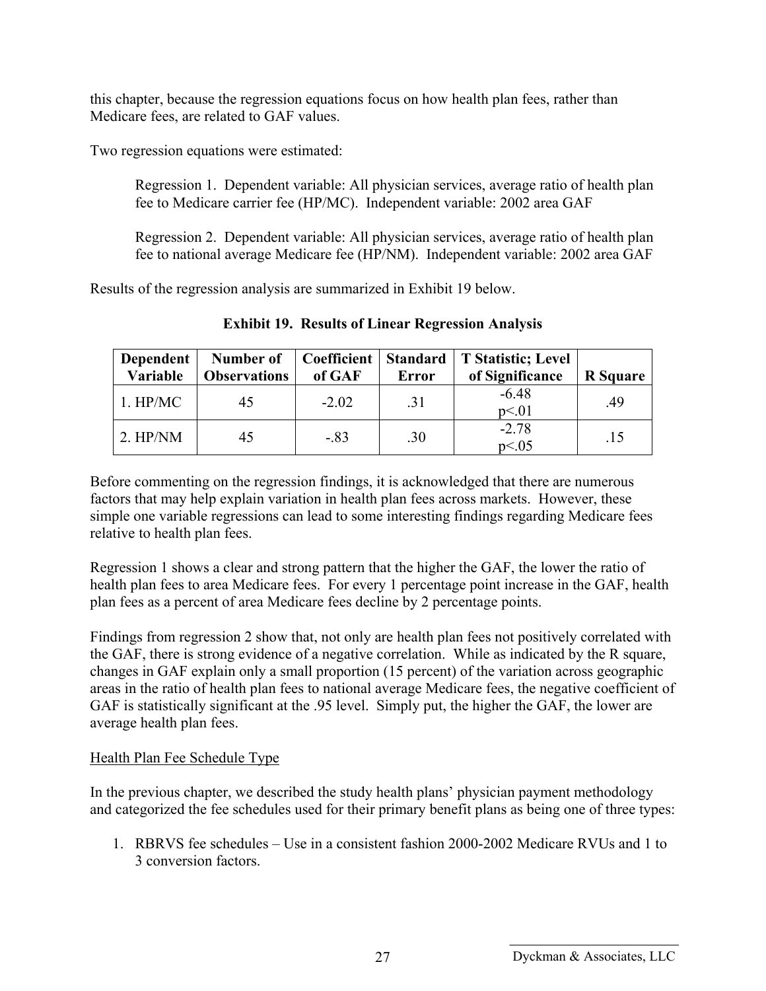this chapter, because the regression equations focus on how health plan fees, rather than Medicare fees, are related to GAF values.

Two regression equations were estimated:

Regression 1. Dependent variable: All physician services, average ratio of health plan fee to Medicare carrier fee (HP/MC). Independent variable: 2002 area GAF

Regression 2. Dependent variable: All physician services, average ratio of health plan fee to national average Medicare fee (HP/NM). Independent variable: 2002 area GAF

Results of the regression analysis are summarized in Exhibit 19 below.

| Dependent<br>Variable | Number of<br><b>Observations</b> | Coefficient<br>of GAF | Error | Standard   T Statistic; Level<br>of Significance | <b>R</b> Square |
|-----------------------|----------------------------------|-----------------------|-------|--------------------------------------------------|-----------------|
| $1.$ HP/MC            | 45                               | $-2.02$               | .31   | $-6.48$<br>p<.01                                 | .49             |
| $2.$ HP/NM            | 45                               | $-83$                 | .30   | $-2.78$<br>p<.05                                 | .15             |

**Exhibit 19. Results of Linear Regression Analysis** 

Before commenting on the regression findings, it is acknowledged that there are numerous factors that may help explain variation in health plan fees across markets. However, these simple one variable regressions can lead to some interesting findings regarding Medicare fees relative to health plan fees.

Regression 1 shows a clear and strong pattern that the higher the GAF, the lower the ratio of health plan fees to area Medicare fees. For every 1 percentage point increase in the GAF, health plan fees as a percent of area Medicare fees decline by 2 percentage points.

Findings from regression 2 show that, not only are health plan fees not positively correlated with the GAF, there is strong evidence of a negative correlation. While as indicated by the R square, changes in GAF explain only a small proportion (15 percent) of the variation across geographic areas in the ratio of health plan fees to national average Medicare fees, the negative coefficient of GAF is statistically significant at the .95 level. Simply put, the higher the GAF, the lower are average health plan fees.

### Health Plan Fee Schedule Type

In the previous chapter, we described the study health plans' physician payment methodology and categorized the fee schedules used for their primary benefit plans as being one of three types:

1. RBRVS fee schedules – Use in a consistent fashion 2000-2002 Medicare RVUs and 1 to 3 conversion factors.

Dyckman & Associates, LLC 27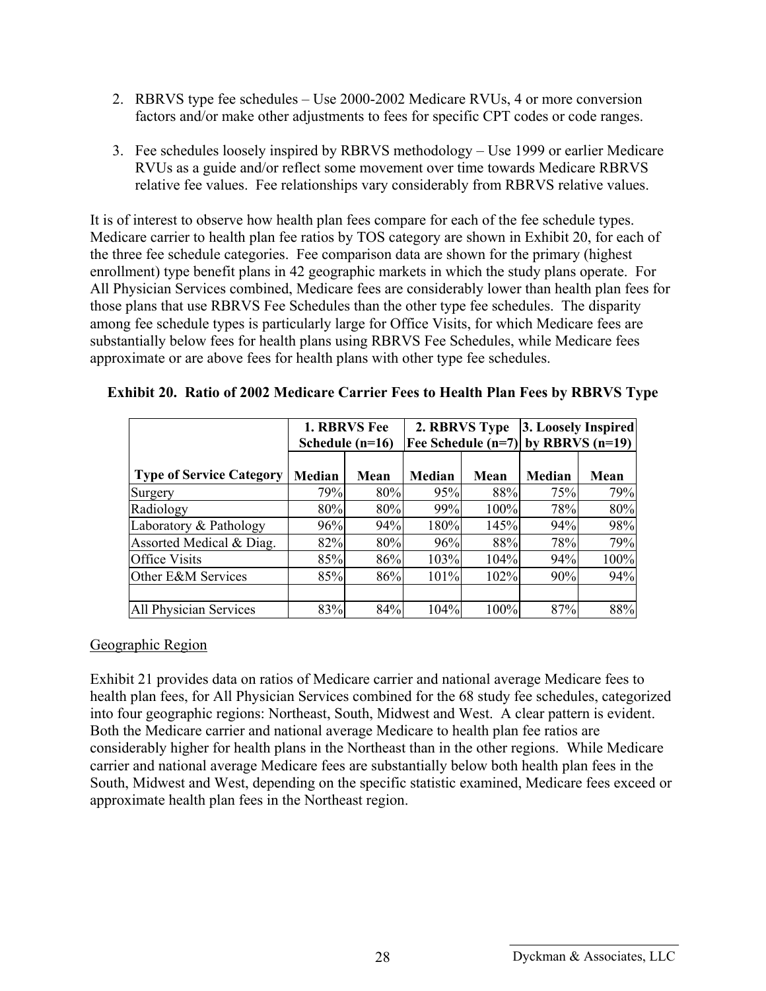- 2. RBRVS type fee schedules Use 2000-2002 Medicare RVUs, 4 or more conversion factors and/or make other adjustments to fees for specific CPT codes or code ranges.
- 3. Fee schedules loosely inspired by RBRVS methodology Use 1999 or earlier Medicare RVUs as a guide and/or reflect some movement over time towards Medicare RBRVS relative fee values. Fee relationships vary considerably from RBRVS relative values.

It is of interest to observe how health plan fees compare for each of the fee schedule types. Medicare carrier to health plan fee ratios by TOS category are shown in Exhibit 20, for each of the three fee schedule categories. Fee comparison data are shown for the primary (highest enrollment) type benefit plans in 42 geographic markets in which the study plans operate. For All Physician Services combined, Medicare fees are considerably lower than health plan fees for those plans that use RBRVS Fee Schedules than the other type fee schedules. The disparity among fee schedule types is particularly large for Office Visits, for which Medicare fees are substantially below fees for health plans using RBRVS Fee Schedules, while Medicare fees approximate or are above fees for health plans with other type fee schedules.

|                                 |        | <b>1. RBRVS Fee</b><br>Schedule $(n=16)$ |        | 2. RBRVS Type | 3. Loosely Inspired<br>Fee Schedule $(n=7)$ by RBRVS $(n=19)$ |      |
|---------------------------------|--------|------------------------------------------|--------|---------------|---------------------------------------------------------------|------|
| <b>Type of Service Category</b> | Median | Mean                                     | Median | Mean          | <b>Median</b>                                                 | Mean |
| Surgery                         | 79%    | 80%                                      | 95%    | 88%           | 75%                                                           | 79%  |
| Radiology                       | 80%    | 80%                                      | 99%    | 100%          | 78%                                                           | 80%  |
| Laboratory & Pathology          | 96%    | 94%                                      | 180%   | 145%          | 94%                                                           | 98%  |
| Assorted Medical & Diag.        | 82%    | 80%                                      | 96%    | 88%           | 78%                                                           | 79%  |
| <b>Office Visits</b>            | 85%    | 86%                                      | 103%   | 104%          | 94%                                                           | 100% |
| Other E&M Services              | 85%    | 86%                                      | 101%   | 102%          | 90%                                                           | 94%  |
| All Physician Services          | 83%    | 84%                                      | 104%   | 100%          | 87%                                                           | 88%  |

|  | <b>Exhibit 20. Ratio of 2002 Medicare Carrier Fees to Health Plan Fees by RBRVS Type</b> |  |  |  |  |  |  |  |  |
|--|------------------------------------------------------------------------------------------|--|--|--|--|--|--|--|--|
|--|------------------------------------------------------------------------------------------|--|--|--|--|--|--|--|--|

#### Geographic Region

Exhibit 21 provides data on ratios of Medicare carrier and national average Medicare fees to health plan fees, for All Physician Services combined for the 68 study fee schedules, categorized into four geographic regions: Northeast, South, Midwest and West. A clear pattern is evident. Both the Medicare carrier and national average Medicare to health plan fee ratios are considerably higher for health plans in the Northeast than in the other regions. While Medicare carrier and national average Medicare fees are substantially below both health plan fees in the South, Midwest and West, depending on the specific statistic examined, Medicare fees exceed or approximate health plan fees in the Northeast region.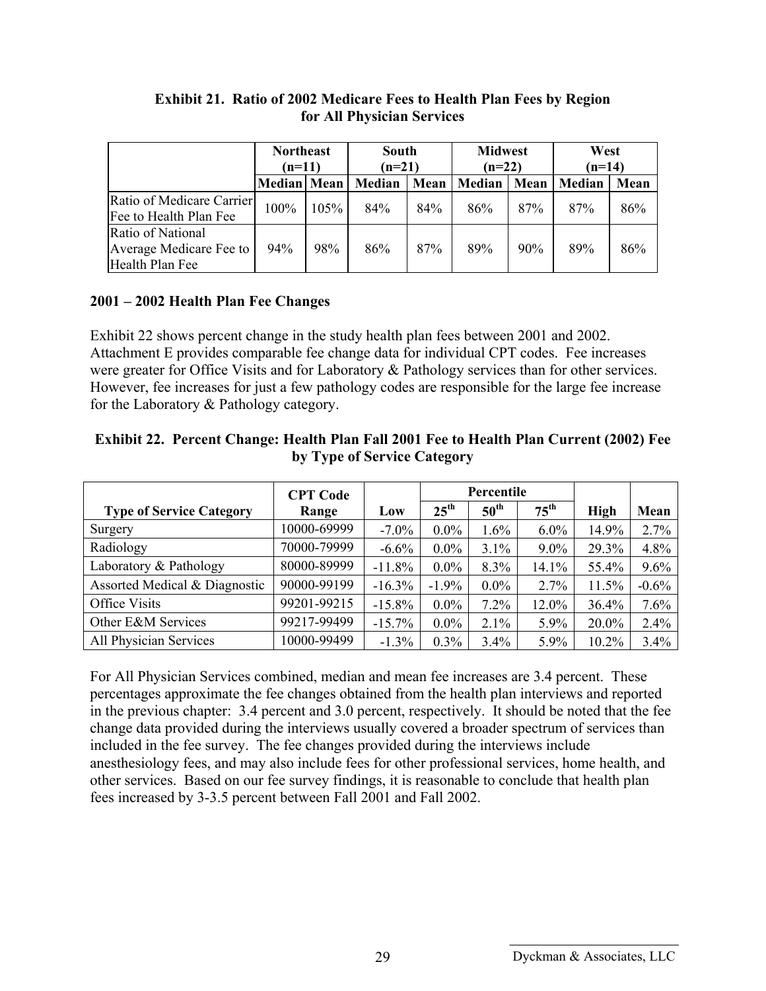|                                                                 | <b>Northeast</b><br>$(n=11)$ |      | South<br>$(n=21)$ |      | <b>Midwest</b><br>$(n=22)$ |      | West<br>$(n=14)$ |      |
|-----------------------------------------------------------------|------------------------------|------|-------------------|------|----------------------------|------|------------------|------|
|                                                                 | <b>Median</b> Mean           |      | Median            | Mean | Median                     | Mean | Median           | Mean |
| Ratio of Medicare Carrier<br>Fee to Health Plan Fee             | 100%                         | 105% | 84%               | 84%  | 86%                        | 87%  | 87%              | 86%  |
| Ratio of National<br>Average Medicare Fee to<br>Health Plan Fee | 94%                          | 98%  | 86%               | 87%  | 89%                        | 90%  | 89%              | 86%  |

#### **Exhibit 21. Ratio of 2002 Medicare Fees to Health Plan Fees by Region for All Physician Services**

#### **2001 – 2002 Health Plan Fee Changes**

Exhibit 22 shows percent change in the study health plan fees between 2001 and 2002. Attachment E provides comparable fee change data for individual CPT codes. Fee increases were greater for Office Visits and for Laboratory & Pathology services than for other services. However, fee increases for just a few pathology codes are responsible for the large fee increase for the Laboratory & Pathology category.

| Exhibit 22. Percent Change: Health Plan Fall 2001 Fee to Health Plan Current (2002) Fee |
|-----------------------------------------------------------------------------------------|
| by Type of Service Category                                                             |

|                                 | <b>CPT Code</b> |           | Percentile       |                  |                  |             |         |
|---------------------------------|-----------------|-----------|------------------|------------------|------------------|-------------|---------|
| <b>Type of Service Category</b> | Range           | Low       | $25^{\text{th}}$ | $50^{\text{th}}$ | $75^{\text{th}}$ | <b>High</b> | Mean    |
| Surgery                         | 10000-69999     | $-7.0\%$  | $0.0\%$          | $1.6\%$          | $6.0\%$          | 14.9%       | 2.7%    |
| Radiology                       | 70000-79999     | $-6.6\%$  | $0.0\%$          | $3.1\%$          | $9.0\%$          | 29.3%       | 4.8%    |
| Laboratory & Pathology          | 80000-89999     | $-11.8%$  | $0.0\%$          | 8.3%             | 14.1%            | 55.4%       | 9.6%    |
| Assorted Medical & Diagnostic   | 90000-99199     | $-16.3%$  | $-1.9\%$         | $0.0\%$          | 2.7%             | 11.5%       | $-0.6%$ |
| Office Visits                   | 99201-99215     | $-15.8%$  | $0.0\%$          | 7.2%             | 12.0%            | 36.4%       | 7.6%    |
| Other E&M Services              | 99217-99499     | $-15.7\%$ | $0.0\%$          | $2.1\%$          | $5.9\%$          | 20.0%       | 2.4%    |
| All Physician Services          | 10000-99499     | $-1.3\%$  | $0.3\%$          | $3.4\%$          | 5.9%             | 10.2%       | 3.4%    |

For All Physician Services combined, median and mean fee increases are 3.4 percent. These percentages approximate the fee changes obtained from the health plan interviews and reported in the previous chapter: 3.4 percent and 3.0 percent, respectively. It should be noted that the fee change data provided during the interviews usually covered a broader spectrum of services than included in the fee survey. The fee changes provided during the interviews include anesthesiology fees, and may also include fees for other professional services, home health, and other services. Based on our fee survey findings, it is reasonable to conclude that health plan fees increased by 3-3.5 percent between Fall 2001 and Fall 2002.

Dyckman & Associates, LLC 29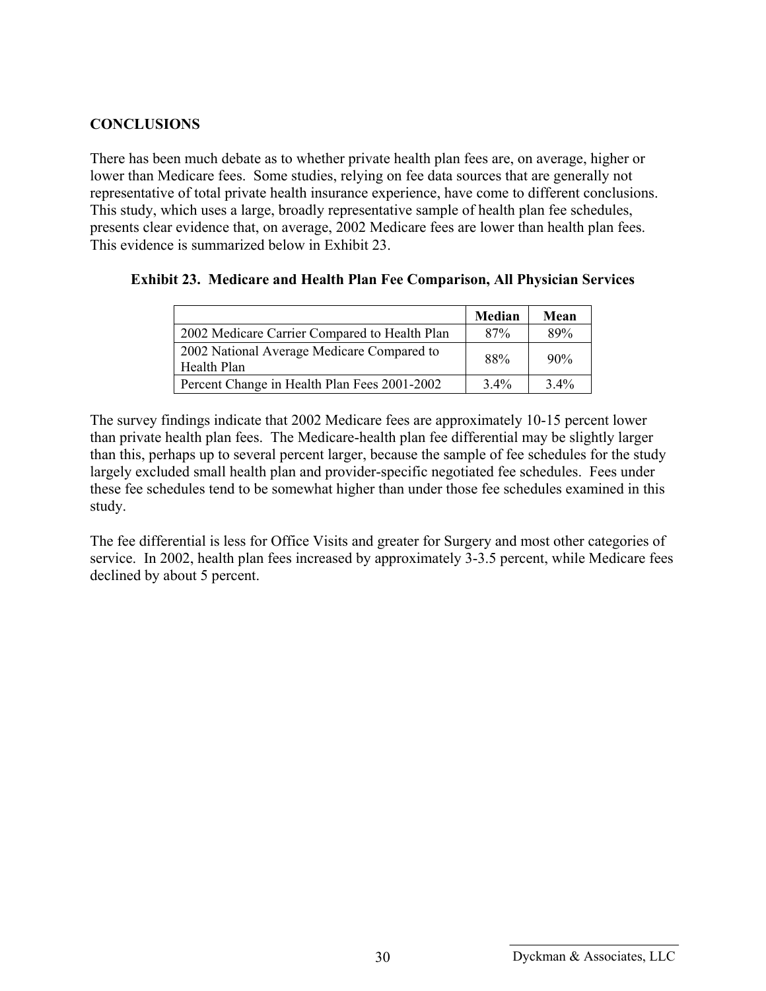#### **CONCLUSIONS**

There has been much debate as to whether private health plan fees are, on average, higher or lower than Medicare fees. Some studies, relying on fee data sources that are generally not representative of total private health insurance experience, have come to different conclusions. This study, which uses a large, broadly representative sample of health plan fee schedules, presents clear evidence that, on average, 2002 Medicare fees are lower than health plan fees. This evidence is summarized below in Exhibit 23.

|                                                           | Median  | Mean    |
|-----------------------------------------------------------|---------|---------|
| 2002 Medicare Carrier Compared to Health Plan             | 87%     | 89%     |
| 2002 National Average Medicare Compared to<br>Health Plan | 88%     | 90%     |
| Percent Change in Health Plan Fees 2001-2002              | $3.4\%$ | $3.4\%$ |

#### **Exhibit 23. Medicare and Health Plan Fee Comparison, All Physician Services**

The survey findings indicate that 2002 Medicare fees are approximately 10-15 percent lower than private health plan fees. The Medicare-health plan fee differential may be slightly larger than this, perhaps up to several percent larger, because the sample of fee schedules for the study largely excluded small health plan and provider-specific negotiated fee schedules. Fees under these fee schedules tend to be somewhat higher than under those fee schedules examined in this study.

The fee differential is less for Office Visits and greater for Surgery and most other categories of service. In 2002, health plan fees increased by approximately 3-3.5 percent, while Medicare fees declined by about 5 percent.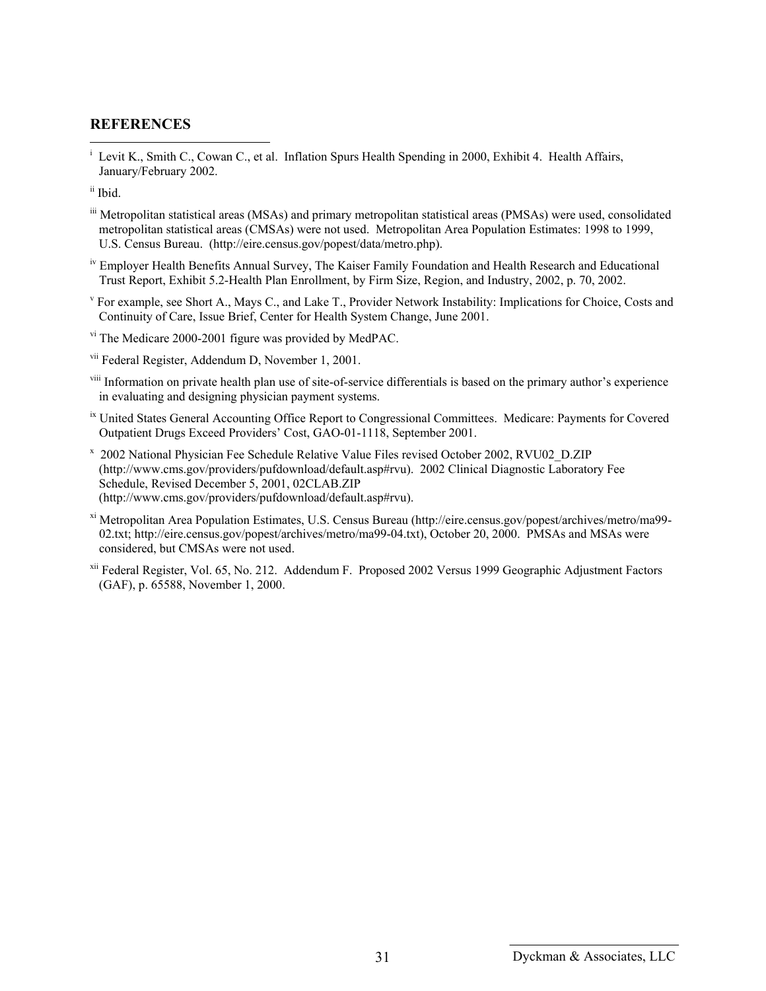#### **REFERENCES**

i Levit K., Smith C., Cowan C., et al. Inflation Spurs Health Spending in 2000, Exhibit 4. Health Affairs, January/February 2002.

 $\overline{a}$ 

- iii Metropolitan statistical areas (MSAs) and primary metropolitan statistical areas (PMSAs) were used, consolidated metropolitan statistical areas (CMSAs) were not used. Metropolitan Area Population Estimates: 1998 to 1999, U.S. Census Bureau. (http://eire.census.gov/popest/data/metro.php).
- iv Employer Health Benefits Annual Survey, The Kaiser Family Foundation and Health Research and Educational Trust Report, Exhibit 5.2-Health Plan Enrollment, by Firm Size, Region, and Industry, 2002, p. 70, 2002.
- v For example, see Short A., Mays C., and Lake T., Provider Network Instability: Implications for Choice, Costs and Continuity of Care, Issue Brief, Center for Health System Change, June 2001.
- vi The Medicare 2000-2001 figure was provided by MedPAC.
- vii Federal Register, Addendum D, November 1, 2001.
- viii Information on private health plan use of site-of-service differentials is based on the primary author's experience in evaluating and designing physician payment systems.
- <sup>ix</sup> United States General Accounting Office Report to Congressional Committees. Medicare: Payments for Covered Outpatient Drugs Exceed Providers' Cost, GAO-01-1118, September 2001.
- x 2002 National Physician Fee Schedule Relative Value Files revised October 2002, RVU02\_D.ZIP (http://www.cms.gov/providers/pufdownload/default.asp#rvu). 2002 Clinical Diagnostic Laboratory Fee Schedule, Revised December 5, 2001, 02CLAB.ZIP (http://www.cms.gov/providers/pufdownload/default.asp#rvu).
- xi Metropolitan Area Population Estimates, U.S. Census Bureau (http://eire.census.gov/popest/archives/metro/ma99- 02.txt; http://eire.census.gov/popest/archives/metro/ma99-04.txt), October 20, 2000. PMSAs and MSAs were considered, but CMSAs were not used.
- xii Federal Register, Vol. 65, No. 212. Addendum F. Proposed 2002 Versus 1999 Geographic Adjustment Factors (GAF), p. 65588, November 1, 2000.

ii Ibid.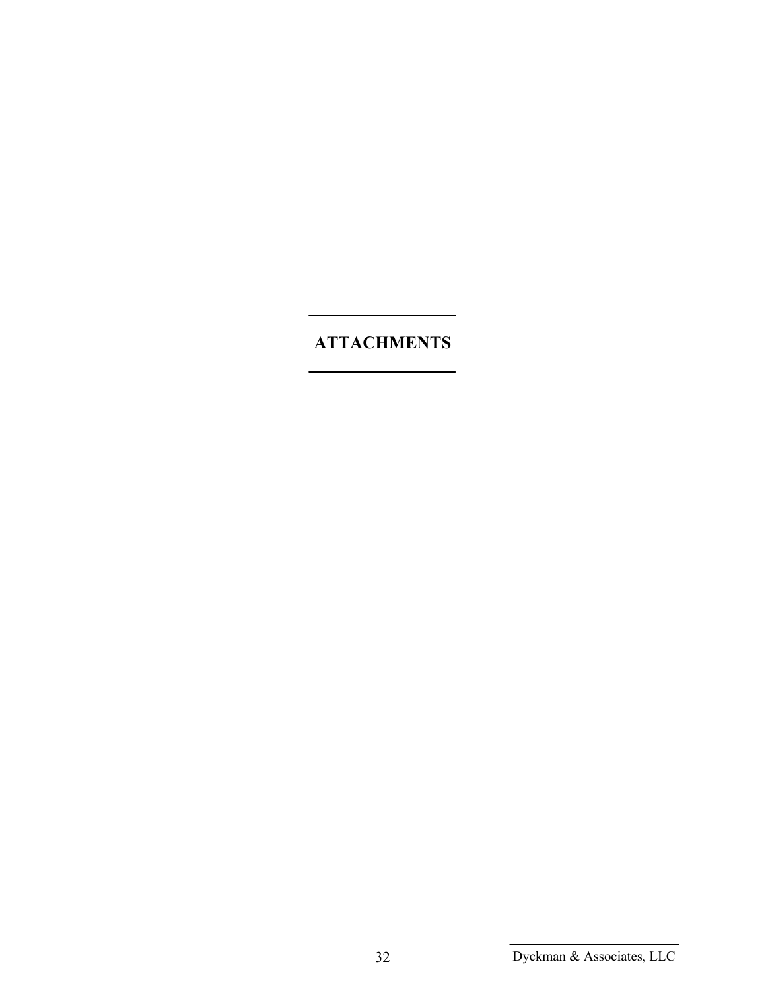# **ATTACHMENTS**

Dyckman & Associates, LLC 32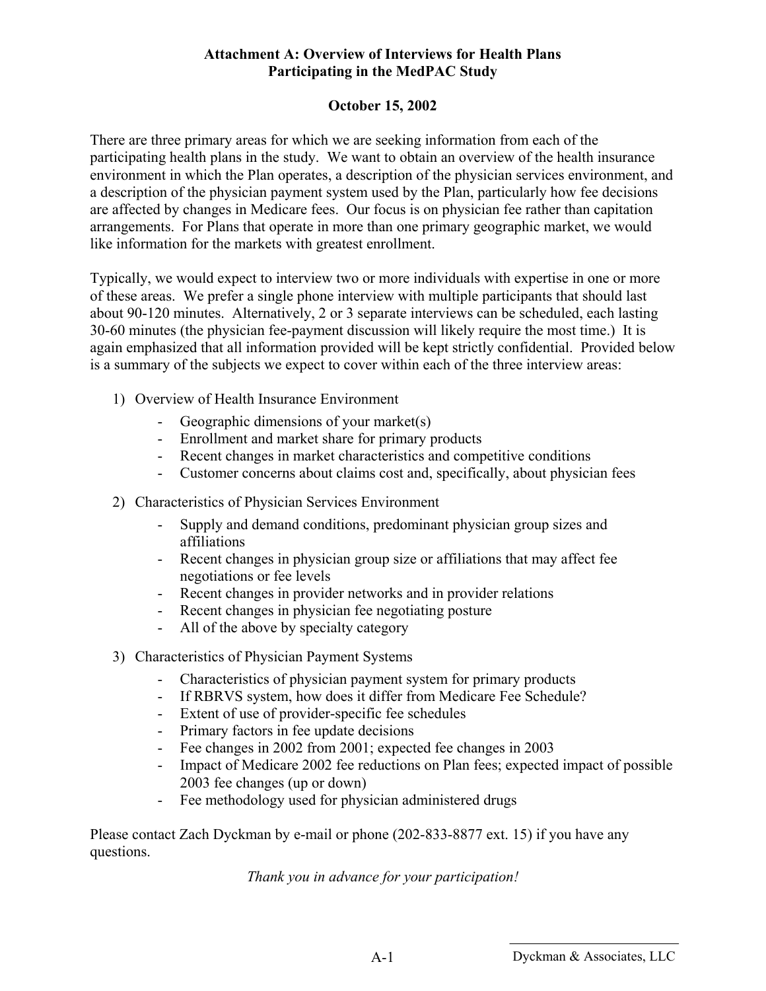#### **Attachment A: Overview of Interviews for Health Plans Participating in the MedPAC Study**

#### **October 15, 2002**

There are three primary areas for which we are seeking information from each of the participating health plans in the study. We want to obtain an overview of the health insurance environment in which the Plan operates, a description of the physician services environment, and a description of the physician payment system used by the Plan, particularly how fee decisions are affected by changes in Medicare fees. Our focus is on physician fee rather than capitation arrangements. For Plans that operate in more than one primary geographic market, we would like information for the markets with greatest enrollment.

Typically, we would expect to interview two or more individuals with expertise in one or more of these areas. We prefer a single phone interview with multiple participants that should last about 90-120 minutes. Alternatively, 2 or 3 separate interviews can be scheduled, each lasting 30-60 minutes (the physician fee-payment discussion will likely require the most time.) It is again emphasized that all information provided will be kept strictly confidential. Provided below is a summary of the subjects we expect to cover within each of the three interview areas:

- 1) Overview of Health Insurance Environment
	- Geographic dimensions of your market(s)
	- Enrollment and market share for primary products
	- Recent changes in market characteristics and competitive conditions
	- Customer concerns about claims cost and, specifically, about physician fees
- 2) Characteristics of Physician Services Environment
	- Supply and demand conditions, predominant physician group sizes and affiliations
	- Recent changes in physician group size or affiliations that may affect fee negotiations or fee levels
	- Recent changes in provider networks and in provider relations
	- Recent changes in physician fee negotiating posture
	- All of the above by specialty category
- 3) Characteristics of Physician Payment Systems
	- Characteristics of physician payment system for primary products
	- If RBRVS system, how does it differ from Medicare Fee Schedule?
	- Extent of use of provider-specific fee schedules
	- Primary factors in fee update decisions
	- Fee changes in 2002 from 2001; expected fee changes in 2003
	- Impact of Medicare 2002 fee reductions on Plan fees; expected impact of possible 2003 fee changes (up or down)
	- Fee methodology used for physician administered drugs

Please contact Zach Dyckman by e-mail or phone (202-833-8877 ext. 15) if you have any questions.

*Thank you in advance for your participation!*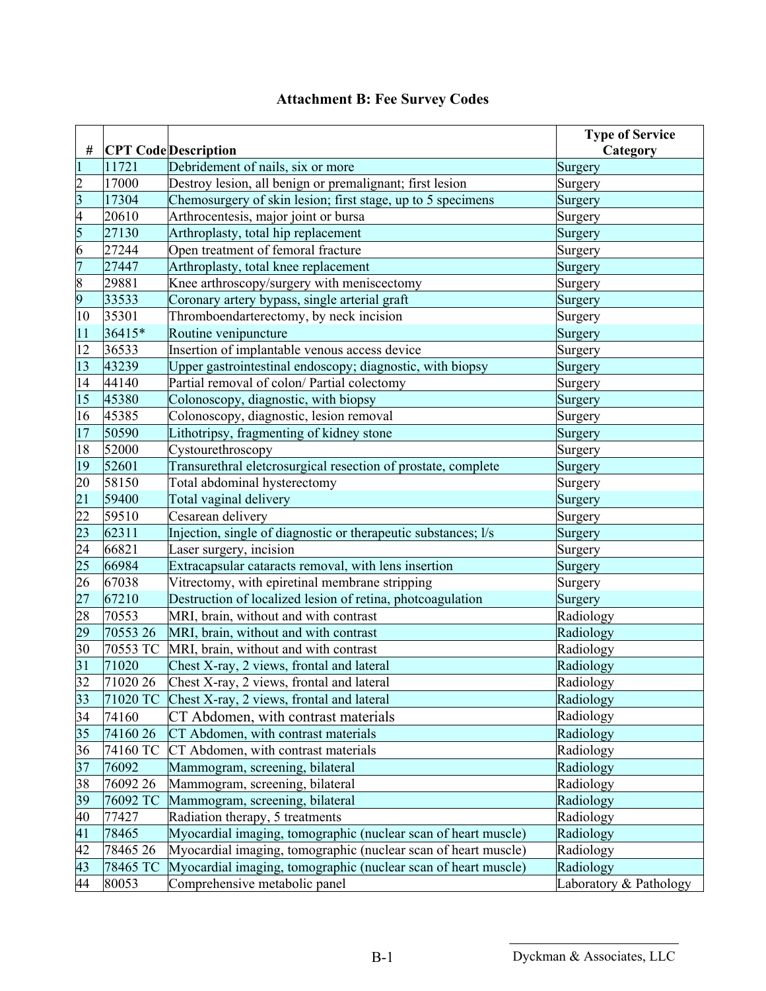| #                                                                                           |          | <b>CPT Code</b> Description                                    | <b>Type of Service</b><br>Category |
|---------------------------------------------------------------------------------------------|----------|----------------------------------------------------------------|------------------------------------|
| $\mathbf{1}$                                                                                | 11721    | Debridement of nails, six or more                              | Surgery                            |
|                                                                                             | 17000    | Destroy lesion, all benign or premalignant; first lesion       | Surgery                            |
| $\frac{2}{3}$ $\frac{4}{5}$                                                                 | 17304    | Chemosurgery of skin lesion; first stage, up to 5 specimens    | Surgery                            |
|                                                                                             | 20610    | Arthrocentesis, major joint or bursa                           | Surgery                            |
|                                                                                             | 27130    | Arthroplasty, total hip replacement                            | Surgery                            |
|                                                                                             | 27244    | Open treatment of femoral fracture                             | Surgery                            |
|                                                                                             | 27447    | Arthroplasty, total knee replacement                           | Surgery                            |
|                                                                                             | 29881    | Knee arthroscopy/surgery with meniscectomy                     | Surgery                            |
| $rac{6}{7}$ 8<br>9                                                                          | 33533    | Coronary artery bypass, single arterial graft                  | Surgery                            |
| 10                                                                                          | 35301    | Thromboendarterectomy, by neck incision                        | Surgery                            |
| 11                                                                                          | 36415*   | Routine venipuncture                                           | Surgery                            |
| $\overline{12}$                                                                             | 36533    | Insertion of implantable venous access device                  | Surgery                            |
| $\overline{13}$                                                                             | 43239    | Upper gastrointestinal endoscopy; diagnostic, with biopsy      | Surgery                            |
| 14                                                                                          | 44140    | Partial removal of colon/ Partial colectomy                    | Surgery                            |
| 15                                                                                          | 45380    | Colonoscopy, diagnostic, with biopsy                           | Surgery                            |
| 16                                                                                          | 45385    | Colonoscopy, diagnostic, lesion removal                        | Surgery                            |
| $\overline{17}$                                                                             | 50590    | Lithotripsy, fragmenting of kidney stone                       | Surgery                            |
| 18                                                                                          | 52000    | Cystourethroscopy                                              | Surgery                            |
| 19                                                                                          | 52601    | Transurethral eletcrosurgical resection of prostate, complete  | Surgery                            |
|                                                                                             | 58150    | Total abdominal hysterectomy                                   | Surgery                            |
|                                                                                             | 59400    | Total vaginal delivery                                         | Surgery                            |
|                                                                                             | 59510    | Cesarean delivery                                              | Surgery                            |
|                                                                                             | 62311    | Injection, single of diagnostic or therapeutic substances; l/s | Surgery                            |
| $\frac{20}{21}$<br>$\frac{22}{23}$<br>$\frac{23}{24}$<br>$\frac{25}{25}$<br>$\frac{26}{27}$ | 66821    | Laser surgery, incision                                        | Surgery                            |
|                                                                                             | 66984    | Extracapsular cataracts removal, with lens insertion           | Surgery                            |
|                                                                                             | 67038    | Vitrectomy, with epiretinal membrane stripping                 | Surgery                            |
|                                                                                             | 67210    | Destruction of localized lesion of retina, photcoagulation     | Surgery                            |
| 28                                                                                          | 70553    | MRI, brain, without and with contrast                          | Radiology                          |
|                                                                                             | 70553 26 | MRI, brain, without and with contrast                          | Radiology                          |
| $\frac{29}{30}$                                                                             | 70553 TC | MRI, brain, without and with contrast                          | Radiology                          |
| $\overline{31}$                                                                             | 71020    | Chest X-ray, 2 views, frontal and lateral                      | Radiology                          |
| $\overline{32}$                                                                             | 71020 26 | Chest X-ray, 2 views, frontal and lateral                      | Radiology                          |
| 33                                                                                          | 71020 TC | Chest X-ray, 2 views, frontal and lateral                      | Radiology                          |
| 34                                                                                          | 74160    | CT Abdomen, with contrast materials                            | Radiology                          |
| $\frac{35}{36}$                                                                             | 7416026  | CT Abdomen, with contrast materials                            | Radiology                          |
|                                                                                             | 74160 TC | CT Abdomen, with contrast materials                            | Radiology                          |
|                                                                                             | 76092    | Mammogram, screening, bilateral                                | Radiology                          |
| $\frac{37}{38}$<br>$\frac{39}{40}$                                                          | 76092 26 | Mammogram, screening, bilateral                                | Radiology                          |
|                                                                                             | 76092 TC | Mammogram, screening, bilateral                                | Radiology                          |
|                                                                                             | 77427    | Radiation therapy, 5 treatments                                | Radiology                          |
| 41                                                                                          | 78465    | Myocardial imaging, tomographic (nuclear scan of heart muscle) | Radiology                          |
|                                                                                             | 78465 26 | Myocardial imaging, tomographic (nuclear scan of heart muscle) | Radiology                          |
| $\frac{42}{43}$                                                                             | 78465 TC | Myocardial imaging, tomographic (nuclear scan of heart muscle) | Radiology                          |
| 44                                                                                          | 80053    | Comprehensive metabolic panel                                  | Laboratory & Pathology             |

# **Attachment B: Fee Survey Codes**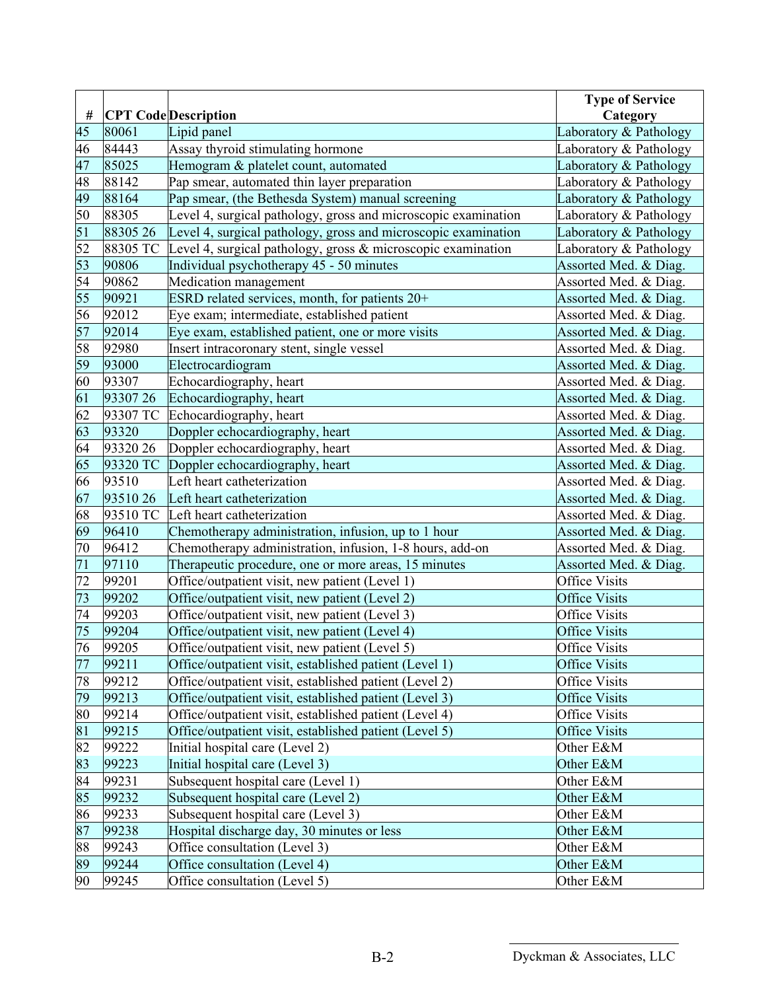|                 |          |                                                                | <b>Type of Service</b> |
|-----------------|----------|----------------------------------------------------------------|------------------------|
| $\#$            |          | <b>CPT Code</b> Description                                    | Category               |
| 45              | 80061    | Lipid panel                                                    | Laboratory & Pathology |
| 46              | 84443    | Assay thyroid stimulating hormone                              | Laboratory & Pathology |
| 47              | 85025    | Hemogram & platelet count, automated                           | Laboratory & Pathology |
| 48              | 88142    | Pap smear, automated thin layer preparation                    | Laboratory & Pathology |
| $\frac{49}{50}$ | 88164    | Pap smear, (the Bethesda System) manual screening              | Laboratory & Pathology |
|                 | 88305    | Level 4, surgical pathology, gross and microscopic examination | Laboratory & Pathology |
| 51              | 88305 26 | Level 4, surgical pathology, gross and microscopic examination | Laboratory & Pathology |
| 52              | 88305 TC | Level 4, surgical pathology, gross & microscopic examination   | Laboratory & Pathology |
| 53              | 90806    | Individual psychotherapy 45 - 50 minutes                       | Assorted Med. & Diag.  |
| 54              | 90862    | Medication management                                          | Assorted Med. & Diag.  |
| 55              | 90921    | ESRD related services, month, for patients 20+                 | Assorted Med. & Diag.  |
| 56              | 92012    | Eye exam; intermediate, established patient                    | Assorted Med. & Diag.  |
| 57              | 92014    | Eye exam, established patient, one or more visits              | Assorted Med. & Diag.  |
| 58              | 92980    | Insert intracoronary stent, single vessel                      | Assorted Med. & Diag.  |
| 59              | 93000    | Electrocardiogram                                              | Assorted Med. & Diag.  |
| 60              | 93307    | Echocardiography, heart                                        | Assorted Med. & Diag.  |
| 61              | 9330726  | Echocardiography, heart                                        | Assorted Med. & Diag.  |
| 62              | 93307 TC | Echocardiography, heart                                        | Assorted Med. & Diag.  |
| 63              | 93320    | Doppler echocardiography, heart                                | Assorted Med. & Diag.  |
| 64              | 93320 26 | Doppler echocardiography, heart                                | Assorted Med. & Diag.  |
| 65              | 93320 TC | Doppler echocardiography, heart                                | Assorted Med. & Diag.  |
| 66              | 93510    | Left heart catheterization                                     | Assorted Med. & Diag.  |
| 67              | 9351026  | Left heart catheterization                                     | Assorted Med. & Diag.  |
| 68              | 93510 TC | Left heart catheterization                                     | Assorted Med. & Diag.  |
| 69              | 96410    | Chemotherapy administration, infusion, up to 1 hour            | Assorted Med. & Diag.  |
| 70              | 96412    | Chemotherapy administration, infusion, 1-8 hours, add-on       | Assorted Med. & Diag.  |
| $\overline{71}$ | 97110    | Therapeutic procedure, one or more areas, 15 minutes           | Assorted Med. & Diag.  |
| $\overline{72}$ |          |                                                                |                        |
|                 | 99201    | Office/outpatient visit, new patient (Level 1)                 | <b>Office Visits</b>   |
| 73              | 99202    | Office/outpatient visit, new patient (Level 2)                 | <b>Office Visits</b>   |
| $\overline{74}$ | 99203    | Office/outpatient visit, new patient (Level 3)                 | <b>Office Visits</b>   |
| 75              | 99204    | Office/outpatient visit, new patient (Level 4)                 | <b>Office Visits</b>   |
| 76              | 99205    | Office/outpatient visit, new patient (Level 5)                 | <b>Office Visits</b>   |
| 77              | 99211    | Office/outpatient visit, established patient (Level 1)         | <b>Office Visits</b>   |
| 78              | 99212    | Office/outpatient visit, established patient (Level 2)         | <b>Office Visits</b>   |
| 79              | 99213    | Office/outpatient visit, established patient (Level 3)         | <b>Office Visits</b>   |
| 80              | 99214    | Office/outpatient visit, established patient (Level 4)         | <b>Office Visits</b>   |
| 81              | 99215    | Office/outpatient visit, established patient (Level 5)         | Office Visits          |
| 82              | 99222    | Initial hospital care (Level 2)                                | Other E&M              |
| 83              | 99223    | Initial hospital care (Level 3)                                | Other E&M              |
| 84              | 99231    | Subsequent hospital care (Level 1)                             | Other E&M              |
| 85              | 99232    | Subsequent hospital care (Level 2)                             | Other E&M              |
| 86              | 99233    | Subsequent hospital care (Level 3)                             | Other E&M              |
| 87              | 99238    | Hospital discharge day, 30 minutes or less                     | Other E&M              |
| 88              | 99243    | Office consultation (Level 3)                                  | Other E&M              |
| 89              | 99244    | Office consultation (Level 4)                                  | Other E&M              |
| 90              | 99245    | Office consultation (Level 5)                                  | Other E&M              |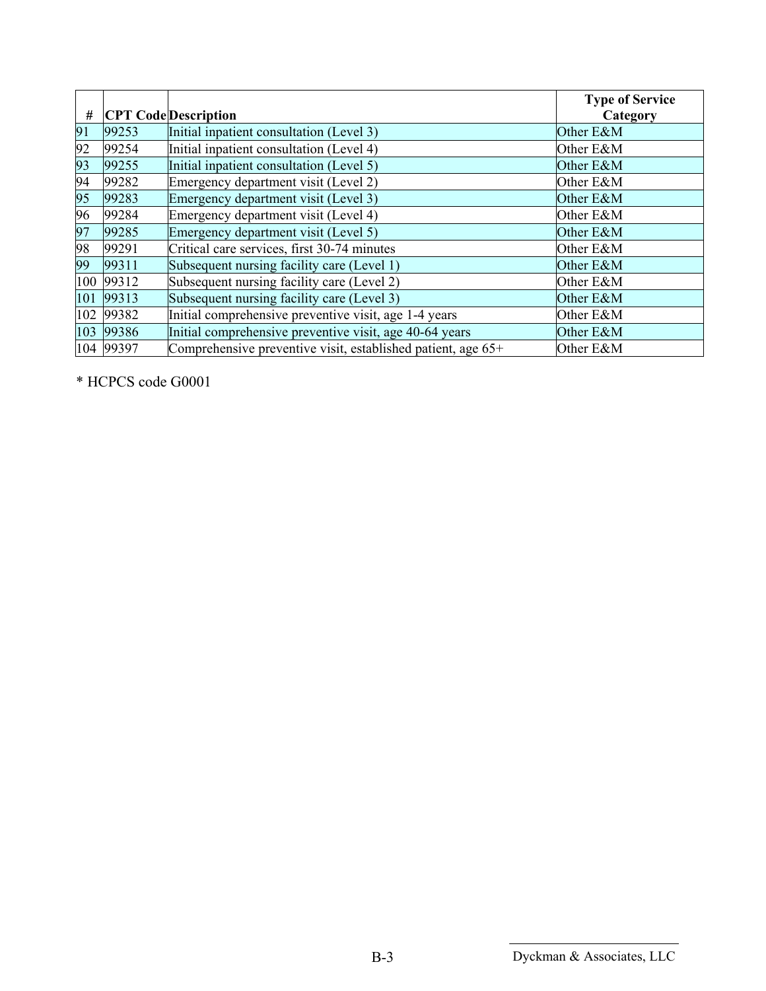| #  |           |                                                              | <b>Type of Service</b> |
|----|-----------|--------------------------------------------------------------|------------------------|
|    |           | <b>CPT Code</b> Description                                  | Category               |
| 91 | 99253     | Initial inpatient consultation (Level 3)                     | Other E&M              |
| 92 | 99254     | Initial inpatient consultation (Level 4)                     | Other E&M              |
| 93 | 99255     | Initial inpatient consultation (Level 5)                     | Other E&M              |
| 94 | 99282     | Emergency department visit (Level 2)                         | Other E&M              |
| 95 | 99283     | Emergency department visit (Level 3)                         | Other E&M              |
| 96 | 99284     | Emergency department visit (Level 4)                         | Other E&M              |
| 97 | 99285     | Emergency department visit (Level 5)                         | Other E&M              |
| 98 | 99291     | Critical care services, first 30-74 minutes                  | Other E&M              |
| 99 | 99311     | Subsequent nursing facility care (Level 1)                   | Other E&M              |
|    | 100 99312 | Subsequent nursing facility care (Level 2)                   | Other E&M              |
|    | 101 99313 | Subsequent nursing facility care (Level 3)                   | Other E&M              |
|    | 102 99382 | Initial comprehensive preventive visit, age 1-4 years        | Other E&M              |
|    | 103 99386 | Initial comprehensive preventive visit, age 40-64 years      | Other E&M              |
|    | 104 99397 | Comprehensive preventive visit, established patient, age 65+ | Other E&M              |

\* HCPCS code G0001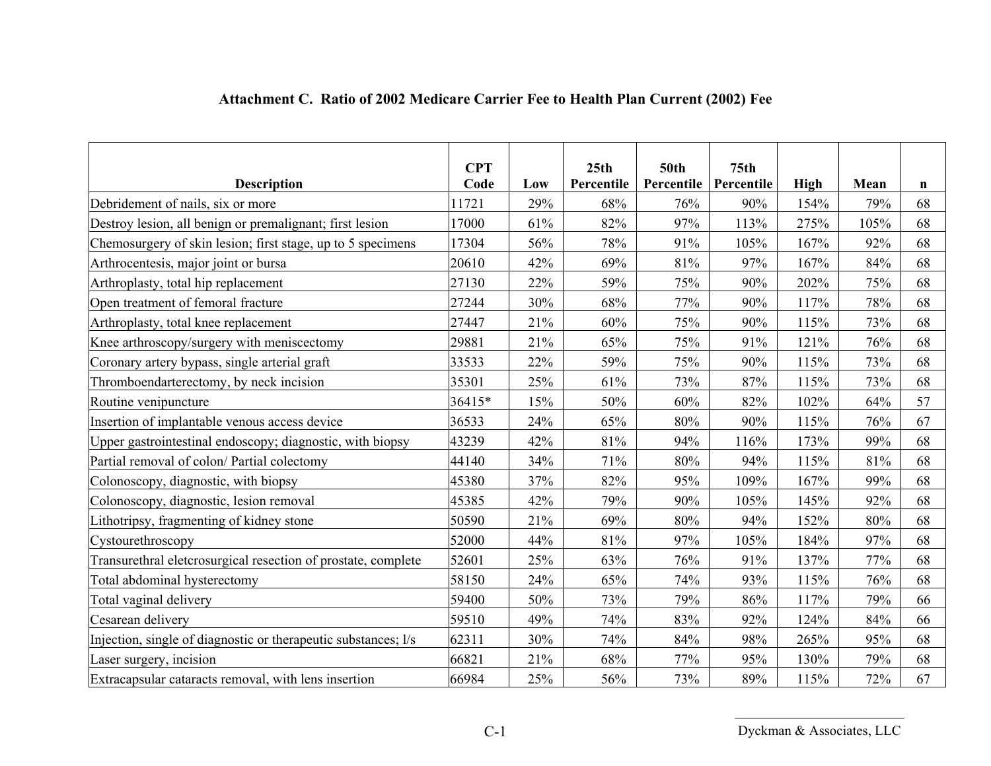| <b>Description</b>                                             | <b>CPT</b><br>Code | Low | 25th<br>Percentile | <b>50th</b><br>Percentile | 75 <sub>th</sub><br>Percentile | <b>High</b> | Mean | $\mathbf n$ |
|----------------------------------------------------------------|--------------------|-----|--------------------|---------------------------|--------------------------------|-------------|------|-------------|
| Debridement of nails, six or more                              | 11721              | 29% | 68%                | 76%                       | 90%                            | 154%        | 79%  | 68          |
| Destroy lesion, all benign or premalignant; first lesion       | 17000              | 61% | 82%                | 97%                       | 113%                           | 275%        | 105% | 68          |
| Chemosurgery of skin lesion; first stage, up to 5 specimens    | 17304              | 56% | 78%                | 91%                       | 105%                           | 167%        | 92%  | 68          |
| Arthrocentesis, major joint or bursa                           | 20610              | 42% | 69%                | 81%                       | 97%                            | 167%        | 84%  | 68          |
| Arthroplasty, total hip replacement                            | 27130              | 22% | 59%                | 75%                       | 90%                            | 202%        | 75%  | 68          |
| Open treatment of femoral fracture                             | 27244              | 30% | 68%                | 77%                       | 90%                            | 117%        | 78%  | 68          |
| Arthroplasty, total knee replacement                           | 27447              | 21% | 60%                | 75%                       | 90%                            | 115%        | 73%  | 68          |
| Knee arthroscopy/surgery with meniscectomy                     | 29881              | 21% | 65%                | 75%                       | 91%                            | 121%        | 76%  | 68          |
| Coronary artery bypass, single arterial graft                  | 33533              | 22% | 59%                | 75%                       | 90%                            | 115%        | 73%  | 68          |
| Thromboendarterectomy, by neck incision                        | 35301              | 25% | 61%                | 73%                       | 87%                            | 115%        | 73%  | 68          |
| Routine venipuncture                                           | 36415*             | 15% | 50%                | 60%                       | 82%                            | 102%        | 64%  | 57          |
| Insertion of implantable venous access device                  | 36533              | 24% | 65%                | 80%                       | 90%                            | 115%        | 76%  | 67          |
| Upper gastrointestinal endoscopy; diagnostic, with biopsy      | 43239              | 42% | 81%                | 94%                       | 116%                           | 173%        | 99%  | 68          |
| Partial removal of colon/ Partial colectomy                    | 44140              | 34% | 71%                | 80%                       | 94%                            | 115%        | 81%  | 68          |
| Colonoscopy, diagnostic, with biopsy                           | 45380              | 37% | 82%                | 95%                       | 109%                           | 167%        | 99%  | 68          |
| Colonoscopy, diagnostic, lesion removal                        | 45385              | 42% | 79%                | 90%                       | 105%                           | 145%        | 92%  | 68          |
| Lithotripsy, fragmenting of kidney stone                       | 50590              | 21% | 69%                | 80%                       | 94%                            | 152%        | 80%  | 68          |
| Cystourethroscopy                                              | 52000              | 44% | 81%                | 97%                       | 105%                           | 184%        | 97%  | 68          |
| Transurethral eletcrosurgical resection of prostate, complete  | 52601              | 25% | 63%                | 76%                       | 91%                            | 137%        | 77%  | 68          |
| Total abdominal hysterectomy                                   | 58150              | 24% | 65%                | 74%                       | 93%                            | 115%        | 76%  | 68          |
| Total vaginal delivery                                         | 59400              | 50% | 73%                | 79%                       | 86%                            | 117%        | 79%  | 66          |
| Cesarean delivery                                              | 59510              | 49% | 74%                | 83%                       | 92%                            | 124%        | 84%  | 66          |
| Injection, single of diagnostic or therapeutic substances; l/s | 62311              | 30% | 74%                | 84%                       | 98%                            | 265%        | 95%  | 68          |
| Laser surgery, incision                                        | 66821              | 21% | 68%                | 77%                       | 95%                            | 130%        | 79%  | 68          |
| Extracapsular cataracts removal, with lens insertion           | 66984              | 25% | 56%                | 73%                       | 89%                            | 115%        | 72%  | 67          |

# **Attachment C. Ratio of 2002 Medicare Carrier Fee to Health Plan Current (2002) Fee**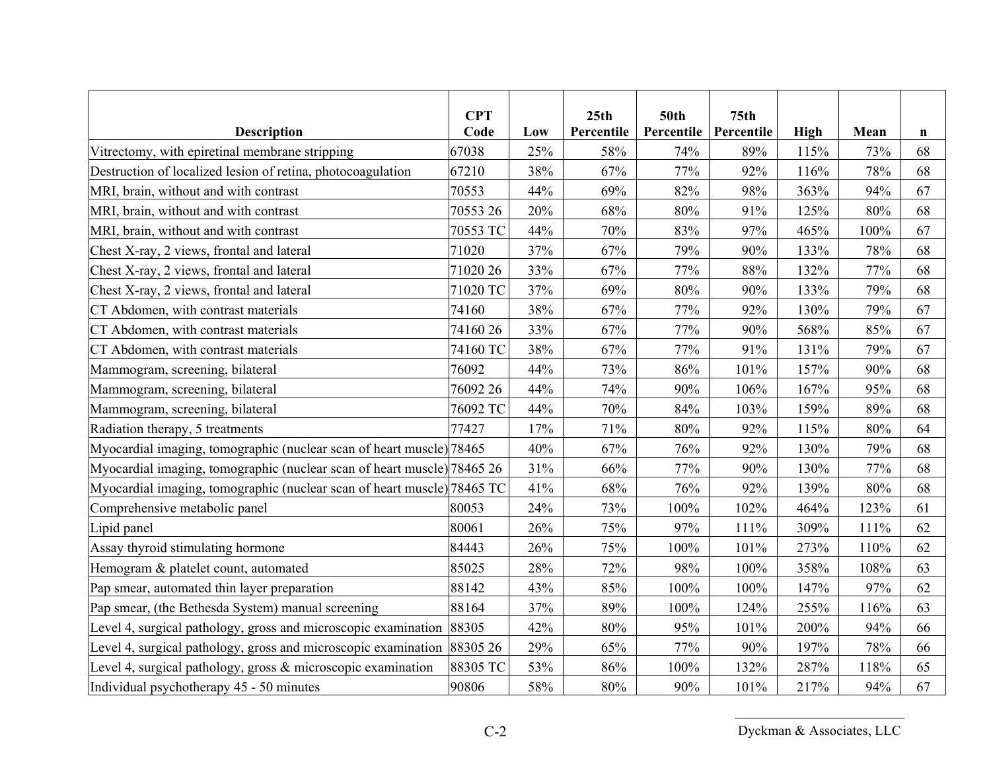| <b>Description</b>                                                      | <b>CPT</b><br>Code | Low | 25th<br>Percentile | <b>50th</b><br>Percentile | 75 <sub>th</sub><br>Percentile | <b>High</b> | Mean | n  |
|-------------------------------------------------------------------------|--------------------|-----|--------------------|---------------------------|--------------------------------|-------------|------|----|
| Vitrectomy, with epiretinal membrane stripping                          | 67038              | 25% | 58%                | 74%                       | 89%                            | 115%        | 73%  | 68 |
| Destruction of localized lesion of retina, photocoagulation             | 67210              | 38% | 67%                | 77%                       | 92%                            | 116%        | 78%  | 68 |
| MRI, brain, without and with contrast                                   | 70553              | 44% | 69%                | 82%                       | 98%                            | 363%        | 94%  | 67 |
| MRI, brain, without and with contrast                                   | 70553 26           | 20% | 68%                | $80\%$                    | 91%                            | 125%        | 80%  | 68 |
| MRI, brain, without and with contrast                                   | 70553 TC           | 44% | 70%                | 83%                       | 97%                            | 465%        | 100% | 67 |
| Chest X-ray, 2 views, frontal and lateral                               | 71020              | 37% | 67%                | 79%                       | 90%                            | 133%        | 78%  | 68 |
| Chest X-ray, 2 views, frontal and lateral                               | 71020 26           | 33% | 67%                | 77%                       | 88%                            | 132%        | 77%  | 68 |
| Chest X-ray, 2 views, frontal and lateral                               | 71020 TC           | 37% | 69%                | 80%                       | 90%                            | 133%        | 79%  | 68 |
| CT Abdomen, with contrast materials                                     | 74160              | 38% | 67%                | 77%                       | 92%                            | 130%        | 79%  | 67 |
| CT Abdomen, with contrast materials                                     | 7416026            | 33% | 67%                | 77%                       | 90%                            | 568%        | 85%  | 67 |
| CT Abdomen, with contrast materials                                     | 74160 TC           | 38% | 67%                | 77%                       | 91%                            | 131%        | 79%  | 67 |
| Mammogram, screening, bilateral                                         | 76092              | 44% | 73%                | 86%                       | 101%                           | 157%        | 90%  | 68 |
| Mammogram, screening, bilateral                                         | 76092 26           | 44% | 74%                | 90%                       | 106%                           | 167%        | 95%  | 68 |
| Mammogram, screening, bilateral                                         | 76092 TC           | 44% | 70%                | 84%                       | 103%                           | 159%        | 89%  | 68 |
| Radiation therapy, 5 treatments                                         | 77427              | 17% | 71%                | 80%                       | 92%                            | 115%        | 80%  | 64 |
| Myocardial imaging, tomographic (nuclear scan of heart muscle) 78465    |                    | 40% | 67%                | 76%                       | 92%                            | 130%        | 79%  | 68 |
| Myocardial imaging, tomographic (nuclear scan of heart muscle) 78465 26 |                    | 31% | 66%                | 77%                       | 90%                            | 130%        | 77%  | 68 |
| Myocardial imaging, tomographic (nuclear scan of heart muscle) 78465 TC |                    | 41% | 68%                | 76%                       | 92%                            | 139%        | 80%  | 68 |
| Comprehensive metabolic panel                                           | 80053              | 24% | 73%                | 100%                      | 102%                           | 464%        | 123% | 61 |
| Lipid panel                                                             | 80061              | 26% | 75%                | 97%                       | 111%                           | 309%        | 111% | 62 |
| Assay thyroid stimulating hormone                                       | 84443              | 26% | 75%                | 100%                      | 101%                           | 273%        | 110% | 62 |
| Hemogram & platelet count, automated                                    | 85025              | 28% | 72%                | 98%                       | 100%                           | 358%        | 108% | 63 |
| Pap smear, automated thin layer preparation                             | 88142              | 43% | 85%                | 100%                      | 100%                           | 147%        | 97%  | 62 |
| Pap smear, (the Bethesda System) manual screening                       | 88164              | 37% | 89%                | 100%                      | 124%                           | 255%        | 116% | 63 |
| Level 4, surgical pathology, gross and microscopic examination          | 88305              | 42% | 80%                | 95%                       | 101%                           | 200%        | 94%  | 66 |
| Level 4, surgical pathology, gross and microscopic examination          | 88305 26           | 29% | 65%                | 77%                       | 90%                            | 197%        | 78%  | 66 |
| Level 4, surgical pathology, gross $\&$ microscopic examination         | 88305 TC           | 53% | 86%                | 100%                      | 132%                           | 287%        | 118% | 65 |
| Individual psychotherapy 45 - 50 minutes                                | 90806              | 58% | 80%                | 90%                       | 101%                           | 217%        | 94%  | 67 |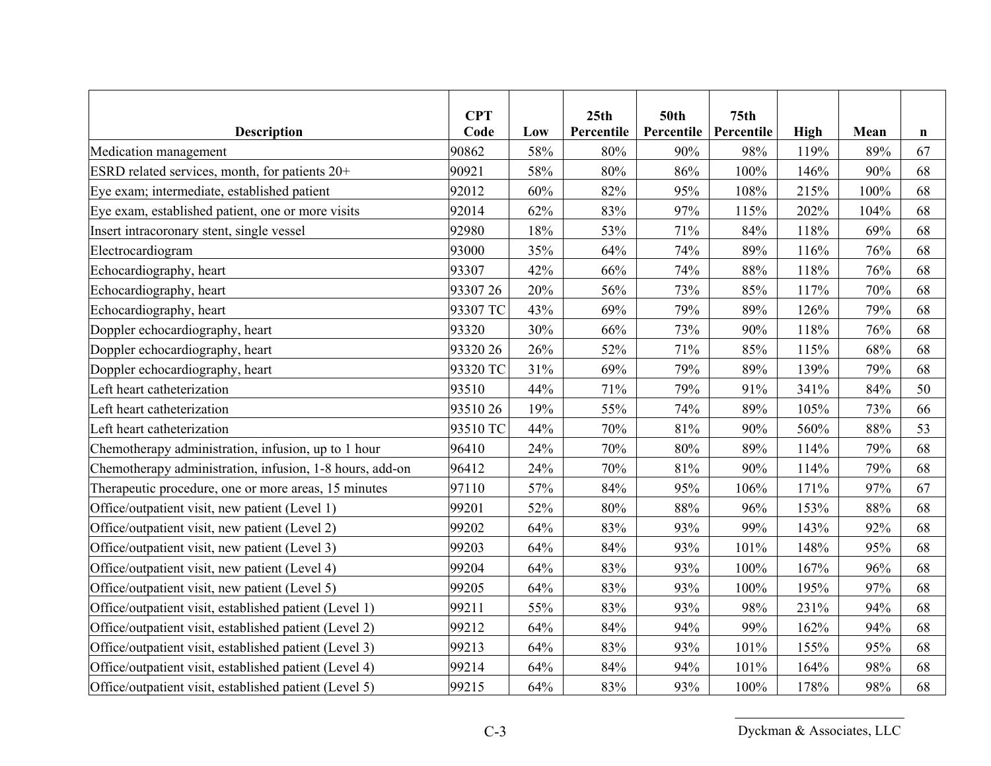| <b>Description</b>                                       | <b>CPT</b><br>Code | Low | 25th<br>Percentile | <b>50th</b><br>Percentile | 75 <sub>th</sub><br>Percentile | <b>High</b> | Mean | n  |
|----------------------------------------------------------|--------------------|-----|--------------------|---------------------------|--------------------------------|-------------|------|----|
| Medication management                                    | 90862              | 58% | 80%                | 90%                       | 98%                            | 119%        | 89%  | 67 |
| ESRD related services, month, for patients 20+           | 90921              | 58% | 80%                | 86%                       | 100%                           | 146%        | 90%  | 68 |
| Eye exam; intermediate, established patient              | 92012              | 60% | 82%                | 95%                       | 108%                           | 215%        | 100% | 68 |
| Eye exam, established patient, one or more visits        | 92014              | 62% | 83%                | 97%                       | 115%                           | 202%        | 104% | 68 |
| Insert intracoronary stent, single vessel                | 92980              | 18% | 53%                | 71%                       | 84%                            | 118%        | 69%  | 68 |
| Electrocardiogram                                        | 93000              | 35% | 64%                | 74%                       | 89%                            | 116%        | 76%  | 68 |
| Echocardiography, heart                                  | 93307              | 42% | 66%                | 74%                       | 88%                            | 118%        | 76%  | 68 |
| Echocardiography, heart                                  | 93307 26           | 20% | 56%                | 73%                       | 85%                            | 117%        | 70%  | 68 |
| Echocardiography, heart                                  | 93307 TC           | 43% | 69%                | 79%                       | 89%                            | 126%        | 79%  | 68 |
| Doppler echocardiography, heart                          | 93320              | 30% | 66%                | 73%                       | 90%                            | 118%        | 76%  | 68 |
| Doppler echocardiography, heart                          | 93320 26           | 26% | 52%                | 71%                       | 85%                            | 115%        | 68%  | 68 |
| Doppler echocardiography, heart                          | 93320 TC           | 31% | 69%                | 79%                       | 89%                            | 139%        | 79%  | 68 |
| Left heart catheterization                               | 93510              | 44% | 71%                | 79%                       | 91%                            | 341%        | 84%  | 50 |
| Left heart catheterization                               | 9351026            | 19% | 55%                | 74%                       | 89%                            | 105%        | 73%  | 66 |
| Left heart catheterization                               | 93510 TC           | 44% | 70%                | 81%                       | 90%                            | 560%        | 88%  | 53 |
| Chemotherapy administration, infusion, up to 1 hour      | 96410              | 24% | 70%                | 80%                       | 89%                            | 114%        | 79%  | 68 |
| Chemotherapy administration, infusion, 1-8 hours, add-on | 96412              | 24% | 70%                | 81%                       | 90%                            | 114%        | 79%  | 68 |
| Therapeutic procedure, one or more areas, 15 minutes     | 97110              | 57% | 84%                | 95%                       | 106%                           | 171%        | 97%  | 67 |
| Office/outpatient visit, new patient (Level 1)           | 99201              | 52% | 80%                | 88%                       | 96%                            | 153%        | 88%  | 68 |
| Office/outpatient visit, new patient (Level 2)           | 99202              | 64% | 83%                | 93%                       | 99%                            | 143%        | 92%  | 68 |
| Office/outpatient visit, new patient (Level 3)           | 99203              | 64% | 84%                | 93%                       | 101%                           | 148%        | 95%  | 68 |
| Office/outpatient visit, new patient (Level 4)           | 99204              | 64% | 83%                | 93%                       | 100%                           | 167%        | 96%  | 68 |
| Office/outpatient visit, new patient (Level 5)           | 99205              | 64% | 83%                | 93%                       | 100%                           | 195%        | 97%  | 68 |
| Office/outpatient visit, established patient (Level 1)   | 99211              | 55% | 83%                | 93%                       | 98%                            | 231%        | 94%  | 68 |
| Office/outpatient visit, established patient (Level 2)   | 99212              | 64% | 84%                | 94%                       | 99%                            | 162%        | 94%  | 68 |
| Office/outpatient visit, established patient (Level 3)   | 99213              | 64% | 83%                | 93%                       | 101%                           | 155%        | 95%  | 68 |
| Office/outpatient visit, established patient (Level 4)   | 99214              | 64% | 84%                | 94%                       | 101%                           | 164%        | 98%  | 68 |
| Office/outpatient visit, established patient (Level 5)   | 99215              | 64% | 83%                | 93%                       | 100%                           | 178%        | 98%  | 68 |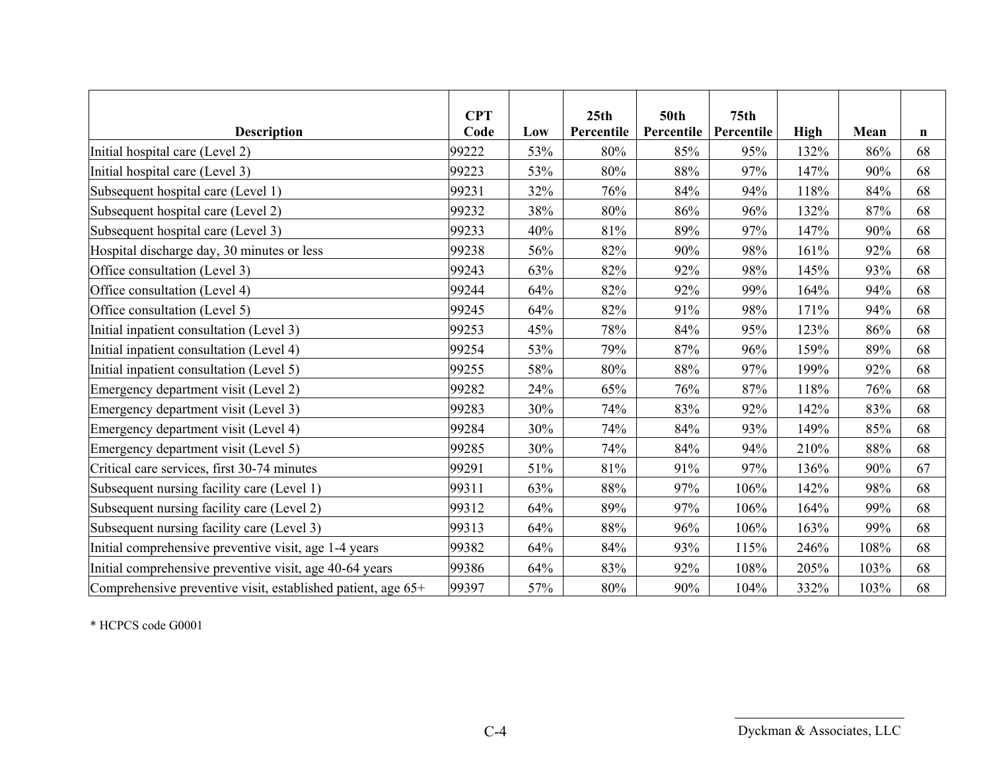|                                                              | <b>CPT</b><br>Code |     | 25 <sub>th</sub><br>Percentile | <b>50th</b><br>Percentile | 75 <sub>th</sub><br>Percentile |             |      |             |
|--------------------------------------------------------------|--------------------|-----|--------------------------------|---------------------------|--------------------------------|-------------|------|-------------|
| <b>Description</b>                                           |                    | Low |                                |                           |                                | <b>High</b> | Mean | $\mathbf n$ |
| Initial hospital care (Level 2)                              | 99222              | 53% | 80%                            | 85%                       | 95%                            | 132%        | 86%  | 68          |
| Initial hospital care (Level 3)                              | 99223              | 53% | 80%                            | 88%                       | 97%                            | 147%        | 90%  | 68          |
| Subsequent hospital care (Level 1)                           | 99231              | 32% | 76%                            | 84%                       | 94%                            | 118%        | 84%  | 68          |
| Subsequent hospital care (Level 2)                           | 99232              | 38% | 80%                            | 86%                       | 96%                            | 132%        | 87%  | 68          |
| Subsequent hospital care (Level 3)                           | 99233              | 40% | 81%                            | 89%                       | 97%                            | 147%        | 90%  | 68          |
| Hospital discharge day, 30 minutes or less                   | 99238              | 56% | 82%                            | 90%                       | 98%                            | 161%        | 92%  | 68          |
| Office consultation (Level 3)                                | 99243              | 63% | 82%                            | 92%                       | 98%                            | 145%        | 93%  | 68          |
| Office consultation (Level 4)                                | 99244              | 64% | 82%                            | 92%                       | 99%                            | 164%        | 94%  | 68          |
| Office consultation (Level 5)                                | 99245              | 64% | 82%                            | 91%                       | 98%                            | 171%        | 94%  | 68          |
| Initial inpatient consultation (Level 3)                     | 99253              | 45% | 78%                            | 84%                       | 95%                            | 123%        | 86%  | 68          |
| Initial inpatient consultation (Level 4)                     | 99254              | 53% | 79%                            | 87%                       | 96%                            | 159%        | 89%  | 68          |
| Initial inpatient consultation (Level 5)                     | 99255              | 58% | 80%                            | 88%                       | 97%                            | 199%        | 92%  | 68          |
| Emergency department visit (Level 2)                         | 99282              | 24% | 65%                            | 76%                       | 87%                            | 118%        | 76%  | 68          |
| Emergency department visit (Level 3)                         | 99283              | 30% | 74%                            | 83%                       | 92%                            | 142%        | 83%  | 68          |
| Emergency department visit (Level 4)                         | 99284              | 30% | 74%                            | 84%                       | 93%                            | 149%        | 85%  | 68          |
| Emergency department visit (Level 5)                         | 99285              | 30% | 74%                            | 84%                       | 94%                            | 210%        | 88%  | 68          |
| Critical care services, first 30-74 minutes                  | 99291              | 51% | 81%                            | 91%                       | 97%                            | 136%        | 90%  | 67          |
| Subsequent nursing facility care (Level 1)                   | 99311              | 63% | 88%                            | 97%                       | 106%                           | 142%        | 98%  | 68          |
| Subsequent nursing facility care (Level 2)                   | 99312              | 64% | 89%                            | 97%                       | 106%                           | 164%        | 99%  | 68          |
| Subsequent nursing facility care (Level 3)                   | 99313              | 64% | 88%                            | 96%                       | 106%                           | 163%        | 99%  | 68          |
| Initial comprehensive preventive visit, age 1-4 years        | 99382              | 64% | 84%                            | 93%                       | 115%                           | 246%        | 108% | 68          |
| Initial comprehensive preventive visit, age 40-64 years      | 99386              | 64% | 83%                            | 92%                       | 108%                           | 205%        | 103% | 68          |
| Comprehensive preventive visit, established patient, age 65+ | 99397              | 57% | 80%                            | 90%                       | 104%                           | 332%        | 103% | 68          |

\* HCPCS code G0001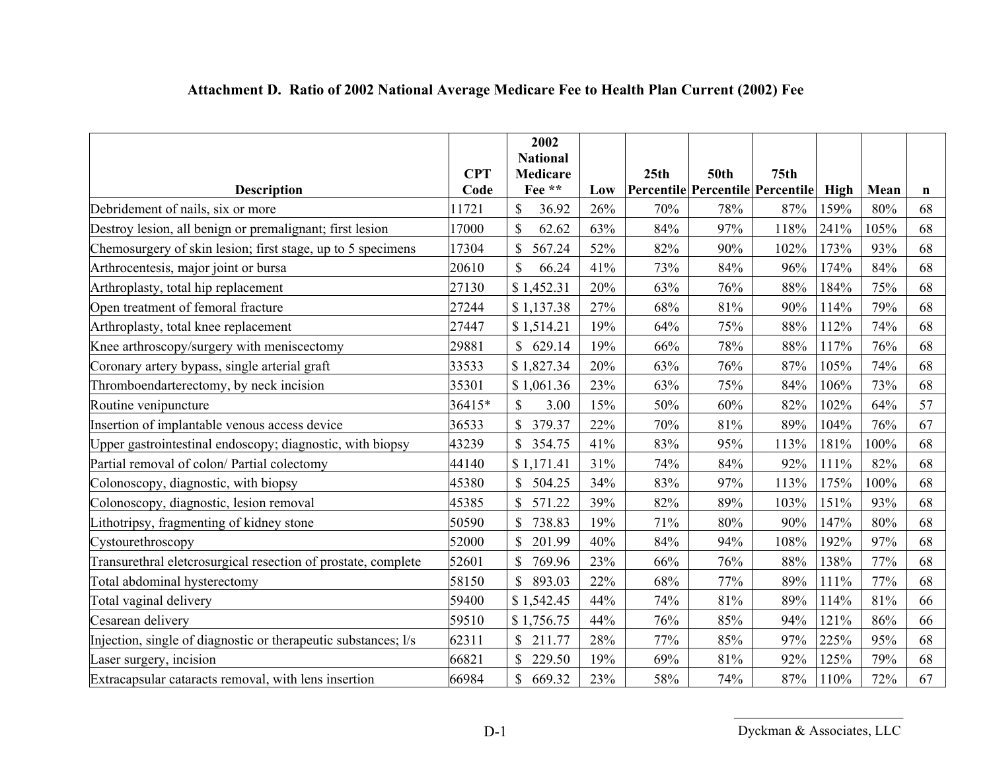|                                                                | <b>CPT</b> | 2002<br><b>National</b><br><b>Medicare</b> |     | 25th | <b>50th</b> | 75 <sub>th</sub>                 |      |      |    |
|----------------------------------------------------------------|------------|--------------------------------------------|-----|------|-------------|----------------------------------|------|------|----|
| <b>Description</b>                                             | Code       | Fee **                                     | Low |      |             | Percentile Percentile Percentile | High | Mean | n  |
| Debridement of nails, six or more                              | 1721       | $\mathbf S$<br>36.92                       | 26% | 70%  | 78%         | 87%                              | 159% | 80%  | 68 |
| Destroy lesion, all benign or premalignant; first lesion       | 17000      | 62.62                                      | 63% | 84%  | 97%         | 118%                             | 241% | 105% | 68 |
| Chemosurgery of skin lesion; first stage, up to 5 specimens    | 17304      | \$<br>567.24                               | 52% | 82%  | 90%         | 102%                             | 173% | 93%  | 68 |
| Arthrocentesis, major joint or bursa                           | 20610      | $\mathcal{S}$<br>66.24                     | 41% | 73%  | 84%         | 96%                              | 174% | 84%  | 68 |
| Arthroplasty, total hip replacement                            | 27130      | \$1,452.31                                 | 20% | 63%  | 76%         | 88%                              | 184% | 75%  | 68 |
| Open treatment of femoral fracture                             | 27244      | \$1,137.38                                 | 27% | 68%  | 81%         | 90%                              | 114% | 79%  | 68 |
| Arthroplasty, total knee replacement                           | 27447      | \$1,514.21                                 | 19% | 64%  | 75%         | 88%                              | 112% | 74%  | 68 |
| Knee arthroscopy/surgery with meniscectomy                     | 29881      | 629.14<br>$\mathbb{S}$                     | 19% | 66%  | 78%         | 88%                              | 117% | 76%  | 68 |
| Coronary artery bypass, single arterial graft                  | 33533      | \$1,827.34                                 | 20% | 63%  | 76%         | 87%                              | 105% | 74%  | 68 |
| Thromboendarterectomy, by neck incision                        | 35301      | \$1,061.36                                 | 23% | 63%  | 75%         | 84%                              | 106% | 73%  | 68 |
| Routine venipuncture                                           | 36415*     | 3.00<br>S                                  | 15% | 50%  | 60%         | 82%                              | 102% | 64%  | 57 |
| Insertion of implantable venous access device                  | 36533      | \$<br>379.37                               | 22% | 70%  | 81%         | 89%                              | 104% | 76%  | 67 |
| Upper gastrointestinal endoscopy; diagnostic, with biopsy      | 43239      | 354.75                                     | 41% | 83%  | 95%         | 113%                             | 181% | 100% | 68 |
| Partial removal of colon/ Partial colectomy                    | 44140      | \$1,171.41                                 | 31% | 74%  | 84%         | 92%                              | 111% | 82%  | 68 |
| Colonoscopy, diagnostic, with biopsy                           | 45380      | $\mathbf S$<br>504.25                      | 34% | 83%  | 97%         | 113%                             | 175% | 100% | 68 |
| Colonoscopy, diagnostic, lesion removal                        | 45385      | \$<br>571.22                               | 39% | 82%  | 89%         | 103%                             | 151% | 93%  | 68 |
| Lithotripsy, fragmenting of kidney stone                       | 50590      | 738.83                                     | 19% | 71%  | 80%         | 90%                              | 147% | 80%  | 68 |
| Cystourethroscopy                                              | 52000      | 201.99                                     | 40% | 84%  | 94%         | 108%                             | 192% | 97%  | 68 |
| Transurethral eletcrosurgical resection of prostate, complete  | 52601      | 769.96                                     | 23% | 66%  | 76%         | 88%                              | 138% | 77%  | 68 |
| Total abdominal hysterectomy                                   | 58150      | \$<br>893.03                               | 22% | 68%  | 77%         | 89%                              | 111% | 77%  | 68 |
| Total vaginal delivery                                         | 59400      | \$1,542.45                                 | 44% | 74%  | 81%         | 89%                              | 114% | 81%  | 66 |
| Cesarean delivery                                              | 59510      | \$1,756.75                                 | 44% | 76%  | 85%         | 94%                              | 121% | 86%  | 66 |
| Injection, single of diagnostic or therapeutic substances; l/s | 62311      | $\mathbb{S}$<br>211.77                     | 28% | 77%  | 85%         | 97%                              | 225% | 95%  | 68 |
| Laser surgery, incision                                        | 66821      | \$<br>229.50                               | 19% | 69%  | 81%         | 92%                              | 125% | 79%  | 68 |
| Extracapsular cataracts removal, with lens insertion           | 66984      | \$<br>669.32                               | 23% | 58%  | 74%         | 87%                              | 110% | 72%  | 67 |

# **Attachment D. Ratio of 2002 National Average Medicare Fee to Health Plan Current (2002) Fee**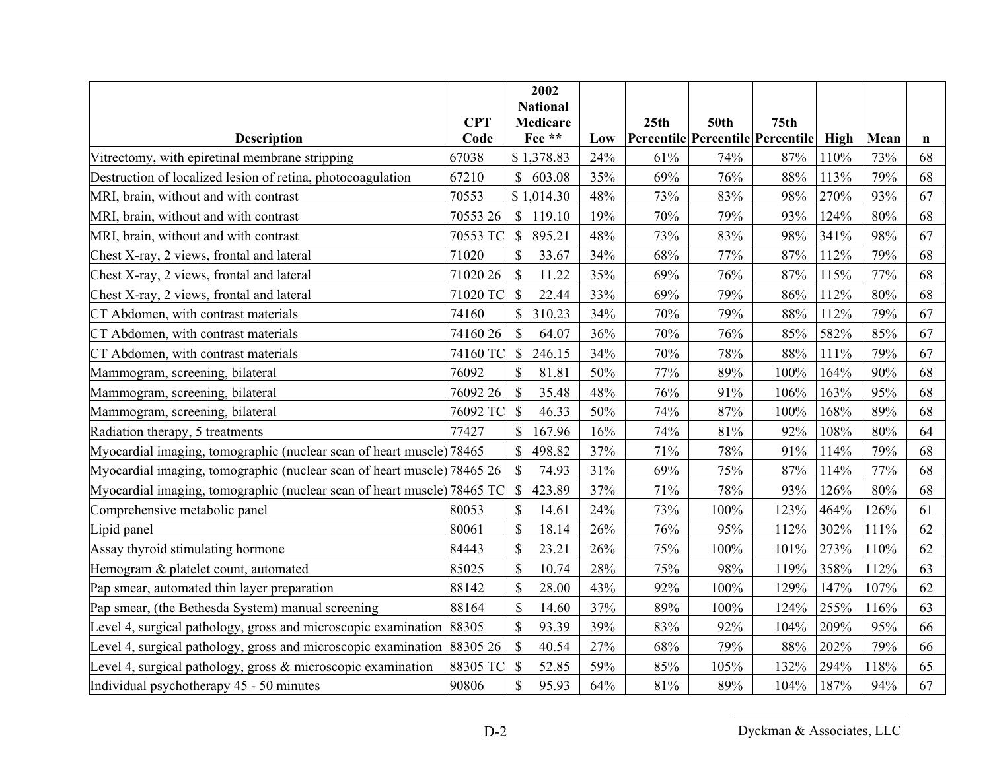|                                                                         |            | 2002                               |     |      |             |                                         |      |      |    |
|-------------------------------------------------------------------------|------------|------------------------------------|-----|------|-------------|-----------------------------------------|------|------|----|
|                                                                         | <b>CPT</b> | <b>National</b><br><b>Medicare</b> |     | 25th | <b>50th</b> | 75 <sub>th</sub>                        |      |      |    |
| <b>Description</b>                                                      | Code       | Fee **                             | Low |      |             | <b>Percentile Percentile Percentile</b> | High | Mean | n  |
| Vitrectomy, with epiretinal membrane stripping                          | 67038      | \$1,378.83                         | 24% | 61%  | 74%         | 87%                                     | 110% | 73%  | 68 |
| Destruction of localized lesion of retina, photocoagulation             | 67210      | \$<br>603.08                       | 35% | 69%  | 76%         | 88%                                     | 113% | 79%  | 68 |
| MRI, brain, without and with contrast                                   | 70553      | \$1,014.30                         | 48% | 73%  | 83%         | 98%                                     | 270% | 93%  | 67 |
| MRI, brain, without and with contrast                                   | 70553 26   | $\mathbb{S}$<br>119.10             | 19% | 70%  | 79%         | 93%                                     | 124% | 80%  | 68 |
| MRI, brain, without and with contrast                                   | 70553 TC   | $\mathcal{S}$<br>895.21            | 48% | 73%  | 83%         | 98%                                     | 341% | 98%  | 67 |
| Chest X-ray, 2 views, frontal and lateral                               | 71020      | \$<br>33.67                        | 34% | 68%  | 77%         | 87%                                     | 112% | 79%  | 68 |
| Chest X-ray, 2 views, frontal and lateral                               | 71020 26   | $\mathcal{S}$<br>11.22             | 35% | 69%  | 76%         | 87%                                     | 115% | 77%  | 68 |
| Chest X-ray, 2 views, frontal and lateral                               | 71020 TC   | $\mathcal{S}$<br>22.44             | 33% | 69%  | 79%         | 86%                                     | 112% | 80%  | 68 |
| CT Abdomen, with contrast materials                                     | 74160      | \$<br>310.23                       | 34% | 70%  | 79%         | 88%                                     | 112% | 79%  | 67 |
| CT Abdomen, with contrast materials                                     | 7416026    | $\mathcal{S}$<br>64.07             | 36% | 70%  | 76%         | 85%                                     | 582% | 85%  | 67 |
| CT Abdomen, with contrast materials                                     | 74160 TC   | \$<br>246.15                       | 34% | 70%  | 78%         | 88%                                     | 111% | 79%  | 67 |
| Mammogram, screening, bilateral                                         | 76092      | $\mathcal{S}$<br>81.81             | 50% | 77%  | 89%         | 100%                                    | 164% | 90%  | 68 |
| Mammogram, screening, bilateral                                         | 76092 26   | \$<br>35.48                        | 48% | 76%  | 91%         | 106%                                    | 163% | 95%  | 68 |
| Mammogram, screening, bilateral                                         | 76092 TC   | $\mathcal{S}$<br>46.33             | 50% | 74%  | 87%         | 100%                                    | 168% | 89%  | 68 |
| Radiation therapy, 5 treatments                                         | 77427      | \$<br>167.96                       | 16% | 74%  | 81%         | 92%                                     | 108% | 80%  | 64 |
| Myocardial imaging, tomographic (nuclear scan of heart muscle) 78465    |            | \$<br>498.82                       | 37% | 71%  | 78%         | 91%                                     | 114% | 79%  | 68 |
| Myocardial imaging, tomographic (nuclear scan of heart muscle) 78465 26 |            | 74.93<br>$\mathbb{S}$              | 31% | 69%  | 75%         | 87%                                     | 114% | 77%  | 68 |
| Myocardial imaging, tomographic (nuclear scan of heart muscle) 78465 TC |            | $\mathcal{S}$<br>423.89            | 37% | 71%  | 78%         | 93%                                     | 126% | 80%  | 68 |
| Comprehensive metabolic panel                                           | 80053      | $\mathbb{S}$<br>14.61              | 24% | 73%  | 100%        | 123%                                    | 464% | 126% | 61 |
| Lipid panel                                                             | 80061      | \$<br>18.14                        | 26% | 76%  | 95%         | 112%                                    | 302% | 111% | 62 |
| Assay thyroid stimulating hormone                                       | 84443      | \$<br>23.21                        | 26% | 75%  | 100%        | 101%                                    | 273% | 110% | 62 |
| Hemogram & platelet count, automated                                    | 85025      | <sup>\$</sup><br>10.74             | 28% | 75%  | 98%         | 119%                                    | 358% | 112% | 63 |
| Pap smear, automated thin layer preparation                             | 88142      | $\mathcal{S}$<br>28.00             | 43% | 92%  | 100%        | 129%                                    | 147% | 107% | 62 |
| Pap smear, (the Bethesda System) manual screening                       | 88164      | \$<br>14.60                        | 37% | 89%  | 100%        | 124%                                    | 255% | 116% | 63 |
| Level 4, surgical pathology, gross and microscopic examination 88305    |            | \$<br>93.39                        | 39% | 83%  | 92%         | 104%                                    | 209% | 95%  | 66 |
| Level 4, surgical pathology, gross and microscopic examination 88305 26 |            | $\mathcal{S}$<br>40.54             | 27% | 68%  | 79%         | 88%                                     | 202% | 79%  | 66 |
| Level 4, surgical pathology, gross $\&$ microscopic examination         | 88305 TC   | $\mathcal{S}$<br>52.85             | 59% | 85%  | 105%        | 132%                                    | 294% | 118% | 65 |
| Individual psychotherapy 45 - 50 minutes                                | 90806      | \$<br>95.93                        | 64% | 81%  | 89%         | 104%                                    | 187% | 94%  | 67 |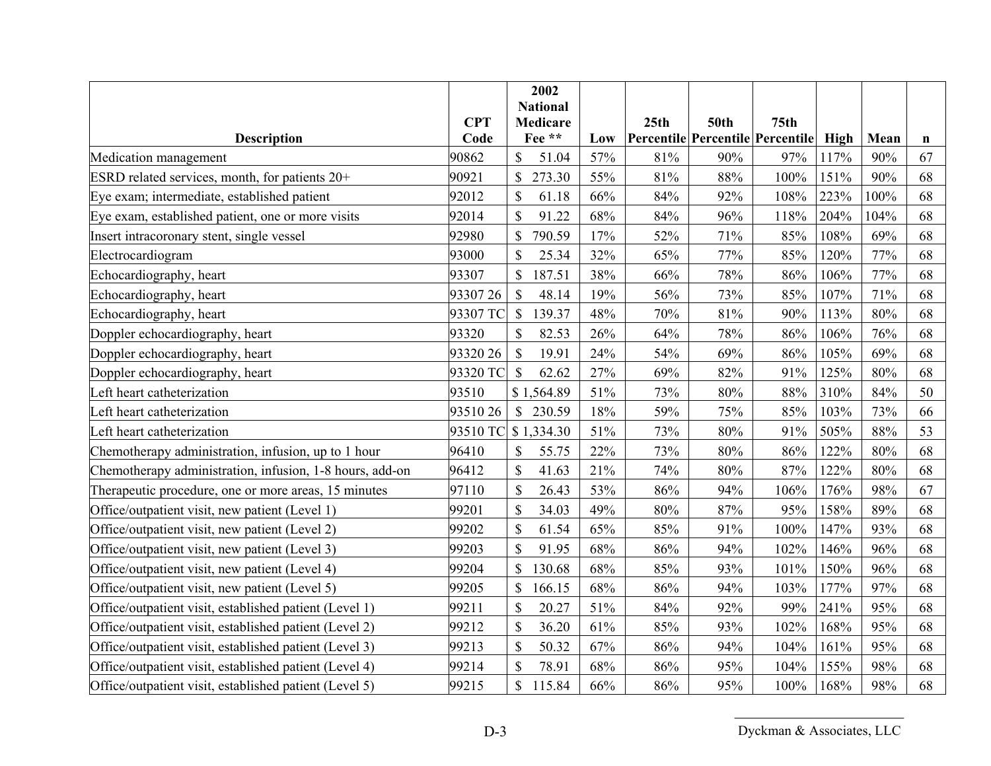|                                                          |            | 2002                      |     |      |             |                                         |      |      |    |
|----------------------------------------------------------|------------|---------------------------|-----|------|-------------|-----------------------------------------|------|------|----|
|                                                          | <b>CPT</b> | <b>National</b>           |     |      | <b>50th</b> | 75 <sub>th</sub>                        |      |      |    |
| <b>Description</b>                                       | Code       | <b>Medicare</b><br>Fee ** | Low | 25th |             | <b>Percentile Percentile Percentile</b> | High | Mean | n  |
| Medication management                                    | 90862      | \$<br>51.04               | 57% | 81%  | 90%         | 97%                                     | 117% | 90%  | 67 |
| ESRD related services, month, for patients 20+           | 90921      | \$<br>273.30              | 55% | 81%  | 88%         | 100%                                    | 151% | 90%  | 68 |
| Eye exam; intermediate, established patient              | 92012      | $\mathcal{S}$<br>61.18    | 66% | 84%  | 92%         | 108%                                    | 223% | 100% | 68 |
| Eye exam, established patient, one or more visits        | 92014      | \$<br>91.22               | 68% | 84%  | 96%         | 118%                                    | 204% | 104% | 68 |
| Insert intracoronary stent, single vessel                | 92980      | \$<br>790.59              | 17% | 52%  | 71%         | 85%                                     | 108% | 69%  | 68 |
| Electrocardiogram                                        | 93000      | $\mathbf S$<br>25.34      | 32% | 65%  | 77%         | 85%                                     | 120% | 77%  | 68 |
| Echocardiography, heart                                  | 93307      | $\mathcal{S}$<br>187.51   | 38% | 66%  | 78%         | 86%                                     | 106% | 77%  | 68 |
| Echocardiography, heart                                  | 93307 26   | $\mathcal{S}$<br>48.14    | 19% | 56%  | 73%         | 85%                                     | 107% | 71%  | 68 |
| Echocardiography, heart                                  | 93307 TC   | $\mathcal{S}$<br>139.37   | 48% | 70%  | 81%         | 90%                                     | 113% | 80%  | 68 |
| Doppler echocardiography, heart                          | 93320      | $\mathcal{S}$<br>82.53    | 26% | 64%  | 78%         | 86%                                     | 106% | 76%  | 68 |
| Doppler echocardiography, heart                          | 93320 26   | <sup>\$</sup><br>19.91    | 24% | 54%  | 69%         | 86%                                     | 105% | 69%  | 68 |
| Doppler echocardiography, heart                          | 93320 TC   | <sup>\$</sup><br>62.62    | 27% | 69%  | 82%         | 91%                                     | 125% | 80%  | 68 |
| Left heart catheterization                               | 93510      | \$1,564.89                | 51% | 73%  | 80%         | 88%                                     | 310% | 84%  | 50 |
| Left heart catheterization                               | 9351026    | $\mathcal{S}$<br>230.59   | 18% | 59%  | 75%         | 85%                                     | 103% | 73%  | 66 |
| Left heart catheterization                               |            | 93510 TC \$1,334.30       | 51% | 73%  | 80%         | 91%                                     | 505% | 88%  | 53 |
| Chemotherapy administration, infusion, up to 1 hour      | 96410      | \$<br>55.75               | 22% | 73%  | 80%         | 86%                                     | 122% | 80%  | 68 |
| Chemotherapy administration, infusion, 1-8 hours, add-on | 96412      | $\mathbb{S}$<br>41.63     | 21% | 74%  | 80%         | 87%                                     | 122% | 80%  | 68 |
| Therapeutic procedure, one or more areas, 15 minutes     | 97110      | \$<br>26.43               | 53% | 86%  | 94%         | 106%                                    | 176% | 98%  | 67 |
| Office/outpatient visit, new patient (Level 1)           | 99201      | $\mathbb{S}$<br>34.03     | 49% | 80%  | 87%         | 95%                                     | 158% | 89%  | 68 |
| Office/outpatient visit, new patient (Level 2)           | 99202      | \$<br>61.54               | 65% | 85%  | 91%         | 100%                                    | 147% | 93%  | 68 |
| Office/outpatient visit, new patient (Level 3)           | 99203      | \$<br>91.95               | 68% | 86%  | 94%         | 102%                                    | 146% | 96%  | 68 |
| Office/outpatient visit, new patient (Level 4)           | 99204      | $\mathbb{S}$<br>130.68    | 68% | 85%  | 93%         | 101%                                    | 150% | 96%  | 68 |
| Office/outpatient visit, new patient (Level 5)           | 99205      | $\mathbb{S}$<br>166.15    | 68% | 86%  | 94%         | 103%                                    | 177% | 97%  | 68 |
| Office/outpatient visit, established patient (Level 1)   | 99211      | \$<br>20.27               | 51% | 84%  | 92%         | 99%                                     | 241% | 95%  | 68 |
| Office/outpatient visit, established patient (Level 2)   | 99212      | \$<br>36.20               | 61% | 85%  | 93%         | 102%                                    | 168% | 95%  | 68 |
| Office/outpatient visit, established patient (Level 3)   | 99213      | $\mathsf{\$}$<br>50.32    | 67% | 86%  | 94%         | 104%                                    | 161% | 95%  | 68 |
| Office/outpatient visit, established patient (Level 4)   | 99214      | $\mathbb{S}$<br>78.91     | 68% | 86%  | 95%         | 104%                                    | 155% | 98%  | 68 |
| Office/outpatient visit, established patient (Level 5)   | 99215      | \$<br>115.84              | 66% | 86%  | 95%         | 100%                                    | 168% | 98%  | 68 |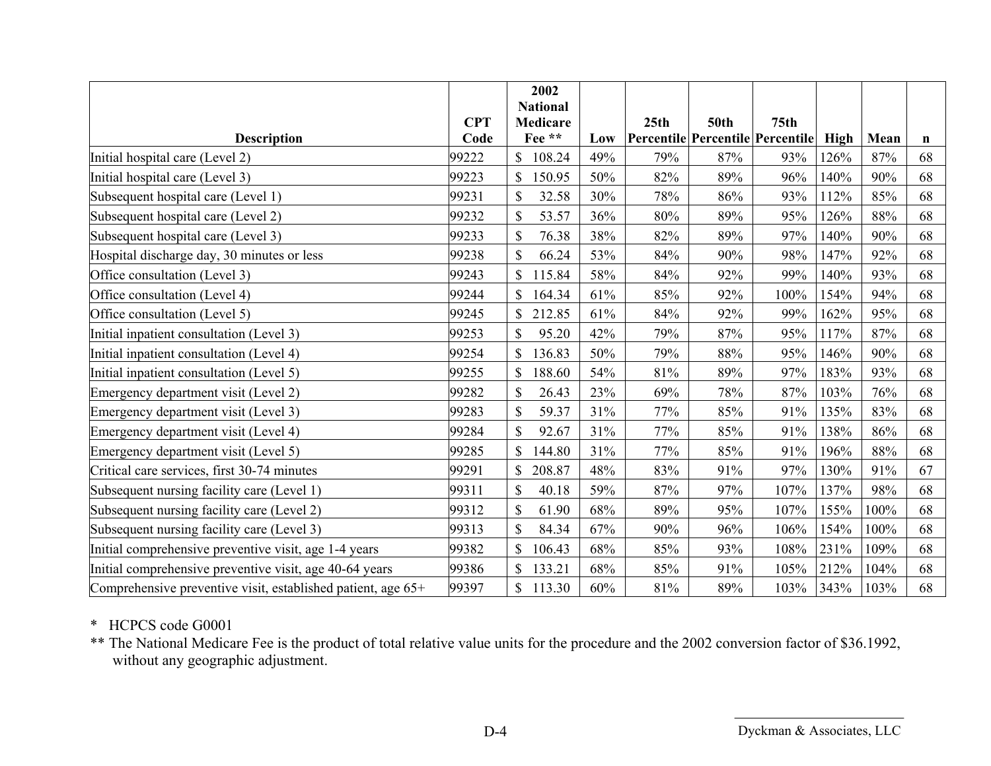|                                                              |                    | 2002                      |     |                  |             |                                                      |      |      |             |
|--------------------------------------------------------------|--------------------|---------------------------|-----|------------------|-------------|------------------------------------------------------|------|------|-------------|
|                                                              |                    | <b>National</b>           |     |                  |             |                                                      |      |      |             |
| <b>Description</b>                                           | <b>CPT</b><br>Code | <b>Medicare</b><br>Fee ** | Low | 25 <sub>th</sub> | <b>50th</b> | 75 <sub>th</sub><br>Percentile Percentile Percentile | High | Mean |             |
|                                                              |                    |                           |     |                  |             |                                                      |      |      | $\mathbf n$ |
| Initial hospital care (Level 2)                              | 99222              | 108.24<br>\$              | 49% | 79%              | 87%         | 93%                                                  | 126% | 87%  | 68          |
| Initial hospital care (Level 3)                              | 99223              | \$<br>150.95              | 50% | 82%              | 89%         | 96%                                                  | 140% | 90%  | 68          |
| Subsequent hospital care (Level 1)                           | 99231              | \$<br>32.58               | 30% | 78%              | 86%         | 93%                                                  | 112% | 85%  | 68          |
| Subsequent hospital care (Level 2)                           | 99232              | \$<br>53.57               | 36% | 80%              | 89%         | 95%                                                  | 126% | 88%  | 68          |
| Subsequent hospital care (Level 3)                           | 99233              | $\mathcal{S}$<br>76.38    | 38% | 82%              | 89%         | 97%                                                  | 140% | 90%  | 68          |
| Hospital discharge day, 30 minutes or less                   | 99238              | \$<br>66.24               | 53% | 84%              | 90%         | 98%                                                  | 147% | 92%  | 68          |
| Office consultation (Level 3)                                | 99243              | \$<br>115.84              | 58% | 84%              | 92%         | 99%                                                  | 140% | 93%  | 68          |
| Office consultation (Level 4)                                | 99244              | \$<br>164.34              | 61% | 85%              | 92%         | 100%                                                 | 154% | 94%  | 68          |
| Office consultation (Level 5)                                | 99245              | 212.85                    | 61% | 84%              | 92%         | 99%                                                  | 162% | 95%  | 68          |
| Initial inpatient consultation (Level 3)                     | 99253              | \$<br>95.20               | 42% | 79%              | 87%         | 95%                                                  | 117% | 87%  | 68          |
| Initial inpatient consultation (Level 4)                     | 99254              | \$<br>136.83              | 50% | 79%              | 88%         | 95%                                                  | 146% | 90%  | 68          |
| Initial inpatient consultation (Level 5)                     | 99255              | \$<br>188.60              | 54% | 81%              | 89%         | 97%                                                  | 183% | 93%  | 68          |
| Emergency department visit (Level 2)                         | 99282              | S<br>26.43                | 23% | 69%              | 78%         | 87%                                                  | 103% | 76%  | 68          |
| Emergency department visit (Level 3)                         | 99283              | $\mathcal{S}$<br>59.37    | 31% | 77%              | 85%         | 91%                                                  | 135% | 83%  | 68          |
| Emergency department visit (Level 4)                         | 99284              | \$<br>92.67               | 31% | 77%              | 85%         | 91%                                                  | 138% | 86%  | 68          |
| Emergency department visit (Level 5)                         | 99285              | 144.80                    | 31% | 77%              | 85%         | 91%                                                  | 196% | 88%  | 68          |
| Critical care services, first 30-74 minutes                  | 99291              | \$<br>208.87              | 48% | 83%              | 91%         | 97%                                                  | 130% | 91%  | 67          |
| Subsequent nursing facility care (Level 1)                   | 99311              | 40.18                     | 59% | 87%              | 97%         | 107%                                                 | 137% | 98%  | 68          |
| Subsequent nursing facility care (Level 2)                   | 99312              | $\mathbb{S}$<br>61.90     | 68% | 89%              | 95%         | 107%                                                 | 155% | 100% | 68          |
| Subsequent nursing facility care (Level 3)                   | 99313              | 84.34                     | 67% | 90%              | 96%         | 106%                                                 | 154% | 100% | 68          |
| Initial comprehensive preventive visit, age 1-4 years        | 99382              | \$<br>106.43              | 68% | 85%              | 93%         | 108%                                                 | 231% | 109% | 68          |
| Initial comprehensive preventive visit, age 40-64 years      | 99386              | \$<br>133.21              | 68% | 85%              | 91%         | 105%                                                 | 212% | 104% | 68          |
| Comprehensive preventive visit, established patient, age 65+ | 99397              | \$<br>113.30              | 60% | 81%              | 89%         | 103%                                                 | 343% | 103% | 68          |

#### \* HCPCS code G0001

\*\* The National Medicare Fee is the product of total relative value units for the procedure and the 2002 conversion factor of \$36.1992, without any geographic adjustment.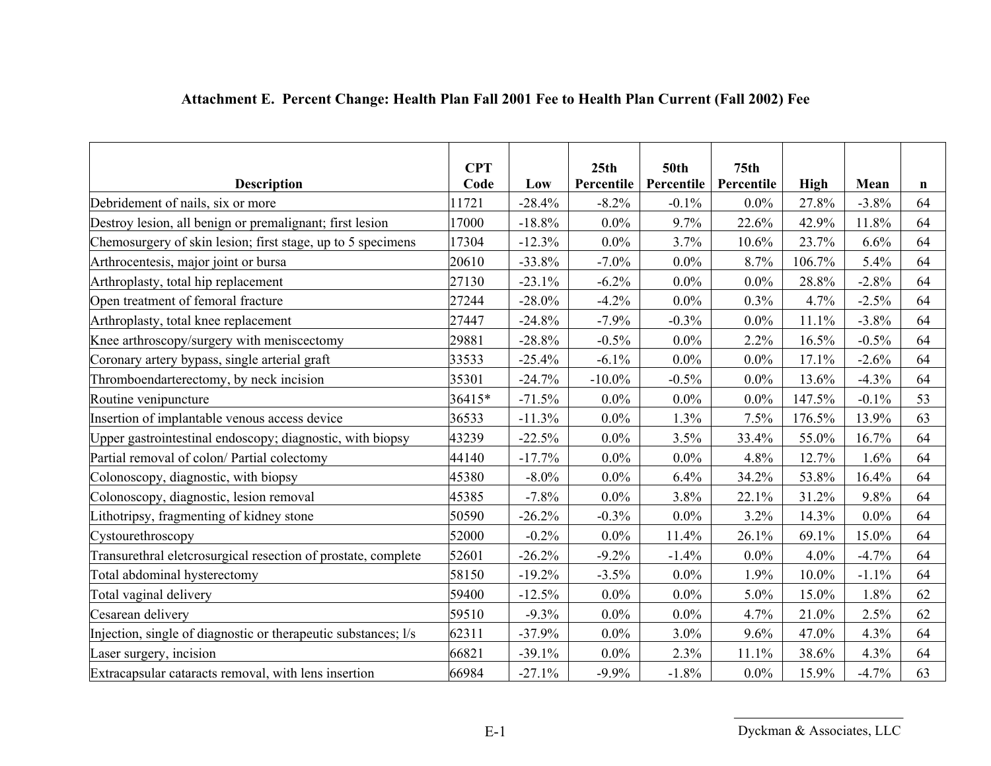|                                                                | <b>CPT</b> |           | 25 <sub>th</sub> | <b>50th</b> | 75 <sub>th</sub> |             |         |    |
|----------------------------------------------------------------|------------|-----------|------------------|-------------|------------------|-------------|---------|----|
| <b>Description</b>                                             | Code       | Low       | Percentile       | Percentile  | Percentile       | <b>High</b> | Mean    | n  |
| Debridement of nails, six or more                              | 1721       | $-28.4%$  | $-8.2%$          | $-0.1%$     | $0.0\%$          | 27.8%       | $-3.8%$ | 64 |
| Destroy lesion, all benign or premalignant; first lesion       | 17000      | $-18.8%$  | $0.0\%$          | 9.7%        | 22.6%            | 42.9%       | 11.8%   | 64 |
| Chemosurgery of skin lesion; first stage, up to 5 specimens    | 17304      | $-12.3%$  | $0.0\%$          | 3.7%        | 10.6%            | 23.7%       | 6.6%    | 64 |
| Arthrocentesis, major joint or bursa                           | 20610      | $-33.8%$  | $-7.0\%$         | $0.0\%$     | 8.7%             | 106.7%      | 5.4%    | 64 |
| Arthroplasty, total hip replacement                            | 27130      | $-23.1%$  | $-6.2\%$         | $0.0\%$     | $0.0\%$          | 28.8%       | $-2.8%$ | 64 |
| Open treatment of femoral fracture                             | 27244      | $-28.0\%$ | $-4.2%$          | $0.0\%$     | 0.3%             | 4.7%        | $-2.5%$ | 64 |
| Arthroplasty, total knee replacement                           | 27447      | $-24.8%$  | $-7.9%$          | $-0.3%$     | $0.0\%$          | 11.1%       | $-3.8%$ | 64 |
| Knee arthroscopy/surgery with meniscectomy                     | 29881      | $-28.8%$  | $-0.5%$          | $0.0\%$     | 2.2%             | 16.5%       | $-0.5%$ | 64 |
| Coronary artery bypass, single arterial graft                  | 33533      | $-25.4%$  | $-6.1\%$         | $0.0\%$     | $0.0\%$          | 17.1%       | $-2.6%$ | 64 |
| Thromboendarterectomy, by neck incision                        | 35301      | $-24.7%$  | $-10.0\%$        | $-0.5%$     | $0.0\%$          | 13.6%       | $-4.3%$ | 64 |
| Routine venipuncture                                           | 36415*     | $-71.5%$  | $0.0\%$          | $0.0\%$     | $0.0\%$          | 147.5%      | $-0.1%$ | 53 |
| Insertion of implantable venous access device                  | 36533      | $-11.3%$  | $0.0\%$          | 1.3%        | 7.5%             | 176.5%      | 13.9%   | 63 |
| Upper gastrointestinal endoscopy; diagnostic, with biopsy      | 43239      | $-22.5%$  | $0.0\%$          | 3.5%        | 33.4%            | 55.0%       | 16.7%   | 64 |
| Partial removal of colon/ Partial colectomy                    | 44140      | $-17.7%$  | $0.0\%$          | $0.0\%$     | 4.8%             | 12.7%       | 1.6%    | 64 |
| Colonoscopy, diagnostic, with biopsy                           | 45380      | $-8.0\%$  | $0.0\%$          | 6.4%        | 34.2%            | 53.8%       | 16.4%   | 64 |
| Colonoscopy, diagnostic, lesion removal                        | 45385      | $-7.8%$   | $0.0\%$          | 3.8%        | 22.1%            | 31.2%       | 9.8%    | 64 |
| Lithotripsy, fragmenting of kidney stone                       | 50590      | $-26.2%$  | $-0.3%$          | $0.0\%$     | 3.2%             | 14.3%       | $0.0\%$ | 64 |
| Cystourethroscopy                                              | 52000      | $-0.2%$   | $0.0\%$          | 11.4%       | 26.1%            | 69.1%       | 15.0%   | 64 |
| Transurethral eletcrosurgical resection of prostate, complete  | 52601      | $-26.2%$  | $-9.2%$          | $-1.4%$     | $0.0\%$          | 4.0%        | $-4.7%$ | 64 |
| Total abdominal hysterectomy                                   | 58150      | $-19.2%$  | $-3.5%$          | $0.0\%$     | 1.9%             | 10.0%       | $-1.1%$ | 64 |
| Total vaginal delivery                                         | 59400      | $-12.5%$  | $0.0\%$          | $0.0\%$     | 5.0%             | 15.0%       | 1.8%    | 62 |
| Cesarean delivery                                              | 59510      | $-9.3%$   | $0.0\%$          | $0.0\%$     | 4.7%             | 21.0%       | 2.5%    | 62 |
| Injection, single of diagnostic or therapeutic substances; l/s | 62311      | $-37.9%$  | $0.0\%$          | 3.0%        | 9.6%             | 47.0%       | 4.3%    | 64 |
| Laser surgery, incision                                        | 66821      | $-39.1%$  | $0.0\%$          | 2.3%        | 11.1%            | 38.6%       | 4.3%    | 64 |
| Extracapsular cataracts removal, with lens insertion           | 66984      | $-27.1%$  | $-9.9%$          | $-1.8%$     | $0.0\%$          | 15.9%       | $-4.7%$ | 63 |

# **Attachment E. Percent Change: Health Plan Fall 2001 Fee to Health Plan Current (Fall 2002) Fee**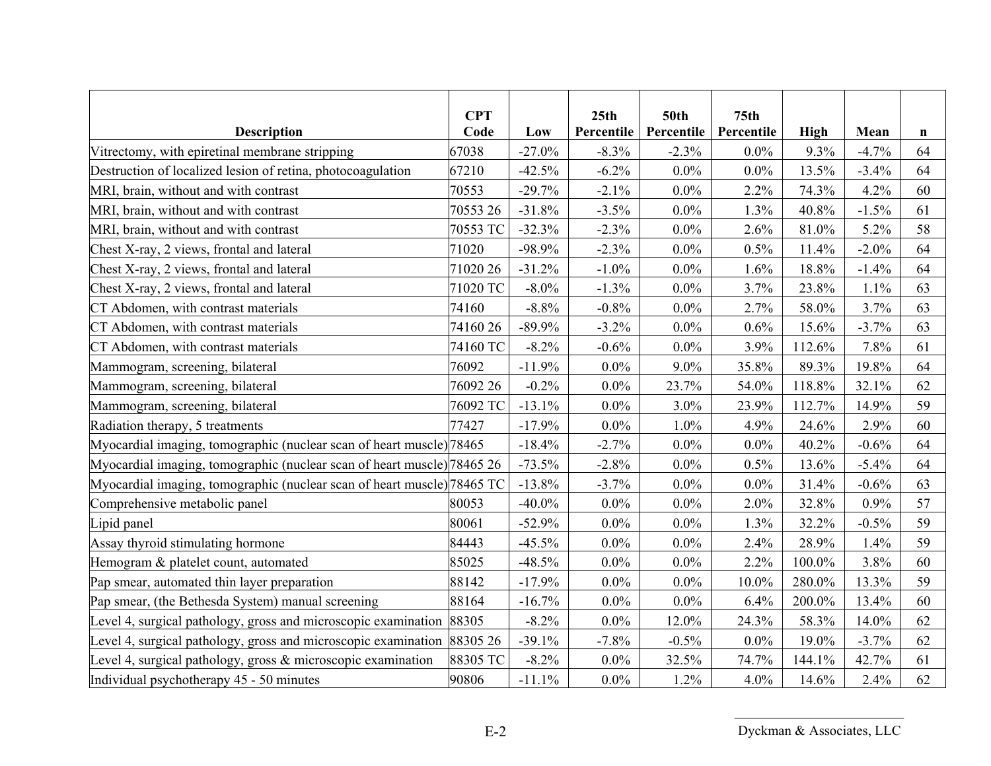| <b>Description</b>                                                      | <b>CPT</b><br>Code | Low       | 25 <sub>th</sub><br>Percentile | <b>50th</b><br>Percentile | 75 <sub>th</sub><br>Percentile | <b>High</b> | Mean     | $\mathbf n$ |
|-------------------------------------------------------------------------|--------------------|-----------|--------------------------------|---------------------------|--------------------------------|-------------|----------|-------------|
| Vitrectomy, with epiretinal membrane stripping                          | 67038              | $-27.0%$  | $-8.3%$                        | $-2.3%$                   | 0.0%                           | 9.3%        | $-4.7%$  | 64          |
| Destruction of localized lesion of retina, photocoagulation             | 67210              | $-42.5%$  | $-6.2\%$                       | $0.0\%$                   | $0.0\%$                        | 13.5%       | $-3.4%$  | 64          |
| MRI, brain, without and with contrast                                   | 70553              | $-29.7%$  | $-2.1%$                        | $0.0\%$                   | 2.2%                           | 74.3%       | 4.2%     | 60          |
| MRI, brain, without and with contrast                                   | 70553 26           | $-31.8%$  | $-3.5%$                        | $0.0\%$                   | 1.3%                           | 40.8%       | $-1.5%$  | 61          |
| MRI, brain, without and with contrast                                   | 70553 TC           | $-32.3%$  | $-2.3%$                        | $0.0\%$                   | 2.6%                           | 81.0%       | 5.2%     | 58          |
| Chest X-ray, 2 views, frontal and lateral                               | 71020              | $-98.9%$  | $-2.3%$                        | $0.0\%$                   | 0.5%                           | 11.4%       | $-2.0\%$ | 64          |
| Chest X-ray, 2 views, frontal and lateral                               | 71020 26           | $-31.2%$  | $-1.0\%$                       | $0.0\%$                   | 1.6%                           | 18.8%       | $-1.4%$  | 64          |
| Chest X-ray, 2 views, frontal and lateral                               | 71020 TC           | $-8.0\%$  | $-1.3%$                        | $0.0\%$                   | 3.7%                           | 23.8%       | 1.1%     | 63          |
| CT Abdomen, with contrast materials                                     | 74160              | $-8.8%$   | $-0.8\%$                       | $0.0\%$                   | 2.7%                           | 58.0%       | 3.7%     | 63          |
| CT Abdomen, with contrast materials                                     | 7416026            | $-89.9%$  | $-3.2\%$                       | $0.0\%$                   | 0.6%                           | 15.6%       | $-3.7%$  | 63          |
| CT Abdomen, with contrast materials                                     | 74160 TC           | $-8.2%$   | $-0.6%$                        | $0.0\%$                   | 3.9%                           | 112.6%      | 7.8%     | 61          |
| Mammogram, screening, bilateral                                         | 76092              | $-11.9%$  | $0.0\%$                        | $9.0\%$                   | 35.8%                          | 89.3%       | 19.8%    | 64          |
| Mammogram, screening, bilateral                                         | 76092 26           | $-0.2%$   | $0.0\%$                        | 23.7%                     | 54.0%                          | 118.8%      | 32.1%    | 62          |
| Mammogram, screening, bilateral                                         | 76092 TC           | $-13.1%$  | $0.0\%$                        | 3.0%                      | 23.9%                          | 112.7%      | 14.9%    | 59          |
| Radiation therapy, 5 treatments                                         | 77427              | $-17.9%$  | $0.0\%$                        | 1.0%                      | 4.9%                           | 24.6%       | 2.9%     | 60          |
| Myocardial imaging, tomographic (nuclear scan of heart muscle) 78465    |                    | $-18.4%$  | $-2.7%$                        | $0.0\%$                   | $0.0\%$                        | 40.2%       | $-0.6%$  | 64          |
| Myocardial imaging, tomographic (nuclear scan of heart muscle) 78465 26 |                    | $-73.5%$  | $-2.8%$                        | $0.0\%$                   | 0.5%                           | 13.6%       | $-5.4%$  | 64          |
| Myocardial imaging, tomographic (nuclear scan of heart muscle) 78465 TC |                    | $-13.8%$  | $-3.7\%$                       | $0.0\%$                   | $0.0\%$                        | 31.4%       | $-0.6%$  | 63          |
| Comprehensive metabolic panel                                           | 80053              | $-40.0\%$ | $0.0\%$                        | $0.0\%$                   | 2.0%                           | 32.8%       | 0.9%     | 57          |
| Lipid panel                                                             | 80061              | $-52.9%$  | $0.0\%$                        | $0.0\%$                   | 1.3%                           | 32.2%       | $-0.5%$  | 59          |
| Assay thyroid stimulating hormone                                       | 84443              | $-45.5%$  | $0.0\%$                        | $0.0\%$                   | 2.4%                           | 28.9%       | 1.4%     | 59          |
| Hemogram & platelet count, automated                                    | 85025              | $-48.5%$  | $0.0\%$                        | $0.0\%$                   | 2.2%                           | 100.0%      | 3.8%     | 60          |
| Pap smear, automated thin layer preparation                             | 88142              | $-17.9%$  | $0.0\%$                        | $0.0\%$                   | $10.0\%$                       | 280.0%      | 13.3%    | 59          |
| Pap smear, (the Bethesda System) manual screening                       | 88164              | $-16.7%$  | $0.0\%$                        | $0.0\%$                   | 6.4%                           | 200.0%      | 13.4%    | 60          |
| Level 4, surgical pathology, gross and microscopic examination          | 88305              | $-8.2\%$  | $0.0\%$                        | 12.0%                     | 24.3%                          | 58.3%       | 14.0%    | 62          |
| Level 4, surgical pathology, gross and microscopic examination 88305 26 |                    | $-39.1%$  | $-7.8%$                        | $-0.5%$                   | $0.0\%$                        | 19.0%       | $-3.7%$  | 62          |
| Level 4, surgical pathology, gross $\&$ microscopic examination         | 88305 TC           | $-8.2\%$  | $0.0\%$                        | 32.5%                     | 74.7%                          | 144.1%      | 42.7%    | 61          |
| Individual psychotherapy 45 - 50 minutes                                | 90806              | $-11.1%$  | $0.0\%$                        | 1.2%                      | 4.0%                           | 14.6%       | 2.4%     | 62          |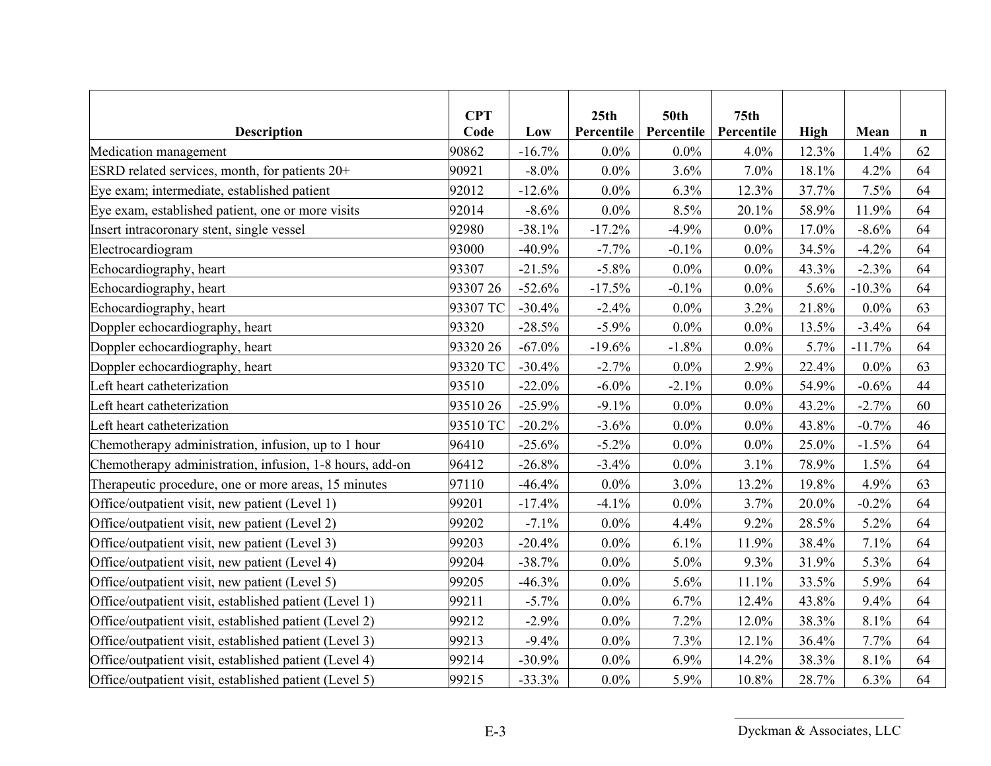| <b>Description</b>                                       | <b>CPT</b><br>Code | Low      | 25 <sub>th</sub><br>Percentile | <b>50th</b><br>Percentile | 75 <sub>th</sub><br>Percentile | High  | Mean     | $\mathbf n$ |
|----------------------------------------------------------|--------------------|----------|--------------------------------|---------------------------|--------------------------------|-------|----------|-------------|
| Medication management                                    | 90862              | $-16.7%$ | $0.0\%$                        | $0.0\%$                   | 4.0%                           | 12.3% | 1.4%     | 62          |
| ESRD related services, month, for patients 20+           | 90921              | $-8.0\%$ | $0.0\%$                        | 3.6%                      | 7.0%                           | 18.1% | 4.2%     | 64          |
| Eye exam; intermediate, established patient              | 92012              | $-12.6%$ | $0.0\%$                        | 6.3%                      | 12.3%                          | 37.7% | 7.5%     | 64          |
| Eye exam, established patient, one or more visits        | 92014              | $-8.6%$  | $0.0\%$                        | 8.5%                      | 20.1%                          | 58.9% | 11.9%    | 64          |
| Insert intracoronary stent, single vessel                | 92980              | $-38.1%$ | $-17.2%$                       | $-4.9%$                   | $0.0\%$                        | 17.0% | $-8.6%$  | 64          |
| Electrocardiogram                                        | 93000              | $-40.9%$ | $-7.7%$                        | $-0.1%$                   | $0.0\%$                        | 34.5% | $-4.2%$  | 64          |
| Echocardiography, heart                                  | 93307              | $-21.5%$ | $-5.8\%$                       | $0.0\%$                   | $0.0\%$                        | 43.3% | $-2.3%$  | 64          |
| Echocardiography, heart                                  | 9330726            | $-52.6%$ | $-17.5%$                       | $-0.1%$                   | $0.0\%$                        | 5.6%  | $-10.3%$ | 64          |
| Echocardiography, heart                                  | 93307 TC           | $-30.4%$ | $-2.4%$                        | $0.0\%$                   | 3.2%                           | 21.8% | $0.0\%$  | 63          |
| Doppler echocardiography, heart                          | 93320              | $-28.5%$ | $-5.9%$                        | $0.0\%$                   | $0.0\%$                        | 13.5% | $-3.4%$  | 64          |
| Doppler echocardiography, heart                          | 93320 26           | $-67.0%$ | $-19.6%$                       | $-1.8%$                   | $0.0\%$                        | 5.7%  | $-11.7%$ | 64          |
| Doppler echocardiography, heart                          | 93320 TC           | $-30.4%$ | $-2.7%$                        | $0.0\%$                   | 2.9%                           | 22.4% | $0.0\%$  | 63          |
| Left heart catheterization                               | 93510              | $-22.0%$ | $-6.0\%$                       | $-2.1\%$                  | $0.0\%$                        | 54.9% | $-0.6%$  | 44          |
| Left heart catheterization                               | 9351026            | $-25.9%$ | $-9.1%$                        | $0.0\%$                   | $0.0\%$                        | 43.2% | $-2.7%$  | 60          |
| Left heart catheterization                               | 93510 TC           | $-20.2%$ | $-3.6%$                        | $0.0\%$                   | $0.0\%$                        | 43.8% | $-0.7%$  | 46          |
| Chemotherapy administration, infusion, up to 1 hour      | 96410              | $-25.6%$ | $-5.2\%$                       | $0.0\%$                   | $0.0\%$                        | 25.0% | $-1.5%$  | 64          |
| Chemotherapy administration, infusion, 1-8 hours, add-on | 96412              | $-26.8%$ | $-3.4%$                        | $0.0\%$                   | 3.1%                           | 78.9% | 1.5%     | 64          |
| Therapeutic procedure, one or more areas, 15 minutes     | 97110              | $-46.4%$ | $0.0\%$                        | 3.0%                      | 13.2%                          | 19.8% | 4.9%     | 63          |
| Office/outpatient visit, new patient (Level 1)           | 99201              | $-17.4%$ | $-4.1\%$                       | $0.0\%$                   | 3.7%                           | 20.0% | $-0.2%$  | 64          |
| Office/outpatient visit, new patient (Level 2)           | 99202              | $-7.1%$  | $0.0\%$                        | 4.4%                      | 9.2%                           | 28.5% | 5.2%     | 64          |
| Office/outpatient visit, new patient (Level 3)           | 99203              | $-20.4%$ | $0.0\%$                        | 6.1%                      | 11.9%                          | 38.4% | 7.1%     | 64          |
| Office/outpatient visit, new patient (Level 4)           | 99204              | $-38.7%$ | $0.0\%$                        | 5.0%                      | 9.3%                           | 31.9% | 5.3%     | 64          |
| Office/outpatient visit, new patient (Level 5)           | 99205              | $-46.3%$ | $0.0\%$                        | 5.6%                      | 11.1%                          | 33.5% | 5.9%     | 64          |
| Office/outpatient visit, established patient (Level 1)   | 99211              | $-5.7%$  | $0.0\%$                        | 6.7%                      | 12.4%                          | 43.8% | 9.4%     | 64          |
| Office/outpatient visit, established patient (Level 2)   | 99212              | $-2.9%$  | $0.0\%$                        | 7.2%                      | 12.0%                          | 38.3% | 8.1%     | 64          |
| Office/outpatient visit, established patient (Level 3)   | 99213              | $-9.4%$  | $0.0\%$                        | 7.3%                      | 12.1%                          | 36.4% | 7.7%     | 64          |
| Office/outpatient visit, established patient (Level 4)   | 99214              | $-30.9%$ | $0.0\%$                        | 6.9%                      | 14.2%                          | 38.3% | 8.1%     | 64          |
| Office/outpatient visit, established patient (Level 5)   | 99215              | $-33.3%$ | $0.0\%$                        | 5.9%                      | 10.8%                          | 28.7% | 6.3%     | 64          |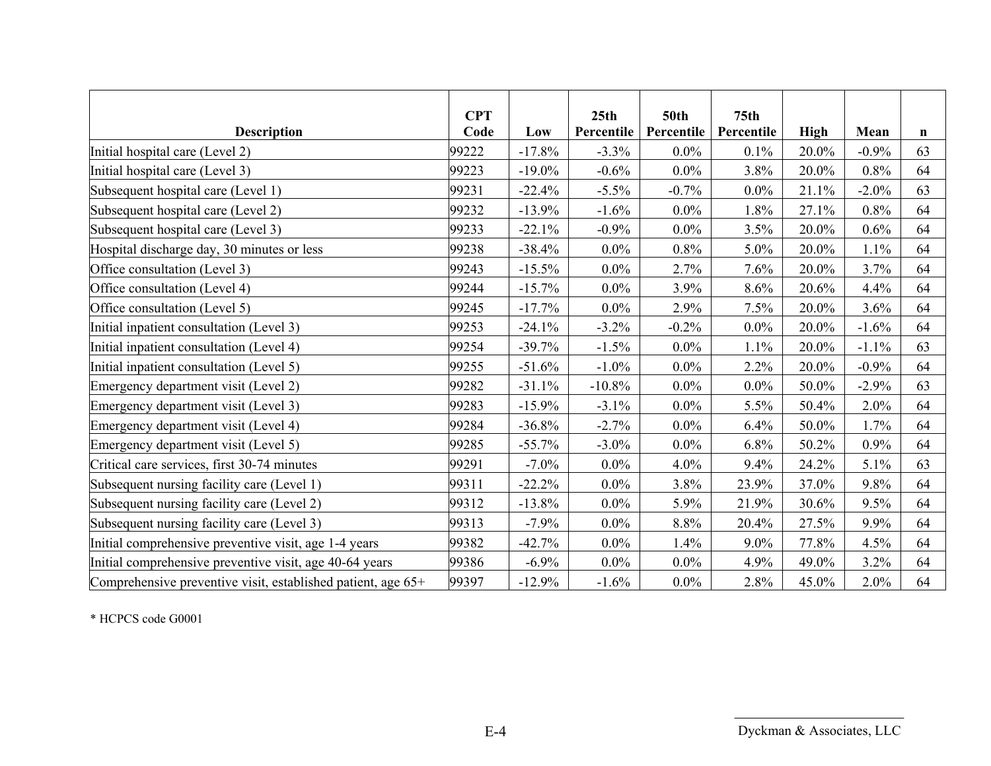|                                                              | <b>CPT</b> |           | 25 <sub>th</sub> | <b>50th</b> | 75 <sub>th</sub> |       |         |             |
|--------------------------------------------------------------|------------|-----------|------------------|-------------|------------------|-------|---------|-------------|
| <b>Description</b>                                           | Code       | Low       | Percentile       | Percentile  | Percentile       | High  | Mean    | $\mathbf n$ |
| Initial hospital care (Level 2)                              | 99222      | $-17.8%$  | $-3.3\%$         | $0.0\%$     | 0.1%             | 20.0% | $-0.9%$ | 63          |
| Initial hospital care (Level 3)                              | 99223      | $-19.0\%$ | $-0.6\%$         | $0.0\%$     | 3.8%             | 20.0% | 0.8%    | 64          |
| Subsequent hospital care (Level 1)                           | 99231      | $-22.4%$  | $-5.5\%$         | $-0.7%$     | $0.0\%$          | 21.1% | $-2.0%$ | 63          |
| Subsequent hospital care (Level 2)                           | 99232      | $-13.9%$  | $-1.6\%$         | $0.0\%$     | 1.8%             | 27.1% | 0.8%    | 64          |
| Subsequent hospital care (Level 3)                           | 99233      | $-22.1%$  | $-0.9\%$         | $0.0\%$     | 3.5%             | 20.0% | 0.6%    | 64          |
| Hospital discharge day, 30 minutes or less                   | 99238      | $-38.4%$  | $0.0\%$          | 0.8%        | $5.0\%$          | 20.0% | 1.1%    | 64          |
| Office consultation (Level 3)                                | 99243      | $-15.5%$  | $0.0\%$          | 2.7%        | 7.6%             | 20.0% | 3.7%    | 64          |
| Office consultation (Level 4)                                | 99244      | $-15.7%$  | $0.0\%$          | 3.9%        | 8.6%             | 20.6% | 4.4%    | 64          |
| Office consultation (Level 5)                                | 99245      | $-17.7%$  | $0.0\%$          | 2.9%        | 7.5%             | 20.0% | 3.6%    | 64          |
| Initial inpatient consultation (Level 3)                     | 99253      | $-24.1%$  | $-3.2\%$         | $-0.2\%$    | $0.0\%$          | 20.0% | $-1.6%$ | 64          |
| Initial inpatient consultation (Level 4)                     | 99254      | $-39.7%$  | $-1.5\%$         | $0.0\%$     | 1.1%             | 20.0% | $-1.1%$ | 63          |
| Initial inpatient consultation (Level 5)                     | 99255      | $-51.6%$  | $-1.0\%$         | $0.0\%$     | 2.2%             | 20.0% | $-0.9%$ | 64          |
| Emergency department visit (Level 2)                         | 99282      | $-31.1%$  | $-10.8\%$        | $0.0\%$     | $0.0\%$          | 50.0% | $-2.9%$ | 63          |
| Emergency department visit (Level 3)                         | 99283      | $-15.9%$  | $-3.1\%$         | $0.0\%$     | 5.5%             | 50.4% | 2.0%    | 64          |
| Emergency department visit (Level 4)                         | 99284      | $-36.8%$  | $-2.7%$          | $0.0\%$     | 6.4%             | 50.0% | 1.7%    | 64          |
| Emergency department visit (Level 5)                         | 99285      | $-55.7%$  | $-3.0\%$         | $0.0\%$     | 6.8%             | 50.2% | 0.9%    | 64          |
| Critical care services, first 30-74 minutes                  | 99291      | $-7.0%$   | $0.0\%$          | 4.0%        | 9.4%             | 24.2% | 5.1%    | 63          |
| Subsequent nursing facility care (Level 1)                   | 99311      | $-22.2%$  | $0.0\%$          | 3.8%        | 23.9%            | 37.0% | 9.8%    | 64          |
| Subsequent nursing facility care (Level 2)                   | 99312      | $-13.8%$  | $0.0\%$          | 5.9%        | 21.9%            | 30.6% | 9.5%    | 64          |
| Subsequent nursing facility care (Level 3)                   | 99313      | $-7.9%$   | $0.0\%$          | 8.8%        | 20.4%            | 27.5% | 9.9%    | 64          |
| Initial comprehensive preventive visit, age 1-4 years        | 99382      | $-42.7%$  | $0.0\%$          | 1.4%        | $9.0\%$          | 77.8% | 4.5%    | 64          |
| Initial comprehensive preventive visit, age 40-64 years      | 99386      | $-6.9\%$  | $0.0\%$          | $0.0\%$     | 4.9%             | 49.0% | 3.2%    | 64          |
| Comprehensive preventive visit, established patient, age 65+ | 99397      | $-12.9%$  | $-1.6%$          | $0.0\%$     | 2.8%             | 45.0% | 2.0%    | 64          |

\* HCPCS code G0001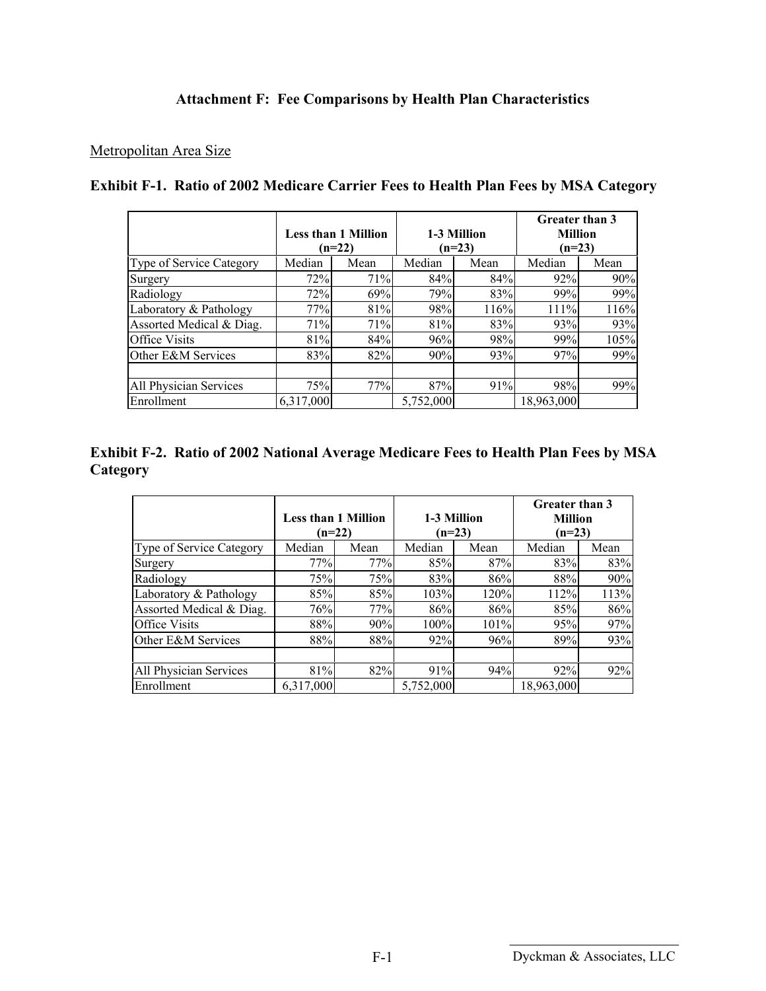## **Attachment F: Fee Comparisons by Health Plan Characteristics**

#### Metropolitan Area Size

|                                 |           | <b>Less than 1 Million</b><br>$(n=22)$ |           | 1-3 Million<br>$(n=23)$ | Greater than 3<br><b>Million</b><br>$(n=23)$ |      |
|---------------------------------|-----------|----------------------------------------|-----------|-------------------------|----------------------------------------------|------|
| <b>Type of Service Category</b> | Median    | Mean                                   | Median    | Mean                    | Median                                       | Mean |
| Surgery                         | 72%       | 71%                                    | 84%       | 84%                     | 92%                                          | 90%  |
| Radiology                       | 72%       | 69%                                    | 79%       | 83%                     | 99%                                          | 99%  |
| Laboratory & Pathology          | 77%       | 81%                                    | 98%       | 116%                    | 111%                                         | 116% |
| Assorted Medical & Diag.        | 71%       | 71%                                    | 81%       | 83%                     | 93%                                          | 93%  |
| <b>Office Visits</b>            | 81%       | 84%                                    | 96%       | 98%                     | 99%                                          | 105% |
| Other E&M Services              | 83%       | 82%                                    | 90%       | 93%                     | 97%                                          | 99%  |
| All Physician Services          | 75%       | 77%                                    | 87%       | 91%                     | 98%                                          | 99%  |
| Enrollment                      | 6,317,000 |                                        | 5,752,000 |                         | 18,963,000                                   |      |

#### **Exhibit F-1. Ratio of 2002 Medicare Carrier Fees to Health Plan Fees by MSA Category**

#### **Exhibit F-2. Ratio of 2002 National Average Medicare Fees to Health Plan Fees by MSA Category**

|                          |                            |      |             |      | <b>Greater than 3</b> |      |  |
|--------------------------|----------------------------|------|-------------|------|-----------------------|------|--|
|                          | <b>Less than 1 Million</b> |      | 1-3 Million |      | <b>Million</b>        |      |  |
|                          | $(n=22)$                   |      | $(n=23)$    |      | $(n=23)$              |      |  |
| Type of Service Category | Median                     | Mean | Median      | Mean | Median                | Mean |  |
| Surgery                  | 77%                        | 77%  | 85%         | 87%  | 83%                   | 83%  |  |
| Radiology                | 75%                        | 75%  | 83%         | 86%  | 88%                   | 90%  |  |
| Laboratory & Pathology   | 85%                        | 85%  | 103%        | 120% | 112%                  | 113% |  |
| Assorted Medical & Diag. | 76%                        | 77%  | 86%         | 86%  | 85%                   | 86%  |  |
| <b>Office Visits</b>     | 88%                        | 90%  | 100%        | 101% | 95%                   | 97%  |  |
| Other E&M Services       | 88%                        | 88%  | 92%         | 96%  | 89%                   | 93%  |  |
|                          |                            |      |             |      |                       |      |  |
| All Physician Services   | 81%                        | 82%  | 91%         | 94%  | 92%                   | 92%  |  |
| Enrollment               | 6,317,000                  |      | 5,752,000   |      | 18,963,000            |      |  |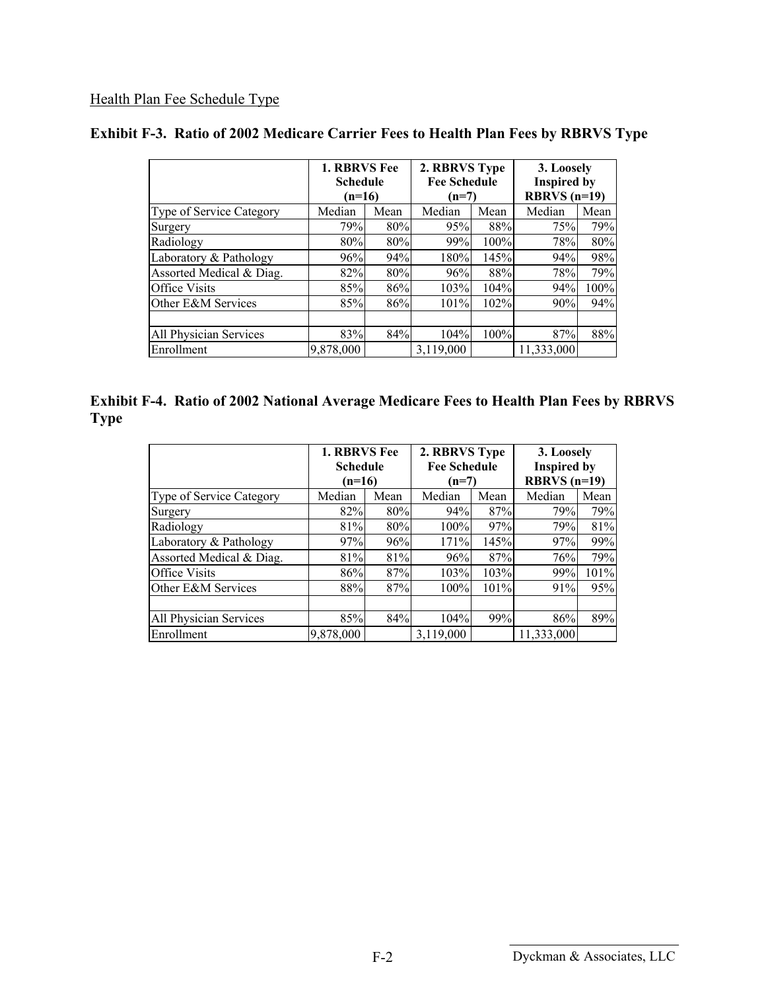# Health Plan Fee Schedule Type

|                          |           | <b>1. RBRVS Fee</b><br>Schedule<br>$(n=16)$ |           | 2. RBRVS Type<br><b>Fee Schedule</b><br>$(n=7)$ | 3. Loosely<br><b>Inspired by</b><br>RBRVS $(n=19)$ |      |  |
|--------------------------|-----------|---------------------------------------------|-----------|-------------------------------------------------|----------------------------------------------------|------|--|
| Type of Service Category | Median    | Mean                                        | Median    | Mean                                            | Median                                             | Mean |  |
| Surgery                  | 79%       | 80%                                         | 95%       | 88%                                             | 75%                                                | 79%  |  |
| Radiology                | 80%       | 80%                                         | 99%       | 100%                                            | 78%                                                | 80%  |  |
| Laboratory & Pathology   | 96%       | 94%                                         | 180%      | 145%                                            | 94%                                                | 98%  |  |
| Assorted Medical & Diag. | 82%       | 80%                                         | 96%       | 88%                                             | 78%                                                | 79%  |  |
| Office Visits            | 85%       | 86%                                         | 103%      | 104%                                            | 94%                                                | 100% |  |
| Other E&M Services       | 85%       | 86%                                         | 101%      | 102%                                            | 90%                                                | 94%  |  |
| All Physician Services   | 83%       | 84%                                         | 104%      | 100%                                            | 87%                                                | 88%  |  |
| Enrollment               | 9,878,000 |                                             | 3,119,000 |                                                 | 11,333,000                                         |      |  |

# **Exhibit F-3. Ratio of 2002 Medicare Carrier Fees to Health Plan Fees by RBRVS Type**

|             | <b>Exhibit F-4. Ratio of 2002 National Average Medicare Fees to Health Plan Fees by RBRVS</b> |  |
|-------------|-----------------------------------------------------------------------------------------------|--|
| <b>Type</b> |                                                                                               |  |

|                          | <b>1. RBRVS Fee</b><br><b>Schedule</b><br>$(n=16)$ |            | 2. RBRVS Type<br><b>Fee Schedule</b><br>(n=7) |              | 3. Loosely<br><b>Inspired by</b><br>RBRVS $(n=19)$ |      |  |
|--------------------------|----------------------------------------------------|------------|-----------------------------------------------|--------------|----------------------------------------------------|------|--|
| Type of Service Category | Median<br>Mean                                     |            | Median<br>Mean                                |              | Median                                             | Mean |  |
| Surgery                  | 82%                                                | 80%        | 94%                                           | 87%          | 79%                                                | 79%  |  |
| Radiology                | 81%                                                | 80%        | 100%                                          | 97%          | 79%                                                | 81%  |  |
| Laboratory & Pathology   | 97%                                                | 96%        | 171%                                          | 145%         | 97%                                                | 99%  |  |
| Assorted Medical & Diag. | 81%                                                | 81%        | 96%                                           | 87%          | 76%                                                | 79%  |  |
| <b>Office Visits</b>     | 86%                                                | 87%        | 103%                                          | 103%         | 99%                                                | 101% |  |
| Other E&M Services       |                                                    | 88%<br>87% |                                               | 101%<br>100% | 91%                                                | 95%  |  |
|                          |                                                    |            |                                               |              |                                                    |      |  |
| All Physician Services   | 85%                                                | 84%        | 104%                                          | 99%          | 86%                                                | 89%  |  |
| Enrollment               | 9,878,000                                          |            | 3,119,000                                     |              | 11,333,000                                         |      |  |